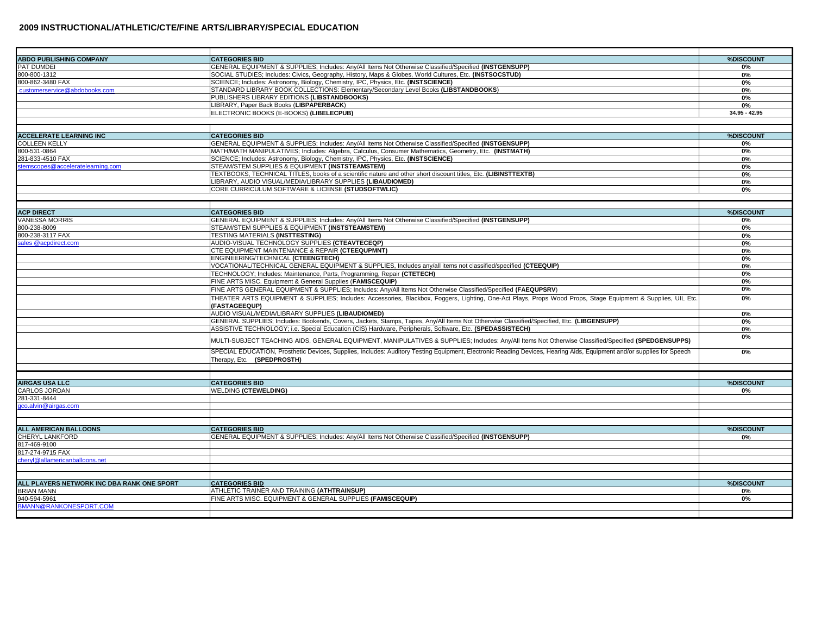| <b>ABDO PUBLISHING COMPANY</b>                         | <b>CATEGORIES BID</b>                                                                                                                                                                               | %DISCOUNT       |
|--------------------------------------------------------|-----------------------------------------------------------------------------------------------------------------------------------------------------------------------------------------------------|-----------------|
| PAT DUMDEI                                             | GENERAL EQUIPMENT & SUPPLIES; Includes: Any/All Items Not Otherwise Classified/Specified (INSTGENSUPP)                                                                                              | 0%              |
| 300-800-1312                                           | SOCIAL STUDIES; Includes: Civics, Geography, History, Maps & Globes, World Cultures, Etc. (INSTSOCSTUD)                                                                                             | 0%              |
| 800-862-3480 FAX                                       | SCIENCE; Includes: Astronomy, Biology, Chemistry, IPC, Physics, Etc. (INSTSCIENCE)                                                                                                                  | 0%              |
| customerservice@abdobooks.com                          | STANDARD LIBRARY BOOK COLLECTIONS: Elementary/Secondary Level Books (LIBSTANDBOOKS)                                                                                                                 | 0%              |
|                                                        | PUBLISHERS LIBRARY EDITIONS (LIBSTANDBOOKS)                                                                                                                                                         | 0%              |
|                                                        | LIBRARY, Paper Back Books (LIBPAPERBACK)                                                                                                                                                            | 0%              |
|                                                        | ELECTRONIC BOOKS (E-BOOKS) (LIBELECPUB)                                                                                                                                                             | $34.95 - 42.95$ |
|                                                        |                                                                                                                                                                                                     |                 |
|                                                        | <b>CATEGORIES BID</b>                                                                                                                                                                               |                 |
| <b>ACCELERATE LEARNING INC</b><br><b>COLLEEN KELLY</b> | GENERAL EQUIPMENT & SUPPLIES; Includes: Any/All Items Not Otherwise Classified/Specified (INSTGENSUPP)                                                                                              | %DISCOUNT       |
| 800-531-0864                                           | MATH/MATH MANIPULATIVES; Includes: Algebra, Calculus, Consumer Mathematics, Geometry, Etc. (INSTMATH)                                                                                               | 0%<br>0%        |
| 281-833-4510 FAX                                       | SCIENCE; Includes: Astronomy, Biology, Chemistry, IPC, Physics, Etc. (INSTSCIENCE)                                                                                                                  | 0%              |
| stemscopes@acceleratelearning.com                      | STEAM/STEM SUPPLIES & EQUIPMENT (INSTSTEAMSTEM)                                                                                                                                                     | 0%              |
|                                                        | TEXTBOOKS, TECHNICAL TITLES, books of a scientific nature and other short discount titles, Etc. (LIBINSTTEXTB)                                                                                      | 0%              |
|                                                        | LIBRARY, AUDIO VISUAL/MEDIA/LIBRARY SUPPLIES (LIBAUDIOMED)                                                                                                                                          | 0%              |
|                                                        | CORE CURRICULUM SOFTWARE & LICENSE (STUDSOFTWLIC)                                                                                                                                                   | 0%              |
|                                                        |                                                                                                                                                                                                     |                 |
|                                                        |                                                                                                                                                                                                     |                 |
| <b>ACP DIRECT</b>                                      | <b>CATEGORIES BID</b>                                                                                                                                                                               | %DISCOUNT       |
| VANESSA MORRIS                                         | GENERAL EQUIPMENT & SUPPLIES; Includes: Any/All Items Not Otherwise Classified/Specified (INSTGENSUPP)                                                                                              | 0%              |
| 800-238-8009                                           | STEAM/STEM SUPPLIES & EQUIPMENT (INSTSTEAMSTEM)                                                                                                                                                     | 0%              |
| 300-238-3117 FAX                                       | <b>TESTING MATERIALS (INSTTESTING)</b>                                                                                                                                                              | 0%              |
| sales @acpdirect.com                                   | AUDIO-VISUAL TECHNOLOGY SUPPLIES (CTEAVTECEQP)                                                                                                                                                      | 0%              |
|                                                        | CTE EQUIPMENT MAINTENANCE & REPAIR (CTEEQUPMNT)                                                                                                                                                     | 0%              |
|                                                        | ENGINEERING/TECHNICAL (CTEENGTECH)                                                                                                                                                                  | 0%              |
|                                                        | VOCATIONAL/TECHNICAL GENERAL EQUIPMENT & SUPPLIES, Includes any/all items not classified/specified (CTEEQUIP)                                                                                       | 0%              |
|                                                        | TECHNOLOGY; Includes: Maintenance, Parts, Programming, Repair (CTETECH)                                                                                                                             | 0%              |
|                                                        | FINE ARTS MISC. Equipment & General Supplies (FAMISCEQUIP)                                                                                                                                          | 0%              |
|                                                        | FINE ARTS GENERAL EQUIPMENT & SUPPLIES; Includes: Any/All Items Not Otherwise Classified/Specified (FAEQUPSRV)                                                                                      | 0%              |
|                                                        | THEATER ARTS EQUIPMENT & SUPPLIES; Includes: Accessories, Blackbox, Foggers, Lighting, One-Act Plays, Props Wood Props, Stage Equipment & Supplies, UIL Etc.<br>(FASTAGEEQUP)                       | 0%              |
|                                                        | AUDIO VISUAL/MEDIA/LIBRARY SUPPLIES (LIBAUDIOMED)                                                                                                                                                   | 0%              |
|                                                        | GENERAL SUPPLIES; Includes: Bookends, Covers, Jackets, Stamps, Tapes, Any/All Items Not Otherwise Classified/Specified, Etc. (LIBGENSUPP)                                                           | 0%              |
|                                                        | ASSISTIVE TECHNOLOGY; i.e. Special Education (CIS) Hardware, Peripherals, Software, Etc. (SPEDASSISTECH)                                                                                            | 0%              |
|                                                        | MULTI-SUBJECT TEACHING AIDS, GENERAL EQUIPMENT, MANIPULATIVES & SUPPLIES; Includes: Any/All Items Not Otherwise Classified/Specified (SPEDGENSUPPS)                                                 | 0%              |
|                                                        | SPECIAL EDUCATION, Prosthetic Devices, Supplies, Includes: Auditory Testing Equipment, Electronic Reading Devices, Hearing Aids, Equipment and/or supplies for Speech<br>Therapy, Etc. (SPEDPROSTH) | 0%              |
|                                                        |                                                                                                                                                                                                     |                 |
| <b>AIRGAS USA LLC</b>                                  | <b>CATEGORIES BID</b>                                                                                                                                                                               | %DISCOUNT       |
| CARLOS JORDAN                                          | <b>WELDING (CTEWELDING)</b>                                                                                                                                                                         | 0%              |
| 281-331-8444                                           |                                                                                                                                                                                                     |                 |
| co.alvin@airgas.com                                    |                                                                                                                                                                                                     |                 |
|                                                        |                                                                                                                                                                                                     |                 |
|                                                        |                                                                                                                                                                                                     |                 |
| <b>ALL AMERICAN BALLOONS</b>                           | <b>CATEGORIES BID</b>                                                                                                                                                                               | %DISCOUNT       |
| CHERYL LANKFORD                                        | GENERAL EQUIPMENT & SUPPLIES; Includes: Any/All Items Not Otherwise Classified/Specified (INSTGENSUPP)                                                                                              | 0%              |
| 817-469-9100                                           |                                                                                                                                                                                                     |                 |
| 817-274-9715 FAX<br>cheryl@allamericanballoons.net     |                                                                                                                                                                                                     |                 |
|                                                        |                                                                                                                                                                                                     |                 |
|                                                        |                                                                                                                                                                                                     |                 |
| ALL PLAYERS NETWORK INC DBA RANK ONE SPORT             | <b>CATEGORIES BID</b>                                                                                                                                                                               | %DISCOUNT       |
| <b>BRIAN MANN</b>                                      | ATHLETIC TRAINER AND TRAINING (ATHTRAINSUP)                                                                                                                                                         | 0%              |
| 940-594-5961                                           | FINE ARTS MISC. EQUIPMENT & GENERAL SUPPLIES (FAMISCEQUIP)                                                                                                                                          | 0%              |
| <b>BMANN@RANKONESPORT.COM</b>                          |                                                                                                                                                                                                     |                 |
|                                                        |                                                                                                                                                                                                     |                 |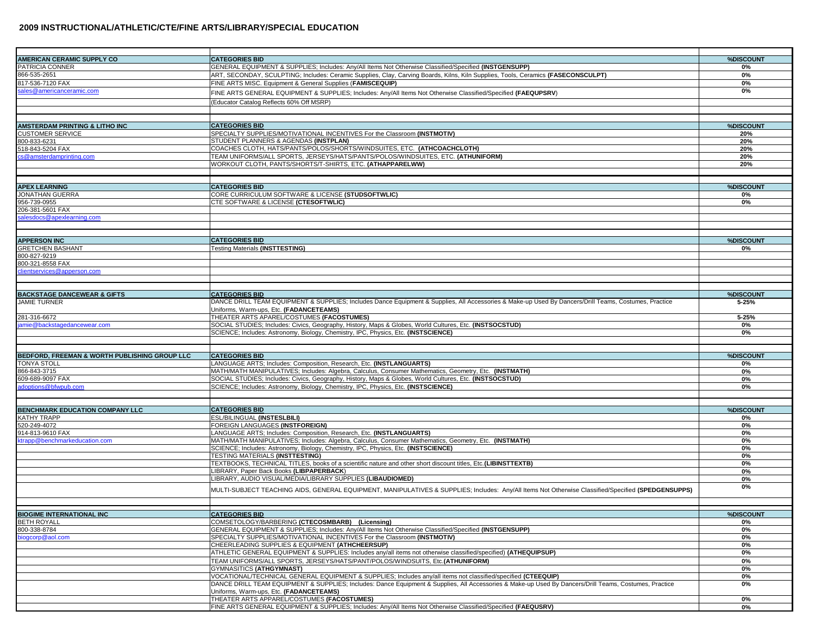| AMERICAN CERAMIC SUPPLY CO                    | <b>CATEGORIES BID</b>                                                                                                                                  | %DISCOUNT |
|-----------------------------------------------|--------------------------------------------------------------------------------------------------------------------------------------------------------|-----------|
| PATRICIA CONNER                               | GENERAL EQUIPMENT & SUPPLIES: Includes: Anv/All Items Not Otherwise Classified/Specified (INSTGENSUPP)                                                 | 0%        |
| 866-535-2651                                  | ART, SECONDAY, SCULPTING; Includes: Ceramic Supplies, Clay, Carving Boards, Kilns, Kiln Supplies, Tools, Ceramics (FASECONSCULPT)                      | 0%        |
| 817-536-7120 FAX                              | FINE ARTS MISC. Equipment & General Supplies (FAMISCEQUIP)                                                                                             | 0%        |
| ales@americanceramic.com                      | FINE ARTS GENERAL EQUIPMENT & SUPPLIES; Includes: Any/All Items Not Otherwise Classified/Specified (FAEQUPSRV)                                         | 0%        |
|                                               |                                                                                                                                                        |           |
|                                               | (Educator Catalog Reflects 60% Off MSRP)                                                                                                               |           |
|                                               |                                                                                                                                                        |           |
|                                               | <b>CATEGORIES BID</b>                                                                                                                                  | %DISCOUNT |
| <b>AMSTERDAM PRINTING &amp; LITHO INC</b>     |                                                                                                                                                        |           |
| <b>CUSTOMER SERVICE</b>                       | SPECIALTY SUPPLIES/MOTIVATIONAL INCENTIVES For the Classroom (INSTMOTIV)<br>STUDENT PLANNERS & AGENDAS (INSTPLAN)                                      | 20%       |
| 800-833-6231                                  |                                                                                                                                                        | 20%       |
| 518-843-5204 FAX                              | COACHES CLOTH, HATS/PANTS/POLOS/SHORTS/WINDSUITES, ETC. (ATHCOACHCLOTH)                                                                                | 20%       |
| cs@amsterdamprinting.com                      | TEAM UNIFORMS/ALL SPORTS, JERSEYS/HATS/PANTS/POLOS/WINDSUITES, ETC. (ATHUNIFORM)                                                                       | 20%       |
|                                               | WORKOUT CLOTH, PANTS/SHORTS/T-SHIRTS, ETC. (ATHAPPARELWW)                                                                                              | 20%       |
|                                               |                                                                                                                                                        |           |
| <b>APEX LEARNING</b>                          |                                                                                                                                                        | %DISCOUNT |
| JONATHAN GUERRA                               | <b>CATEGORIES BID</b>                                                                                                                                  |           |
| 956-739-0955                                  | CORE CURRICULUM SOFTWARE & LICENSE (STUDSOFTWLIC)                                                                                                      | 0%        |
|                                               | CTE SOFTWARE & LICENSE (CTESOFTWLIC)                                                                                                                   | 0%        |
| 206-381-5601 FAX                              |                                                                                                                                                        |           |
| salesdocs@apexlearning.com                    |                                                                                                                                                        |           |
|                                               |                                                                                                                                                        |           |
| <b>APPERSON INC</b>                           | <b>CATEGORIES BID</b>                                                                                                                                  | %DISCOUNT |
| <b>GRETCHEN BASHANT</b>                       | <b>Testing Materials (INSTTESTING)</b>                                                                                                                 | 0%        |
| 800-827-9219                                  |                                                                                                                                                        |           |
| 800-321-8558 FAX                              |                                                                                                                                                        |           |
| dientservices@apperson.com                    |                                                                                                                                                        |           |
|                                               |                                                                                                                                                        |           |
|                                               |                                                                                                                                                        |           |
| <b>BACKSTAGE DANCEWEAR &amp; GIFTS</b>        | <b>CATEGORIES BID</b>                                                                                                                                  | %DISCOUNT |
| <b>JAMIE TURNER</b>                           | DANCE DRILL TEAM EQUIPMENT & SUPPLIES; Includes Dance Equipment & Supplies, All Accessories & Make-up Used By Dancers/Drill Teams, Costumes, Practice  | 5-25%     |
|                                               | Uniforms, Warm-ups, Etc. (FADANCETEAMS)                                                                                                                |           |
| 281-316-6672                                  | THEATER ARTS APAREL/COSTUMES (FACOSTUMES)                                                                                                              | 5-25%     |
| amie@backstagedancewear.com                   | SOCIAL STUDIES; Includes: Civics, Geography, History, Maps & Globes, World Cultures, Etc. (INSTSOCSTUD)                                                | 0%        |
|                                               | SCIENCE; Includes: Astronomy, Biology, Chemistry, IPC, Physics, Etc. (INSTSCIENCE)                                                                     | 0%        |
|                                               |                                                                                                                                                        |           |
|                                               |                                                                                                                                                        |           |
| BEDFORD, FREEMAN & WORTH PUBLISHING GROUP LLC | <b>CATEGORIES BID</b>                                                                                                                                  | %DISCOUNT |
| <b>TONYA STOLL</b>                            | LANGUAGE ARTS; Includes: Composition, Research, Etc. (INSTLANGUARTS)                                                                                   | 0%        |
| 866-843-3715                                  | MATH/MATH MANIPULATIVES; Includes: Algebra, Calculus, Consumer Mathematics, Geometry, Etc. (INSTMATH)                                                  | 0%        |
| 609-689-9097 FAX                              | SOCIAL STUDIES; Includes: Civics, Geography, History, Maps & Globes, World Cultures, Etc. (INSTSOCSTUD)                                                | 0%        |
| adoptions@bfwpub.com                          | SCIENCE; Includes: Astronomy, Biology, Chemistry, IPC, Physics, Etc. (INSTSCIENCE)                                                                     | 0%        |
|                                               |                                                                                                                                                        |           |
|                                               |                                                                                                                                                        |           |
| <b>BENCHMARK EDUCATION COMPANY LLC</b>        | <b>CATEGORIES BID</b>                                                                                                                                  | %DISCOUNT |
| KATHY TRAPP                                   | <b>ESL/BILINGUAL (INSTESLBILI)</b>                                                                                                                     | 0%        |
| 520-249-4072                                  | FOREIGN LANGUAGES (INSTFOREIGN)                                                                                                                        | 0%        |
| 914-813-9610 FAX                              | LANGUAGE ARTS; Includes: Composition, Research, Etc. (INSTLANGUARTS)                                                                                   | 0%        |
| ktrapp@benchmarkeducation.com                 | MATH/MATH MANIPULATIVES; Includes: Algebra, Calculus, Consumer Mathematics, Geometry, Etc. (INSTMATH)                                                  | 0%        |
|                                               | SCIENCE; Includes: Astronomy, Biology, Chemistry, IPC, Physics, Etc. (INSTSCIENCE)                                                                     | 0%        |
|                                               | TESTING MATERIALS (INSTTESTING)                                                                                                                        | 0%        |
|                                               | TEXTBOOKS, TECHNICAL TITLES, books of a scientific nature and other short discount titles, Etc. (LIBINSTTEXTB)                                         | 0%        |
|                                               | LIBRARY, Paper Back Books (LIBPAPERBACK)                                                                                                               | 0%        |
|                                               | LIBRARY, AUDIO VISUAL/MEDIA/LIBRARY SUPPLIES (LIBAUDIOMED)                                                                                             | 0%        |
|                                               |                                                                                                                                                        | 0%        |
|                                               | MULTI-SUBJECT TEACHING AIDS, GENERAL EQUIPMENT, MANIPULATIVES & SUPPLIES; Includes: Any/All Items Not Otherwise Classified/Specified (SPEDGENSUPPS)    |           |
|                                               |                                                                                                                                                        |           |
|                                               |                                                                                                                                                        |           |
| BIOGIME INTERNATIONAL INC                     | <b>CATEGORIES BID</b>                                                                                                                                  | %DISCOUNT |
| <b>BETH ROYALL</b>                            | COMSETOLOGY/BARBERING (CTECOSMBARB) (Licensing)                                                                                                        | 0%        |
| 800-338-8784                                  | GENERAL EQUIPMENT & SUPPLIES; Includes: Any/All Items Not Otherwise Classified/Specified (INSTGENSUPP)                                                 | 0%        |
| biogcorp@aol.com                              | SPECIALTY SUPPLIES/MOTIVATIONAL INCENTIVES For the Classroom (INSTMOTIV)                                                                               | 0%        |
|                                               | CHEERLEADING SUPPLIES & EQUIPMENT (ATHCHEERSUP)                                                                                                        | 0%        |
|                                               | ATHLETIC GENERAL EQUIPMENT & SUPPLIES: Includes any/all items not otherwise classified/specified) (ATHEQUIPSUP)                                        | 0%        |
|                                               | TEAM UNIFORMS/ALL SPORTS. JERSEYS/HATS/PANT/POLOS/WINDSUITS. Etc.(ATHUNIFORM)                                                                          | 0%        |
|                                               | <b>GYMNASITICS (ATHGYMNAST)</b>                                                                                                                        | 0%        |
|                                               | VOCATIONAL/TECHNICAL GENERAL EQUIPMENT & SUPPLIES; Includes any/all items not classified/specified (CTEEQUIP)                                          | 0%        |
|                                               | DANCE DRILL TEAM EQUIPMENT & SUPPLIES; Includes: Dance Equipment & Supplies, All Accessories & Make-up Used By Dancers/Drill Teams, Costumes, Practice | 0%        |
|                                               | Uniforms. Warm-ups. Etc. (FADANCETEAMS)                                                                                                                |           |
|                                               | THEATER ARTS APPAREL/COSTUMES (FACOSTUMES)                                                                                                             | 0%        |
|                                               | FINE ARTS GENERAL EQUIPMENT & SUPPLIES; Includes: Any/All Items Not Otherwise Classified/Specified (FAEQUSRV)                                          | 0%        |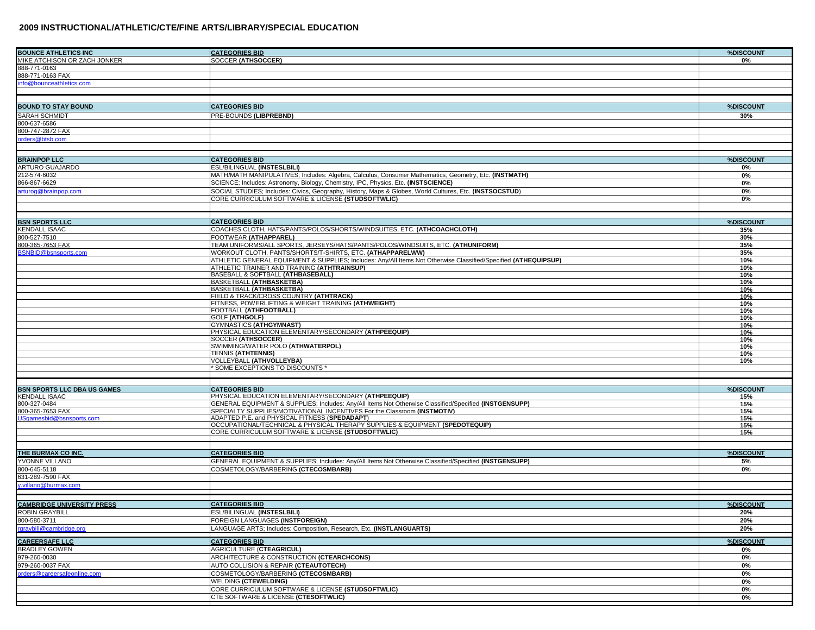| <b>BOUNCE ATHLETICS INC</b>                 | <b>CATEGORIES BID</b>                                                                                                     | %DISCOUNT  |
|---------------------------------------------|---------------------------------------------------------------------------------------------------------------------------|------------|
| MIKE ATCHISON OR ZACH JONKER                | <b>SOCCER (ATHSOCCER)</b>                                                                                                 | 0%         |
| 888-771-0163                                |                                                                                                                           |            |
| 888-771-0163 FAX                            |                                                                                                                           |            |
| info@bounceathletics.com                    |                                                                                                                           |            |
|                                             |                                                                                                                           |            |
|                                             |                                                                                                                           |            |
| <b>BOUND TO STAY BOUND</b>                  | <b>CATEGORIES BID</b>                                                                                                     | %DISCOUNT  |
| SARAH SCHMIDT                               | PRE-BOUNDS (LIBPREBND)                                                                                                    | 30%        |
| 800-637-6586                                |                                                                                                                           |            |
| 800-747-2872 FAX                            |                                                                                                                           |            |
| rders@btsb.com                              |                                                                                                                           |            |
|                                             |                                                                                                                           |            |
| <b>BRAINPOP LLC</b>                         | <b>CATEGORIES BID</b>                                                                                                     | %DISCOUNT  |
| <b>ARTURO GUAJARDO</b>                      | ESL/BILINGUAL (INSTESLBILI)                                                                                               | 0%         |
| 212-574-6032                                | MATH/MATH MANIPULATIVES; Includes: Algebra, Calculus, Consumer Mathematics, Geometry, Etc. (INSTMATH)                     | 0%         |
| 866-867-6629                                | SCIENCE; Includes: Astronomy, Biology, Chemistry, IPC, Physics, Etc. (INSTSCIENCE)                                        | 0%         |
| arturog@brainpop.com                        | SOCIAL STUDIES; Includes: Civics, Geography, History, Maps & Globes, World Cultures, Etc. (INSTSOCSTUD)                   | 0%         |
|                                             | CORE CURRICULUM SOFTWARE & LICENSE (STUDSOFTWLIC)                                                                         | 0%         |
|                                             |                                                                                                                           |            |
|                                             |                                                                                                                           |            |
| <b>BSN SPORTS LLC</b>                       | <b>CATEGORIES BID</b>                                                                                                     | %DISCOUNT  |
| <b>KENDALL ISAAC</b>                        | COACHES CLOTH, HATS/PANTS/POLOS/SHORTS/WINDSUITES, ETC. (ATHCOACHCLOTH)                                                   | 35%        |
| 800-527-7510                                | FOOTWEAR (ATHAPPAREL)                                                                                                     | 30%        |
| 800-365-7653 FAX                            | TEAM UNIFORMS/ALL SPORTS, JERSEYS/HATS/PANTS/POLOS/WINDSUITS, ETC. <b>(ATHUNIFORM)</b>                                    | 35%        |
| SNBID@bsnsports.com                         | WORKOUT CLOTH, PANTS/SHORTS/T-SHIRTS, ETC. (ATHAPPARELWW)                                                                 | 35%        |
|                                             | ATHLETIC GENERAL EQUIPMENT & SUPPLIES; Includes: Any/All Items Not Otherwise Classified/Specified (ATHEQUIPSUP)           | 10%        |
|                                             | ATHLETIC TRAINER AND TRAINING (ATHTRAINSUP)                                                                               | 10%        |
|                                             | BASEBALL & SOFTBALL (ATHBASEBALL)<br>BASKETBALL (ATHBASKETBA)                                                             | 10%        |
|                                             | BASKETBALL (ATHBASKETBA)                                                                                                  | 10%<br>10% |
|                                             | FIELD & TRACK/CROSS COUNTRY (ATHTRACK)                                                                                    | 10%        |
|                                             | FITNESS, POWERLIFTING & WEIGHT TRAINING (ATHWEIGHT)                                                                       | 10%        |
|                                             | FOOTBALL (ATHFOOTBALL)                                                                                                    | 10%        |
|                                             | <b>GOLF (ATHGOLF)</b>                                                                                                     | 10%        |
|                                             | GYMNASTICS (ATHGYMNAST)                                                                                                   | 10%        |
|                                             | PHYSICAL EDUCATION ELEMENTARY/SECONDARY (ATHPEEQUIP)                                                                      | 10%        |
|                                             | <b>SOCCER (ATHSOCCER)</b>                                                                                                 | 10%        |
|                                             | SWIMMING/WATER POLO (ATHWATERPOL)                                                                                         | 10%        |
|                                             | <b>TENNIS (ATHTENNIS)</b><br>VOLLEYBALL (ATHVOLLEYBA)                                                                     | 10%<br>10% |
|                                             | * SOME EXCEPTIONS TO DISCOUNTS *                                                                                          |            |
|                                             |                                                                                                                           |            |
|                                             |                                                                                                                           |            |
| <b>BSN SPORTS LLC DBA US GAMES</b>          | <b>CATEGORIES BID</b>                                                                                                     | %DISCOUNT  |
| <b>KENDALL ISAAC</b>                        | PHYSICAL EDUCATION ELEMENTARY/SECONDARY (ATHPEEQUIP)                                                                      | 15%        |
| 800-327-0484                                | GENERAL EQUIPMENT & SUPPLIES; Includes: Any/All Items Not Otherwise Classified/Specified (INSTGENSUPP)                    | 15%        |
| 800-365-7653 FAX<br>Sqamesbid@bsnsports.com | SPECIALTY SUPPLIES/MOTIVATIONAL INCENTIVES For the Classroom (INSTMOTIV)<br>ADAPTED P.E. and PHYSICAL FITNESS (SPEDADAPT) | 15%<br>15% |
|                                             | OCCUPATIONAL/TECHNICAL & PHYSICAL THERAPY SUPPLIES & EQUIPMENT (SPEDOTEQUIP)                                              | 15%        |
|                                             | CORE CURRICULUM SOFTWARE & LICENSE (STUDSOFTWLIC)                                                                         | 15%        |
|                                             |                                                                                                                           |            |
|                                             |                                                                                                                           |            |
| THE BURMAX CO INC.                          | <b>CATEGORIES BID</b>                                                                                                     | %DISCOUNT  |
| YVONNE VILLANO                              | GENERAL EQUIPMENT & SUPPLIES; Includes: Any/All Items Not Otherwise Classified/Specified (INSTGENSUPP)                    | 5%         |
| 800-645-5118                                | COSMETOLOGY/BARBERING (CTECOSMBARB)                                                                                       | 0%         |
| 631-289-7590 FAX                            |                                                                                                                           |            |
| v.villano@burmax.com                        |                                                                                                                           |            |
|                                             |                                                                                                                           |            |
| <b>CAMBRIDGE UNIVERSITY PRESS</b>           | <b>CATEGORIES BID</b>                                                                                                     | %DISCOUNT  |
| <b>ROBIN GRAYBILL</b>                       | ESL/BILINGUAL (INSTESLBILI)                                                                                               | 20%        |
| 800-580-3711                                | FOREIGN LANGUAGES (INSTFOREIGN)                                                                                           | 20%        |
| rgraybill@cambridge.org                     | LANGUAGE ARTS; Includes: Composition, Research, Etc. (INSTLANGUARTS)                                                      | 20%        |
|                                             | <b>CATEGORIES BID</b>                                                                                                     | %DISCOUNT  |
| <b>CAREERSAFE LLC</b><br>BRADLEY GOWEN      | AGRICULTURE (CTEAGRICUL)                                                                                                  | 0%         |
| 979-260-0030                                | ARCHITECTURE & CONSTRUCTION (CTEARCHCONS)                                                                                 | 0%         |
| 979-260-0037 FAX                            | AUTO COLLISION & REPAIR (CTEAUTOTECH)                                                                                     | 0%         |
| orders@careersafeonline.com                 | COSMETOLOGY/BARBERING (CTECOSMBARB)                                                                                       | 0%         |
|                                             | <b>WELDING (CTEWELDING)</b>                                                                                               | 0%         |
|                                             | CORE CURRICULUM SOFTWARE & LICENSE (STUDSOFTWLIC)                                                                         | 0%         |
|                                             | CTE SOFTWARE & LICENSE (CTESOFTWLIC)                                                                                      | 0%         |
|                                             |                                                                                                                           |            |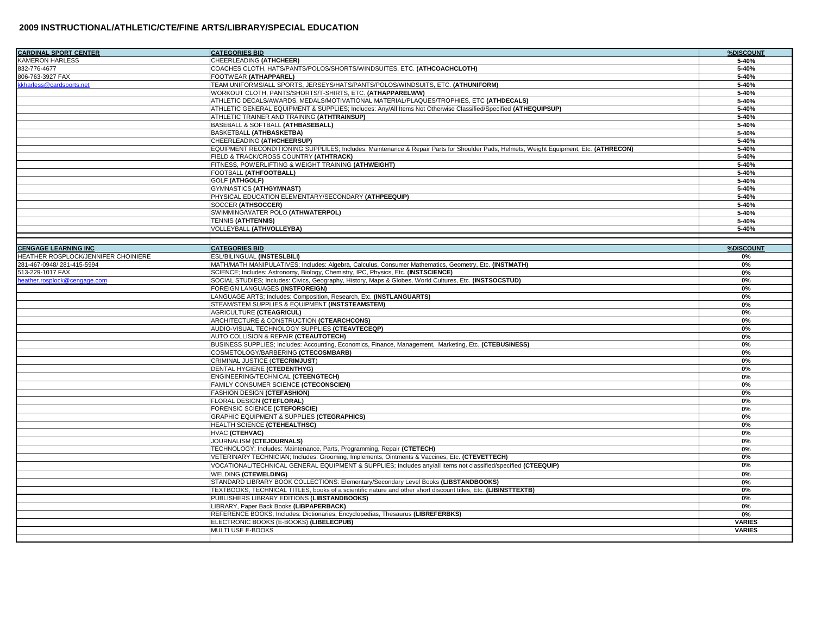| <b>CARDINAL SPORT CENTER</b>        | <b>CATEGORIES BID</b>                                                                                                                  | %DISCOUNT     |
|-------------------------------------|----------------------------------------------------------------------------------------------------------------------------------------|---------------|
| <b>KAMERON HARLESS</b>              | CHEERLEADING (ATHCHEER)                                                                                                                | 5-40%         |
| 832-776-4677                        | COACHES CLOTH, HATS/PANTS/POLOS/SHORTS/WINDSUITES, ETC. (ATHCOACHCLOTH)                                                                | 5-40%         |
| 806-763-3927 FAX                    | FOOTWEAR (ATHAPPAREL)                                                                                                                  | 5-40%         |
| kkharless@cardsports.net            | TEAM UNIFORMS/ALL SPORTS, JERSEYS/HATS/PANTS/POLOS/WINDSUITS, ETC. (ATHUNIFORM)                                                        | 5-40%         |
|                                     | WORKOUT CLOTH, PANTS/SHORTS/T-SHIRTS, ETC. (ATHAPPARELWW)                                                                              | 5-40%         |
|                                     | ATHLETIC DECALS/AWARDS, MEDALS/MOTIVATIONAL MATERIAL/PLAQUES/TROPHIES, ETC (ATHDECALS)                                                 | 5-40%         |
|                                     | ATHLETIC GENERAL EQUIPMENT & SUPPLIES; Includes: Any/All Items Not Otherwise Classified/Specified (ATHEQUIPSUP)                        | 5-40%         |
|                                     | ATHLETIC TRAINER AND TRAINING (ATHTRAINSUP)                                                                                            | 5-40%         |
|                                     | BASEBALL & SOFTBALL (ATHBASEBALL)                                                                                                      | 5-40%         |
|                                     | <b>BASKETBALL (ATHBASKETBA)</b>                                                                                                        | 5-40%         |
|                                     | CHEERLEADING (ATHCHEERSUP)                                                                                                             | 5-40%         |
|                                     | EQUIPMENT RECONDITIONING SUPPLILES; Includes: Maintenance & Repair Parts for Shoulder Pads, Helmets, Weight Equipment, Etc. (ATHRECON) | 5-40%         |
|                                     | FIELD & TRACK/CROSS COUNTRY (ATHTRACK)                                                                                                 | 5-40%         |
|                                     | FITNESS, POWERLIFTING & WEIGHT TRAINING (ATHWEIGHT)                                                                                    | 5-40%         |
|                                     | FOOTBALL (ATHFOOTBALL)                                                                                                                 | 5-40%         |
|                                     | <b>GOLF (ATHGOLF)</b>                                                                                                                  | 5-40%         |
|                                     | <b>GYMNASTICS (ATHGYMNAST)</b>                                                                                                         | 5-40%         |
|                                     | PHYSICAL EDUCATION ELEMENTARY/SECONDARY (ATHPEEQUIP)                                                                                   | 5-40%         |
|                                     | SOCCER (ATHSOCCER)                                                                                                                     | 5-40%         |
|                                     | SWIMMING/WATER POLO (ATHWATERPOL)                                                                                                      | 5-40%         |
|                                     | <b>TENNIS (ATHTENNIS)</b>                                                                                                              | 5-40%         |
|                                     | VOLLEYBALL (ATHVOLLEYBA)                                                                                                               | 5-40%         |
|                                     |                                                                                                                                        |               |
| <b>CENGAGE LEARNING INC</b>         | <b>CATEGORIES BID</b>                                                                                                                  | %DISCOUNT     |
| HEATHER ROSPLOCK/JENNIFER CHOINIERE | ESL/BILINGUAL (INSTESLBILI)                                                                                                            | 0%            |
| 281-467-0948/281-415-5994           | MATH/MATH MANIPULATIVES; Includes: Algebra, Calculus, Consumer Mathematics, Geometry, Etc. (INSTMATH)                                  | 0%            |
| 513-229-1017 FAX                    | SCIENCE; Includes: Astronomy, Biology, Chemistry, IPC, Physics, Etc. (INSTSCIENCE)                                                     | 0%            |
| eather.rosplock@cengage.com         | SOCIAL STUDIES; Includes: Civics, Geography, History, Maps & Globes, World Cultures, Etc. (INSTSOCSTUD)                                | 0%            |
|                                     | FOREIGN LANGUAGES (INSTFOREIGN)                                                                                                        | 0%            |
|                                     | LANGUAGE ARTS; Includes: Composition, Research, Etc. (INSTLANGUARTS)                                                                   | 0%            |
|                                     | STEAM/STEM SUPPLIES & EQUIPMENT (INSTSTEAMSTEM)                                                                                        | 0%            |
|                                     | <b>AGRICULTURE (CTEAGRICUL)</b>                                                                                                        | 0%            |
|                                     | ARCHITECTURE & CONSTRUCTION (CTEARCHCONS)                                                                                              | 0%            |
|                                     | AUDIO-VISUAL TECHNOLOGY SUPPLIES (CTEAVTECEQP)                                                                                         | 0%            |
|                                     | AUTO COLLISION & REPAIR (CTEAUTOTECH)                                                                                                  | 0%            |
|                                     | BUSINESS SUPPLIES; Includes: Accounting, Economics, Finance, Management, Marketing, Etc. (CTEBUSINESS)                                 | 0%            |
|                                     | COSMETOLOGY/BARBERING (CTECOSMBARB)                                                                                                    | 0%            |
|                                     | CRIMINAL JUSTICE (CTECRIMJUST)                                                                                                         | 0%            |
|                                     | DENTAL HYGIENE (CTEDENTHYG)                                                                                                            | 0%            |
|                                     | ENGINEERING/TECHNICAL (CTEENGTECH)                                                                                                     | 0%            |
|                                     | FAMILY CONSUMER SCIENCE (CTECONSCIEN)                                                                                                  | 0%            |
|                                     | FASHION DESIGN (CTEFASHION)                                                                                                            | 0%            |
|                                     | FLORAL DESIGN (CTEFLORAL)                                                                                                              | 0%            |
|                                     | FORENSIC SCIENCE (CTEFORSCIE)                                                                                                          | 0%            |
|                                     | <b>GRAPHIC EQUIPMENT &amp; SUPPLIES (CTEGRAPHICS)</b>                                                                                  | 0%            |
|                                     | HEALTH SCIENCE (CTEHEALTHSC)                                                                                                           | 0%            |
|                                     | HVAC (CTEHVAC)                                                                                                                         | 0%            |
|                                     | JOURNALISM (CTEJOURNALS)                                                                                                               | 0%            |
|                                     | TECHNOLOGY; Includes: Maintenance, Parts, Programming, Repair (CTETECH)                                                                | 0%            |
|                                     | VETERINARY TECHNICIAN; Includes: Grooming, Implements, Ointments & Vaccines, Etc. (CTEVETTECH)                                         | 0%            |
|                                     | VOCATIONAL/TECHNICAL GENERAL EQUIPMENT & SUPPLIES; Includes any/all items not classified/specified (CTEEQUIP)                          | 0%            |
|                                     | <b>WELDING (CTEWELDING)</b>                                                                                                            | 0%            |
|                                     | STANDARD LIBRARY BOOK COLLECTIONS: Elementary/Secondary Level Books (LIBSTANDBOOKS)                                                    | 0%            |
|                                     | TEXTBOOKS, TECHNICAL TITLES, books of a scientific nature and other short discount titles, Etc. (LIBINSTTEXTB)                         | 0%            |
|                                     | PUBLISHERS LIBRARY EDITIONS (LIBSTANDBOOKS)                                                                                            | 0%            |
|                                     | LIBRARY, Paper Back Books (LIBPAPERBACK)                                                                                               | 0%            |
|                                     | REFERENCE BOOKS, Includes: Dictionaries, Encyclopedias, Thesaurus (LIBREFERBKS)                                                        | 0%            |
|                                     | ELECTRONIC BOOKS (E-BOOKS) (LIBELECPUB)                                                                                                | <b>VARIES</b> |
|                                     | MULTI USE E-BOOKS                                                                                                                      | <b>VARIES</b> |
|                                     |                                                                                                                                        |               |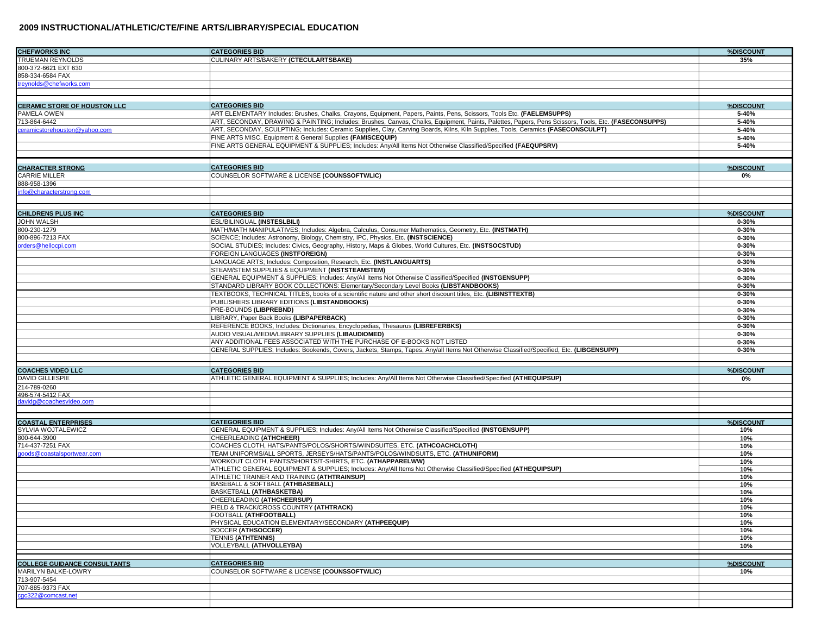| <b>CHEFWORKS INC</b>                           | <b>CATEGORIES BID</b>                                                                                                                                | %DISCOUNT  |
|------------------------------------------------|------------------------------------------------------------------------------------------------------------------------------------------------------|------------|
| TRUEMAN REYNOLDS                               | CULINARY ARTS/BAKERY (CTECULARTSBAKE)                                                                                                                | 35%        |
| 800-372-6621 EXT 630                           |                                                                                                                                                      |            |
| 858-334-6584 FAX                               |                                                                                                                                                      |            |
| treynolds@chefworks.com                        |                                                                                                                                                      |            |
|                                                |                                                                                                                                                      |            |
| <b>CERAMIC STORE OF HOUSTON LLC</b>            | <b>CATEGORIES BID</b>                                                                                                                                | %DISCOUNT  |
| PAMELA OWEN                                    | ART ELEMENTARY Includes: Brushes, Chalks, Crayons, Equipment, Papers, Paints, Pens, Scissors, Tools Etc. (FAELEMSUPPS)                               | 5-40%      |
| 713-864-6442                                   | ART, SECONDAY, DRAWING & PAINTING; Includes: Brushes, Canvas, Chalks, Equipment, Paints, Palettes, Papers, Pens Scissors, Tools, Etc. (FASECONSUPPS) | 5-40%      |
| ceramicstorehouston@yahoo.com                  | ART, SECONDAY, SCULPTING; Includes: Ceramic Supplies, Clay, Carving Boards, Kilns, Kiln Supplies, Tools, Ceramics (FASECONSCULPT)                    | 5-40%      |
|                                                | FINE ARTS MISC. Equipment & General Supplies (FAMISCEQUIP)                                                                                           | 5-40%      |
|                                                | FINE ARTS GENERAL EQUIPMENT & SUPPLIES; Includes: Any/All Items Not Otherwise Classified/Specified (FAEQUPSRV)                                       | 5-40%      |
|                                                |                                                                                                                                                      |            |
| <b>CHARACTER STRONG</b>                        | <b>CATEGORIES BID</b>                                                                                                                                | %DISCOUNT  |
| CARRIE MILLER                                  | COUNSELOR SOFTWARE & LICENSE (COUNSSOFTWLIC)                                                                                                         | 0%         |
| 888-958-1396                                   |                                                                                                                                                      |            |
| info@characterstrong.com                       |                                                                                                                                                      |            |
|                                                |                                                                                                                                                      |            |
| <b>CHILDRENS PLUS INC</b>                      | <b>CATEGORIES BID</b>                                                                                                                                | %DISCOUNT  |
| <b>JOHN WALSH</b>                              | ESL/BILINGUAL (INSTESLBILI)                                                                                                                          | $0 - 30%$  |
| 800-230-1279                                   | MATH/MATH MANIPULATIVES; Includes: Algebra, Calculus, Consumer Mathematics, Geometry, Etc. (INSTMATH)                                                | $0 - 30%$  |
| 800-896-7213 FAX                               | SCIENCE; Includes: Astronomy, Biology, Chemistry, IPC, Physics, Etc. (INSTSCIENCE)                                                                   | $0 - 30%$  |
| orders@hellocpi.com                            | SOCIAL STUDIES; Includes: Civics, Geography, History, Maps & Globes, World Cultures, Etc. (INSTSOCSTUD)                                              | $0 - 30%$  |
|                                                | FOREIGN LANGUAGES (INSTFOREIGN)                                                                                                                      | $0 - 30%$  |
|                                                | LANGUAGE ARTS; Includes: Composition, Research, Etc. (INSTLANGUARTS)                                                                                 | $0 - 30%$  |
|                                                | STEAM/STEM SUPPLIES & EQUIPMENT (INSTSTEAMSTEM)                                                                                                      | $0 - 30%$  |
|                                                | GENERAL EQUIPMENT & SUPPLIES; Includes: Any/All Items Not Otherwise Classified/Specified (INSTGENSUPP)                                               | $0 - 30%$  |
|                                                | STANDARD LIBRARY BOOK COLLECTIONS: Elementary/Secondary Level Books (LIBSTANDBOOKS)                                                                  | $0 - 30%$  |
|                                                | TEXTBOOKS, TECHNICAL TITLES, books of a scientific nature and other short discount titles, Etc. (LIBINSTTEXTB)                                       | $0 - 30%$  |
|                                                | PUBLISHERS LIBRARY EDITIONS (LIBSTANDBOOKS)                                                                                                          | $0 - 30%$  |
|                                                | PRE-BOUNDS (LIBPREBND)                                                                                                                               | $0 - 30%$  |
|                                                | LIBRARY, Paper Back Books (LIBPAPERBACK)                                                                                                             | $0 - 30%$  |
|                                                | REFERENCE BOOKS, Includes: Dictionaries, Encyclopedias, Thesaurus (LIBREFERBKS)                                                                      | $0 - 30%$  |
|                                                | AUDIO VISUAL/MEDIA/LIBRARY SUPPLIES (LIBAUDIOMED)                                                                                                    | $0 - 30%$  |
|                                                | ANY ADDITIONAL FEES ASSOCIATED WITH THE PURCHASE OF E-BOOKS NOT LISTED                                                                               | $0 - 30%$  |
|                                                | GENERAL SUPPLIES; Includes: Bookends, Covers, Jackets, Stamps, Tapes, Any/all Items Not Otherwise Classified/Specified, Etc. (LIBGENSUPP)            | $0 - 30%$  |
|                                                |                                                                                                                                                      |            |
| <b>COACHES VIDEO LLC</b>                       | <b>CATEGORIES BID</b>                                                                                                                                | %DISCOUNT  |
| DAVID GILLESPIE                                | ATHLETIC GENERAL EQUIPMENT & SUPPLIES; Includes: Any/All Items Not Otherwise Classified/Specified (ATHEQUIPSUP)                                      | 0%         |
| 214-789-0260                                   |                                                                                                                                                      |            |
| 496-574-5412 FAX                               |                                                                                                                                                      |            |
| davidg@coachesvideo.com                        |                                                                                                                                                      |            |
|                                                |                                                                                                                                                      |            |
| <b>COASTAL ENTERPRISES</b>                     | <b>CATEGORIES BID</b>                                                                                                                                | %DISCOUNT  |
| SYLVIA WOJTALEWICZ                             | GENERAL EQUIPMENT & SUPPLIES; Includes: Any/All Items Not Otherwise Classified/Specified (INSTGENSUPP)                                               | 10%        |
| 800-644-3900                                   | CHEERLEADING (ATHCHEER)<br>COACHES CLOTH, HATS/PANTS/POLOS/SHORTS/WINDSUITES, ETC. (ATHCOACHCLOTH)                                                   | 10%        |
| 714-437-7251 FAX<br>loods@coastalsportwear.com | TEAM UNIFORMS/ALL SPORTS, JERSEYS/HATS/PANTS/POLOS/WINDSUITS, ETC. (ATHUNIFORM)                                                                      | 10%<br>10% |
|                                                | WORKOUT CLOTH, PANTS/SHORTS/T-SHIRTS, ETC. (ATHAPPARELWW)                                                                                            | 10%        |
|                                                | ATHLETIC GENERAL EQUIPMENT & SUPPLIES; Includes: Any/All Items Not Otherwise Classified/Specified (ATHEQUIPSUP)                                      | 10%        |
|                                                | ATHLETIC TRAINER AND TRAINING (ATHTRAINSUP)                                                                                                          | 10%        |
|                                                | BASEBALL & SOFTBALL (ATHBASEBALL)                                                                                                                    | 10%        |
|                                                | BASKETBALL (ATHBASKETBA)                                                                                                                             | 10%        |
|                                                | CHEERLEADING (ATHCHEERSUP)                                                                                                                           | 10%        |
|                                                | FIELD & TRACK/CROSS COUNTRY (ATHTRACK)                                                                                                               | 10%        |
|                                                | FOOTBALL (ATHFOOTBALL)                                                                                                                               | 10%        |
|                                                | PHYSICAL EDUCATION ELEMENTARY/SECONDARY (ATHPEEQUIP)                                                                                                 | 10%        |
|                                                | SOCCER (ATHSOCCER)<br><b>TENNIS (ATHTENNIS)</b>                                                                                                      | 10%<br>10% |
|                                                | VOLLEYBALL (ATHVOLLEYBA)                                                                                                                             | 10%        |
|                                                |                                                                                                                                                      |            |
| <b>COLLEGE GUIDANCE CONSULTANTS</b>            |                                                                                                                                                      | %DISCOUNT  |
| MARILYN BALKE-LOWRY                            | <b>CATEGORIES BID</b><br>COUNSELOR SOFTWARE & LICENSE (COUNSSOFTWLIC)                                                                                | 10%        |
| 713-907-5454                                   |                                                                                                                                                      |            |
| 707-885-9373 FAX                               |                                                                                                                                                      |            |
| cgc322@comcast.net                             |                                                                                                                                                      |            |
|                                                |                                                                                                                                                      |            |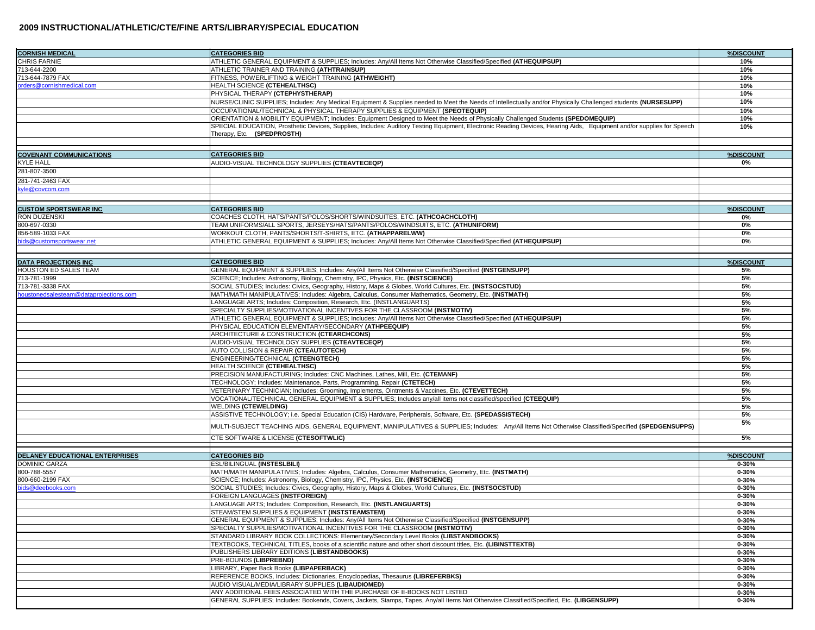| <b>CORNISH MEDICAL</b>                | <b>CATEGORIES BID</b>                                                                                                                                                                                           | %DISCOUNT              |
|---------------------------------------|-----------------------------------------------------------------------------------------------------------------------------------------------------------------------------------------------------------------|------------------------|
| <b>CHRIS FARNIE</b>                   | ATHLETIC GENERAL EQUIPMENT & SUPPLIES; Includes: Any/All Items Not Otherwise Classified/Specified (ATHEQUIPSUP)                                                                                                 | 10%                    |
| 713-644-2200                          | ATHLETIC TRAINER AND TRAINING (ATHTRAINSUP)                                                                                                                                                                     | 10%                    |
| 713-644-7879 FAX                      | FITNESS, POWERLIFTING & WEIGHT TRAINING (ATHWEIGHT)                                                                                                                                                             | 10%                    |
| orders@cornishmedical.com             | HEALTH SCIENCE (CTEHEALTHSC)                                                                                                                                                                                    | 10%                    |
|                                       | PHYSICAL THERAPY (CTEPHYSTHERAP)                                                                                                                                                                                | 10%                    |
|                                       | NURSE/CLINIC SUPPLIES; Includes: Any Medical Equipment & Supplies needed to Meet the Needs of Intellectually and/or Physically Challenged students (NURSESUPP)                                                  | 10%                    |
|                                       | OCCUPATIONAL/TECHNICAL & PHYSICAL THERAPY SUPPLIES & EQUIPMENT (SPEOTEQUIP)<br>ORIENTATION & MOBILITY EQUIPMENT; Includes: Equipment Designed to Meet the Needs of Physically Challenged Students (SPEDOMEQUIP) | 10%<br>10%             |
|                                       | SPECIAL EDUCATION, Prosthetic Devices, Supplies, Includes: Auditory Testing Equipment, Electronic Reading Devices, Hearing Aids, Equipment and/or supplies for Speech                                           | 10%                    |
|                                       | Therapy, Etc. (SPEDPROSTH)                                                                                                                                                                                      |                        |
|                                       |                                                                                                                                                                                                                 |                        |
| <b>COVENANT COMMUNICATIONS</b>        | <b>CATEGORIES BID</b>                                                                                                                                                                                           | %DISCOUNT              |
| <b>KYLE HALL</b>                      | AUDIO-VISUAL TECHNOLOGY SUPPLIES (CTEAVTECEQP)                                                                                                                                                                  | 0%                     |
| 281-807-3500                          |                                                                                                                                                                                                                 |                        |
| 281-741-2463 FAX                      |                                                                                                                                                                                                                 |                        |
| kyle@covcom.com                       |                                                                                                                                                                                                                 |                        |
|                                       |                                                                                                                                                                                                                 |                        |
| <b>CUSTOM SPORTSWEAR INC</b>          | <b>CATEGORIES BID</b>                                                                                                                                                                                           | %DISCOUNT              |
| RON DUZENSKI                          | COACHES CLOTH, HATS/PANTS/POLOS/SHORTS/WINDSUITES, ETC. (ATHCOACHCLOTH)                                                                                                                                         | 0%                     |
| 800-697-0330                          | TEAM UNIFORMS/ALL SPORTS, JERSEYS/HATS/PANTS/POLOS/WINDSUITS, ETC. (ATHUNIFORM)                                                                                                                                 | 0%                     |
| 856-589-1033 FAX                      | WORKOUT CLOTH, PANTS/SHORTS/T-SHIRTS, ETC. (ATHAPPARELWW)                                                                                                                                                       | 0%                     |
| ids@customsportswear.net              | ATHLETIC GENERAL EQUIPMENT & SUPPLIES; Includes: Any/All Items Not Otherwise Classified/Specified (ATHEQUIPSUP)                                                                                                 | 0%                     |
|                                       |                                                                                                                                                                                                                 |                        |
| <b>DATA PROJECTIONS INC</b>           | <b>CATEGORIES BID</b>                                                                                                                                                                                           | %DISCOUNT              |
| HOUSTON ED SALES TEAM                 | GENERAL EQUIPMENT & SUPPLIES; Includes: Any/All Items Not Otherwise Classified/Specified (INSTGENSUPP)                                                                                                          | 5%                     |
| 713-781-1999                          | SCIENCE; Includes: Astronomy, Biology, Chemistry, IPC, Physics, Etc. (INSTSCIENCE)                                                                                                                              | 5%                     |
| 713-781-3338 FAX                      | SOCIAL STUDIES; Includes: Civics, Geography, History, Maps & Globes, World Cultures, Etc. (INSTSOCSTUD)                                                                                                         | 5%                     |
| oustonedsalesteam@dataprojections.com | MATH/MATH MANIPULATIVES; Includes: Algebra, Calculus, Consumer Mathematics, Geometry, Etc. (INSTMATH)                                                                                                           | 5%                     |
|                                       | LANGUAGE ARTS; Includes: Composition, Research, Etc. (INSTLANGUARTS)                                                                                                                                            | 5%                     |
|                                       | SPECIALTY SUPPLIES/MOTIVATIONAL INCENTIVES FOR THE CLASSROOM (INSTMOTIV)                                                                                                                                        | 5%                     |
|                                       | ATHLETIC GENERAL EQUIPMENT & SUPPLIES; Includes: Any/All Items Not Otherwise Classified/Specified (ATHEQUIPSUP)                                                                                                 | 5%                     |
|                                       | PHYSICAL EDUCATION ELEMENTARY/SECONDARY (ATHPEEQUIP)<br>ARCHITECTURE & CONSTRUCTION (CTEARCHCONS)                                                                                                               | 5%<br>5%               |
|                                       | AUDIO-VISUAL TECHNOLOGY SUPPLIES (CTEAVTECEQP)                                                                                                                                                                  | 5%                     |
|                                       | AUTO COLLISION & REPAIR (CTEAUTOTECH)                                                                                                                                                                           | 5%                     |
|                                       | ENGINEERING/TECHNICAL (CTEENGTECH)                                                                                                                                                                              | 5%                     |
|                                       | HEALTH SCIENCE (CTEHEALTHSC)                                                                                                                                                                                    | 5%                     |
|                                       | PRECISION MANUFACTURING; Includes: CNC Machines, Lathes, Mill, Etc. (CTEMANF)                                                                                                                                   | 5%                     |
|                                       | TECHNOLOGY; Includes: Maintenance, Parts, Programming, Repair (CTETECH)                                                                                                                                         | 5%                     |
|                                       | VETERINARY TECHNICIAN; Includes: Grooming, Implements, Ointments & Vaccines, Etc. (CTEVETTECH)                                                                                                                  | 5%                     |
|                                       | VOCATIONAL/TECHNICAL GENERAL EQUIPMENT & SUPPLIES; Includes any/all items not classified/specified (CTEEQUIP)                                                                                                   | 5%                     |
|                                       | WELDING (CTEWELDING)                                                                                                                                                                                            | 5%                     |
|                                       | ASSISTIVE TECHNOLOGY; i.e. Special Education (CIS) Hardware, Peripherals, Software, Etc. (SPEDASSISTECH)                                                                                                        | 5%                     |
|                                       | MULTI-SUBJECT TEACHING AIDS, GENERAL EQUIPMENT, MANIPULATIVES & SUPPLIES; Includes: Any/All Items Not Otherwise Classified/Specified (SPEDGENSUPPS)                                                             | 5%                     |
|                                       | CTE SOFTWARE & LICENSE (CTESOFTWLIC)                                                                                                                                                                            | 5%                     |
|                                       |                                                                                                                                                                                                                 |                        |
| DELANEY EDUCATIONAL ENTERPRISES       | <b>CATEGORIES BID</b>                                                                                                                                                                                           | %DISCOUNT              |
| <b>DOMINIC GARZA</b><br>800-788-5557  | ESL/BILINGUAL (INSTESLBILI)<br>MATH/MATH MANIPULATIVES; Includes: Algebra, Calculus, Consumer Mathematics, Geometry, Etc. (INSTMATH)                                                                            | $0 - 30%$              |
| 800-660-2199 FAX                      | SCIENCE; Includes: Astronomy, Biology, Chemistry, IPC, Physics, Etc. (INSTSCIENCE)                                                                                                                              | $0 - 30%$<br>$0 - 30%$ |
| ids@deebooks.com                      | SOCIAL STUDIES; Includes: Civics, Geography, History, Maps & Globes, World Cultures, Etc. (INSTSOCSTUD)                                                                                                         | $0 - 30%$              |
|                                       | FOREIGN LANGUAGES (INSTFOREIGN)                                                                                                                                                                                 | $0 - 30%$              |
|                                       | LANGUAGE ARTS: Includes: Composition, Research, Etc. (INSTLANGUARTS)                                                                                                                                            | $0 - 30%$              |
|                                       | STEAM/STEM SUPPLIES & EQUIPMENT (INSTSTEAMSTEM)                                                                                                                                                                 | 0-30%                  |
|                                       | GENERAL EQUIPMENT & SUPPLIES; Includes: Any/All Items Not Otherwise Classified/Specified (INSTGENSUPP)                                                                                                          | $0 - 30%$              |
|                                       | SPECIALTY SUPPLIES/MOTIVATIONAL INCENTIVES FOR THE CLASSROOM (INSTMOTIV)                                                                                                                                        | $0 - 30%$              |
|                                       | STANDARD LIBRARY BOOK COLLECTIONS: Elementary/Secondary Level Books (LIBSTANDBOOKS)                                                                                                                             | $0 - 30%$              |
|                                       | TEXTBOOKS, TECHNICAL TITLES, books of a scientific nature and other short discount titles. Etc. (LIBINSTTEXTB)                                                                                                  | $0 - 30%$              |
|                                       | PUBLISHERS LIBRARY EDITIONS (LIBSTANDBOOKS)                                                                                                                                                                     | $0 - 30%$              |
|                                       |                                                                                                                                                                                                                 |                        |
|                                       | PRE-BOUNDS (LIBPREBND)                                                                                                                                                                                          | $0 - 30%$              |
|                                       | LIBRARY, Paper Back Books (LIBPAPERBACK)                                                                                                                                                                        | $0 - 30%$              |
|                                       | REFERENCE BOOKS, Includes: Dictionaries, Encyclopedias, Thesaurus (LIBREFERBKS)                                                                                                                                 | $0 - 30%$              |
|                                       | AUDIO VISUAL/MEDIA/LIBRARY SUPPLIES (LIBAUDIOMED)<br>ANY ADDITIONAL FEES ASSOCIATED WITH THE PURCHASE OF E-BOOKS NOT LISTED                                                                                     | $0 - 30%$<br>$0 - 30%$ |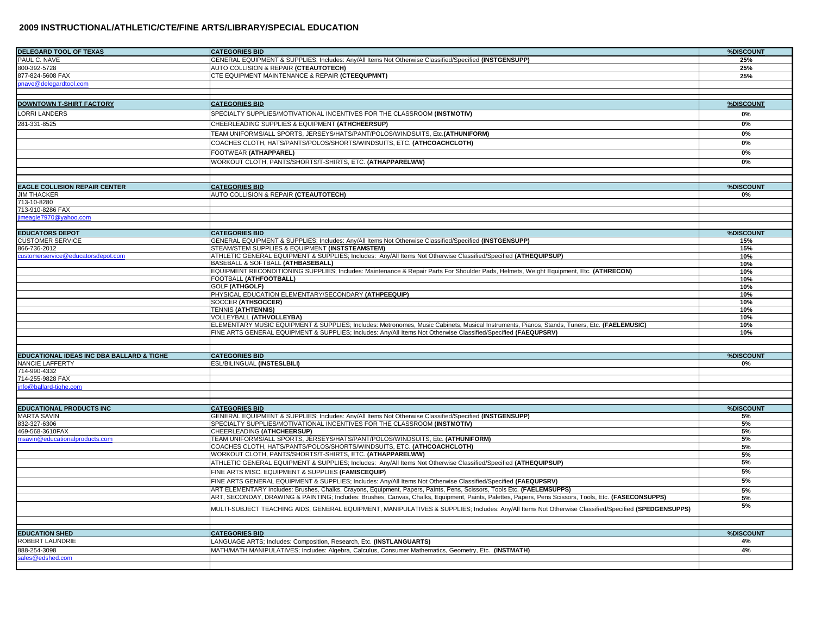| <b>DELEGARD TOOL OF TEXAS</b>             | <b>CATEGORIES BID</b>                                                                                                                                           | %DISCOUNT  |
|-------------------------------------------|-----------------------------------------------------------------------------------------------------------------------------------------------------------------|------------|
| PAUL C. NAVE                              | GENERAL EQUIPMENT & SUPPLIES; Includes: Any/All Items Not Otherwise Classified/Specified (INSTGENSUPP)                                                          | 25%        |
| 800-392-5728                              | AUTO COLLISION & REPAIR (CTEAUTOTECH)                                                                                                                           | 25%        |
| 877-824-5608 FAX                          | CTE EQUIPMENT MAINTENANCE & REPAIR (CTEEQUPMNT)                                                                                                                 | 25%        |
| onave@delegardtool.com                    |                                                                                                                                                                 |            |
|                                           |                                                                                                                                                                 |            |
| <b>DOWNTOWN T-SHIRT FACTORY</b>           | <b>CATEGORIES BID</b>                                                                                                                                           | %DISCOUNT  |
| <b>LORRI LANDERS</b>                      | SPECIALTY SUPPLIES/MOTIVATIONAL INCENTIVES FOR THE CLASSROOM (INSTMOTIV)                                                                                        | 0%         |
|                                           |                                                                                                                                                                 |            |
| 281-331-8525                              | CHEERLEADING SUPPLIES & EQUIPMENT (ATHCHEERSUP)                                                                                                                 | 0%         |
|                                           | TEAM UNIFORMS/ALL SPORTS, JERSEYS/HATS/PANT/POLOS/WINDSUITS, Etc.(ATHUNIFORM)                                                                                   | 0%         |
|                                           | COACHES CLOTH, HATS/PANTS/POLOS/SHORTS/WINDSUITS, ETC. (ATHCOACHCLOTH)                                                                                          | 0%         |
|                                           | FOOTWEAR (ATHAPPAREL)                                                                                                                                           | 0%         |
|                                           | WORKOUT CLOTH, PANTS/SHORTS/T-SHIRTS, ETC. (ATHAPPARELWW)                                                                                                       | 0%         |
|                                           |                                                                                                                                                                 |            |
|                                           |                                                                                                                                                                 |            |
| <b>EAGLE COLLISION REPAIR CENTER</b>      | <b>CATEGORIES BID</b>                                                                                                                                           | %DISCOUNT  |
| <b>JIM THACKER</b>                        | AUTO COLLISION & REPAIR (CTEAUTOTECH)                                                                                                                           | 0%         |
| 713-10-8280                               |                                                                                                                                                                 |            |
| 713-910-8286 FAX                          |                                                                                                                                                                 |            |
| imeagle7970@yahoo.com                     |                                                                                                                                                                 |            |
|                                           |                                                                                                                                                                 |            |
| <b>EDUCATORS DEPOT</b>                    | <b>CATEGORIES BID</b>                                                                                                                                           | %DISCOUNT  |
| <b>CUSTOMER SERVICE</b>                   | GENERAL EQUIPMENT & SUPPLIES; Includes: Any/All Items Not Otherwise Classified/Specified (INSTGENSUPP)                                                          | 15%        |
| 866-736-2012                              | STEAM/STEM SUPPLIES & EQUIPMENT (INSTSTEAMSTEM)                                                                                                                 | 15%        |
| customerservice@educatorsdepot.com        | ATHLETIC GENERAL EQUIPMENT & SUPPLIES; Includes: Any/All Items Not Otherwise Classified/Specified (ATHEQUIPSUP)                                                 | 10%        |
|                                           | <b>BASEBALL &amp; SOFTBALL (ATHBASEBALL)</b>                                                                                                                    | 10%        |
|                                           | EQUIPMENT RECONDITIONING SUPPLIES; Includes: Maintenance & Repair Parts For Shoulder Pads, Helmets, Weight Equipment, Etc. (ATHRECON)<br>FOOTBALL (ATHFOOTBALL) | 10%<br>10% |
|                                           | GOLF (ATHGOLF)                                                                                                                                                  | 10%        |
|                                           | PHYSICAL EDUCATION ELEMENTARY/SECONDARY (ATHPEEQUIP)                                                                                                            | 10%        |
|                                           | SOCCER (ATHSOCCER)                                                                                                                                              | 10%        |
|                                           | <b>TENNIS (ATHTENNIS)</b>                                                                                                                                       | 10%        |
|                                           | VOLLEYBALL (ATHVOLLEYBA)                                                                                                                                        | 10%        |
|                                           | ELEMENTARY MUSIC EQUIPMENT & SUPPLIES; Includes: Metronomes, Music Cabinets, Musical Instruments, Pianos, Stands, Tuners, Etc. (FAELEMUSIC)                     | 10%        |
|                                           | FINE ARTS GENERAL EQUIPMENT & SUPPLIES; Includes: Any/All Items Not Otherwise Classified/Specified (FAEQUPSRV)                                                  | 10%        |
|                                           |                                                                                                                                                                 |            |
|                                           |                                                                                                                                                                 |            |
| EDUCATIONAL IDEAS INC DBA BALLARD & TIGHE | <b>CATEGORIES BID</b>                                                                                                                                           | %DISCOUNT  |
| NANCIE LAFFERTY                           | ESL/BILINGUAL (INSTESLBILI)                                                                                                                                     | 0%         |
| 714-990-4332<br>714-255-9828 FAX          |                                                                                                                                                                 |            |
| nfo@ballard-tighe.com                     |                                                                                                                                                                 |            |
|                                           |                                                                                                                                                                 |            |
|                                           |                                                                                                                                                                 |            |
| <b>EDUCATIONAL PRODUCTS INC</b>           | <b>CATEGORIES BID</b>                                                                                                                                           | %DISCOUNT  |
| <b>MARTA SAVIN</b>                        | GENERAL EQUIPMENT & SUPPLIES; Includes: Any/All Items Not Otherwise Classified/Specified (INSTGENSUPP)                                                          | 5%         |
| 832-327-6306                              | SPECIALTY SUPPLIES/MOTIVATIONAL INCENTIVES FOR THE CLASSROOM (INSTMOTIV)                                                                                        | 5%         |
| 469-568-3610FAX                           | CHEERLEADING (ATHCHEERSUP)                                                                                                                                      | 5%         |
| nsavin@educationalproducts.com            | TEAM UNIFORMS/ALL SPORTS, JERSEYS/HATS/PANT/POLOS/WINDSUITS, Etc. (ATHUNIFORM)                                                                                  | 5%         |
|                                           | COACHES CLOTH, HATS/PANTS/POLOS/SHORTS/WINDSUITS, ETC. (ATHCOACHCLOTH)                                                                                          | 5%         |
|                                           | WORKOUT CLOTH, PANTS/SHORTS/T-SHIRTS, ETC. (ATHAPPARELWW)                                                                                                       | 5%<br>5%   |
|                                           | ATHLETIC GENERAL EQUIPMENT & SUPPLIES; Includes: Any/All Items Not Otherwise Classified/Specified (ATHEQUIPSUP)                                                 |            |
|                                           | FINE ARTS MISC. EQUIPMENT & SUPPLIES (FAMISCEQUIP)                                                                                                              | 5%         |
|                                           | FINE ARTS GENERAL EQUIPMENT & SUPPLIES; Includes: Any/All Items Not Otherwise Classified/Specified (FAEQUPSRV)                                                  | 5%         |
|                                           | ART ELEMENTARY Includes: Brushes, Chalks, Crayons, Equipment, Papers, Paints, Pens, Scissors, Tools Etc. (FAELEMSUPPS)                                          | 5%         |
|                                           | ART, SECONDAY, DRAWING & PAINTING; Includes: Brushes, Canvas, Chalks, Equipment, Paints, Palettes, Papers, Pens Scissors, Tools, Etc. (FASECONSUPPS)            | 5%         |
|                                           | MULTI-SUBJECT TEACHING AIDS, GENERAL EQUIPMENT, MANIPULATIVES & SUPPLIES; Includes: Any/All Items Not Otherwise Classified/Specified (SPEDGENSUPPS)             | 5%         |
|                                           |                                                                                                                                                                 |            |
|                                           |                                                                                                                                                                 |            |
| <b>EDUCATION SHED</b>                     | <b>CATEGORIES BID</b>                                                                                                                                           | %DISCOUNT  |
| ROBERT LAUNDRIE                           | LANGUAGE ARTS; Includes: Composition, Research, Etc. (INSTLANGUARTS)                                                                                            | 4%         |
| 888-254-3098                              | MATH/MATH MANIPULATIVES; Includes: Algebra, Calculus, Consumer Mathematics, Geometry, Etc. (INSTMATH)                                                           | 4%         |
| ales@edshed.com                           |                                                                                                                                                                 |            |
|                                           |                                                                                                                                                                 |            |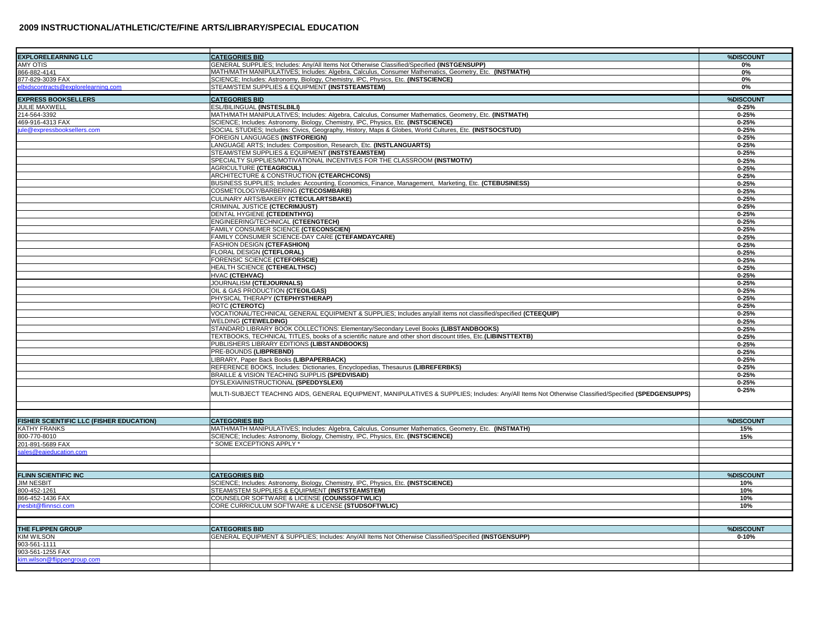| <b>EXPLORELEARNING LLC</b>               | <b>CATEGORIES BID</b>                                                                                                                               | %DISCOUNT              |
|------------------------------------------|-----------------------------------------------------------------------------------------------------------------------------------------------------|------------------------|
| <b>MY OTIS</b>                           | GENERAL SUPPLIES; Includes: Any/All Items Not Otherwise Classified/Specified (INSTGENSUPP)                                                          | 0%                     |
| 866-882-4141                             | MATH/MATH MANIPULATIVES; Includes: Algebra, Calculus, Consumer Mathematics, Geometry, Etc. (INSTMATH)                                               | 0%                     |
| 377-829-3039 FAX                         | SCIENCE; Includes: Astronomy, Biology, Chemistry, IPC, Physics, Etc. (INSTSCIENCE)                                                                  | 0%                     |
| lbidscontracts@explorelearning.com       | STEAM/STEM SUPPLIES & EQUIPMENT (INSTSTEAMSTEM)                                                                                                     | 0%                     |
| <b>EXPRESS BOOKSELLERS</b>               | <b>CATEGORIES BID</b>                                                                                                                               | %DISCOUNT              |
| <b>JULIE MAXWELL</b>                     | ESL/BILINGUAL (INSTESLBILI)                                                                                                                         | $0 - 25%$              |
| 214-564-3392                             | MATH/MATH MANIPULATIVES; Includes: Algebra, Calculus, Consumer Mathematics, Geometry, Etc. (INSTMATH)                                               | $0 - 25%$              |
| 469-916-4313 FAX                         | SCIENCE; Includes: Astronomy, Biology, Chemistry, IPC, Physics, Etc. (INSTSCIENCE)                                                                  | $0 - 25%$              |
| ule@expressbooksellers.com               | SOCIAL STUDIES; Includes: Civics, Geography, History, Maps & Globes, World Cultures, Etc. (INSTSOCSTUD)                                             | $0 - 25%$              |
|                                          | FOREIGN LANGUAGES (INSTFOREIGN)                                                                                                                     | $0 - 25%$              |
|                                          | LANGUAGE ARTS; Includes: Composition, Research, Etc. (INSTLANGUARTS)                                                                                | $0 - 25%$              |
|                                          | STEAM/STEM SUPPLIES & EQUIPMENT (INSTSTEAMSTEM)                                                                                                     | $0 - 25%$              |
|                                          | SPECIALTY SUPPLIES/MOTIVATIONAL INCENTIVES FOR THE CLASSROOM (INSTMOTIV)                                                                            | $0 - 25%$              |
|                                          | <b>AGRICULTURE (CTEAGRICUL)</b>                                                                                                                     | $0 - 25%$              |
|                                          | ARCHITECTURE & CONSTRUCTION (CTEARCHCONS)                                                                                                           | $0 - 25%$              |
|                                          | BUSINESS SUPPLIES; Includes: Accounting, Economics, Finance, Management, Marketing, Etc. (CTEBUSINESS)                                              | $0 - 25%$              |
|                                          | COSMETOLOGY/BARBERING (CTECOSMBARB)                                                                                                                 |                        |
|                                          | CULINARY ARTS/BAKERY (CTECULARTSBAKE)                                                                                                               | $0 - 25%$              |
|                                          | CRIMINAL JUSTICE (CTECRIMJUST)                                                                                                                      | $0 - 25%$<br>$0 - 25%$ |
|                                          |                                                                                                                                                     |                        |
|                                          | DENTAL HYGIENE (CTEDENTHYG)                                                                                                                         | $0 - 25%$              |
|                                          | ENGINEERING/TECHNICAL (CTEENGTECH)                                                                                                                  | $0 - 25%$              |
|                                          | FAMILY CONSUMER SCIENCE (CTECONSCIEN)                                                                                                               | $0 - 25%$              |
|                                          | FAMILY CONSUMER SCIENCE-DAY CARE (CTEFAMDAYCARE)                                                                                                    | $0 - 25%$              |
|                                          | FASHION DESIGN (CTEFASHION)                                                                                                                         | $0 - 25%$              |
|                                          | <b>FLORAL DESIGN (CTEFLORAL)</b>                                                                                                                    | $0 - 25%$              |
|                                          | FORENSIC SCIENCE (CTEFORSCIE)                                                                                                                       | $0 - 25%$              |
|                                          | <b>HEALTH SCIENCE (CTEHEALTHSC)</b>                                                                                                                 | $0 - 25%$              |
|                                          | HVAC (CTEHVAC)                                                                                                                                      | $0 - 25%$              |
|                                          | JOURNALISM (CTEJOURNALS)                                                                                                                            | $0 - 25%$              |
|                                          | OIL & GAS PRODUCTION (CTEOILGAS)                                                                                                                    | $0 - 25%$              |
|                                          | PHYSICAL THERAPY (CTEPHYSTHERAP)                                                                                                                    | $0 - 25%$              |
|                                          | ROTC (CTEROTC)                                                                                                                                      | $0 - 25%$              |
|                                          | VOCATIONAL/TECHNICAL GENERAL EQUIPMENT & SUPPLIES: Includes any/all items not classified/specified (CTEEQUIP)                                       | $0 - 25%$              |
|                                          | <b>WELDING (CTEWELDING)</b>                                                                                                                         | $0 - 25%$              |
|                                          | STANDARD LIBRARY BOOK COLLECTIONS: Elementary/Secondary Level Books (LIBSTANDBOOKS)                                                                 | $0 - 25%$              |
|                                          | TEXTBOOKS, TECHNICAL TITLES, books of a scientific nature and other short discount titles, Etc. (LIBINSTTEXTB)                                      | $0 - 25%$              |
|                                          | PUBLISHERS LIBRARY EDITIONS (LIBSTANDBOOKS)                                                                                                         | $0 - 25%$              |
|                                          | <b>PRE-BOUNDS (LIBPREBND)</b>                                                                                                                       | $0 - 25%$              |
|                                          | LIBRARY, Paper Back Books (LIBPAPERBACK)                                                                                                            | $0 - 25%$              |
|                                          | REFERENCE BOOKS, Includes: Dictionaries, Encyclopedias, Thesaurus (LIBREFERBKS)                                                                     | $0 - 25%$              |
|                                          | BRAILLE & VISION TEACHING SUPPLIS (SPEDVISAID)                                                                                                      | $0 - 25%$              |
|                                          | DYSLEXIA/INISTRUCTIONAL (SPEDDYSLEXI)                                                                                                               | $0 - 25%$              |
|                                          | MULTI-SUBJECT TEACHING AIDS, GENERAL EQUIPMENT, MANIPULATIVES & SUPPLIES; Includes: Any/All Items Not Otherwise Classified/Specified (SPEDGENSUPPS) | $0 - 25%$              |
|                                          |                                                                                                                                                     |                        |
| FISHER SCIENTIFIC LLC (FISHER EDUCATION) | <b>CATEGORIES BID</b>                                                                                                                               | %DISCOUNT              |
|                                          | MATH/MATH MANIPULATIVES; Includes: Algebra, Calculus, Consumer Mathematics, Geometry, Etc. (INSTMATH)                                               |                        |
| KATHY FRANKS                             |                                                                                                                                                     | 15%                    |
| 800-770-8010<br>201-891-5689 FAX         | SCIENCE; Includes: Astronomy, Biology, Chemistry, IPC, Physics, Etc. (INSTSCIENCE)<br>SOME EXCEPTIONS APPLY *                                       | 15%                    |
| ales@eaieducation.com                    |                                                                                                                                                     |                        |
|                                          |                                                                                                                                                     |                        |
| FLINN SCIENTIFIC INC                     | <b>CATEGORIES BID</b>                                                                                                                               | %DISCOUNT              |
| <b>JIM NESBIT</b>                        | SCIENCE; Includes: Astronomy, Biology, Chemistry, IPC, Physics, Etc. (INSTSCIENCE)                                                                  | 10%                    |
| 800-452-1261                             | STEAM/STEM SUPPLIES & EQUIPMENT (INSTSTEAMSTEM)                                                                                                     | 10%                    |
| 866-452-1436 FAX                         | COUNSELOR SOFTWARE & LICENSE (COUNSSOFTWLIC)                                                                                                        | 10%                    |
| nesbit@flinnsci.com                      | CORE CURRICULUM SOFTWARE & LICENSE (STUDSOFTWLIC)                                                                                                   | 10%                    |
|                                          |                                                                                                                                                     |                        |
|                                          |                                                                                                                                                     |                        |
| THE FLIPPEN GROUP                        |                                                                                                                                                     |                        |
|                                          | <b>CATEGORIES BID</b>                                                                                                                               | %DISCOUNT              |
| <b>IM WILSON</b>                         | GENERAL EQUIPMENT & SUPPLIES; Includes: Any/All Items Not Otherwise Classified/Specified (INSTGENSUPP)                                              | $0 - 10%$              |
| 903-561-1111                             |                                                                                                                                                     |                        |
| 903-561-1255 FAX                         |                                                                                                                                                     |                        |
| sim.wilson@flippengroup.com              |                                                                                                                                                     |                        |
|                                          |                                                                                                                                                     |                        |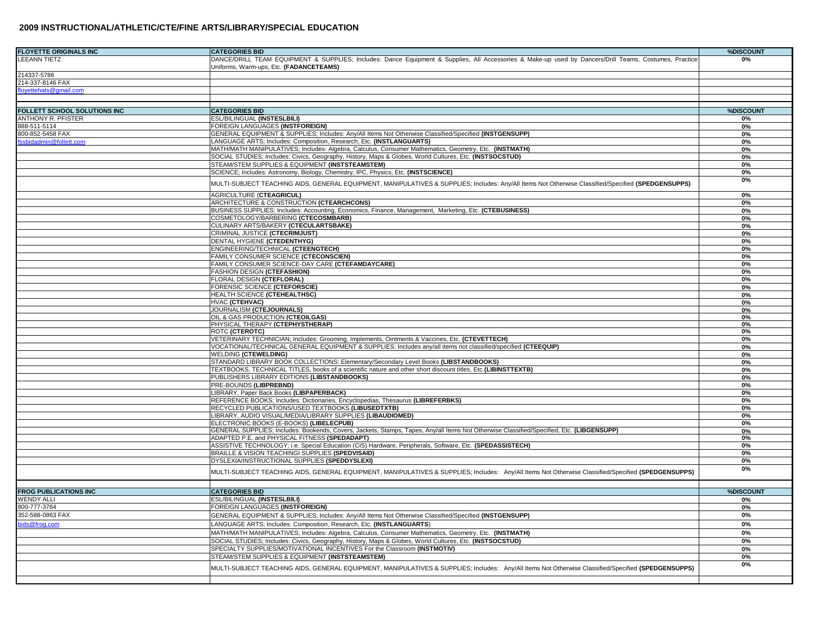| <b>FLOYETTE ORIGINALS INC</b> | <b>CATEGORIES BID</b>                                                                                                                                  | %DISCOUNT |
|-------------------------------|--------------------------------------------------------------------------------------------------------------------------------------------------------|-----------|
| <b>EEANN TIETZ</b>            | DANCE/DRILL TEAM EQUIPMENT & SUPPLIES; Includes: Dance Equipment & Supplies, All Accessories & Make-up used by Dancers/Drill Teams, Costumes, Practice | 0%        |
|                               | Uniforms, Warm-ups, Etc. (FADANCETEAMS)                                                                                                                |           |
| 214337-5786                   |                                                                                                                                                        |           |
| 214-337-8146 FAX              |                                                                                                                                                        |           |
| loyettehats@gmail.com         |                                                                                                                                                        |           |
|                               |                                                                                                                                                        |           |
|                               |                                                                                                                                                        |           |
| FOLLETT SCHOOL SOLUTIONS INC  | <b>CATEGORIES BID</b>                                                                                                                                  | %DISCOUNT |
| ANTHONY R. PFISTER            | ESL/BILINGUAL (INSTESLBILI)                                                                                                                            | 0%        |
| 888-511-5114                  | FOREIGN LANGUAGES (INSTFOREIGN)                                                                                                                        | 0%        |
| 800-852-5458 FAX              | GENERAL EQUIPMENT & SUPPLIES; Includes: Any/All Items Not Otherwise Classified/Specified (INSTGENSUPP)                                                 | 0%        |
| ssbidadmin@follett.com        | LANGUAGE ARTS; Includes: Composition, Research, Etc. (INSTLANGUARTS)                                                                                   | 0%        |
|                               | MATH/MATH MANIPULATIVES; Includes: Algebra, Calculus, Consumer Mathematics, Geometry, Etc. (INSTMATH)                                                  | 0%        |
|                               | SOCIAL STUDIES; Includes: Civics, Geography, History, Maps & Globes, World Cultures, Etc. (INSTSOCSTUD)                                                | 0%        |
|                               | STEAM/STEM SUPPLIES & EQUIPMENT (INSTSTEAMSTEM)                                                                                                        | 0%        |
|                               | SCIENCE; Includes: Astronomy, Biology, Chemistry, IPC, Physics, Etc. (INSTSCIENCE)                                                                     | 0%        |
|                               | MULTI-SUBJECT TEACHING AIDS, GENERAL EQUIPMENT, MANIPULATIVES & SUPPLIES; Includes: Any/All Items Not Otherwise Classified/Specified (SPEDGENSUPPS)    | 0%        |
|                               | <b>AGRICULTURE (CTEAGRICUL)</b>                                                                                                                        | 0%        |
|                               | ARCHITECTURE & CONSTRUCTION (CTEARCHCONS)                                                                                                              | 0%        |
|                               | BUSINESS SUPPLIES; Includes: Accounting, Economics, Finance, Management, Marketing, Etc. (CTEBUSINESS)                                                 | 0%        |
|                               | COSMETOLOGY/BARBERING (CTECOSMBARB)                                                                                                                    | 0%        |
|                               | CULINARY ARTS/BAKERY (CTECULARTSBAKE)                                                                                                                  | 0%        |
|                               | CRIMINAL JUSTICE (CTECRIMJUST)                                                                                                                         | 0%        |
|                               | DENTAL HYGIENE (CTEDENTHYG)                                                                                                                            | 0%        |
|                               | ENGINEERING/TECHNICAL (CTEENGTECH)                                                                                                                     | 0%        |
|                               | FAMILY CONSUMER SCIENCE (CTECONSCIEN)                                                                                                                  | 0%        |
|                               | FAMILY CONSUMER SCIENCE-DAY CARE (CTEFAMDAYCARE)                                                                                                       | 0%        |
|                               | FASHION DESIGN (CTEFASHION)                                                                                                                            | 0%        |
|                               | FLORAL DESIGN (CTEFLORAL)                                                                                                                              | 0%        |
|                               | FORENSIC SCIENCE (CTEFORSCIE)                                                                                                                          | 0%        |
|                               | HEALTH SCIENCE (CTEHEALTHSC)                                                                                                                           | 0%        |
|                               | HVAC (CTEHVAC)                                                                                                                                         | 0%        |
|                               | JOURNALISM (CTEJOURNALS)                                                                                                                               | 0%        |
|                               | OIL & GAS PRODUCTION (CTEOILGAS)                                                                                                                       | 0%        |
|                               | PHYSICAL THERAPY (CTEPHYSTHERAP)                                                                                                                       | 0%        |
|                               | <b>ROTC (CTEROTC)</b>                                                                                                                                  | 0%        |
|                               | VETERINARY TECHNICIAN; Includes: Grooming, Implements, Ointments & Vaccines, Etc. (CTEVETTECH)                                                         | 0%        |
|                               | VOCATIONAL/TECHNICAL GENERAL EQUIPMENT & SUPPLIES; Includes any/all items not classified/specified (CTEEQUIP)                                          | 0%        |
|                               | <b>WELDING (CTEWELDING)</b>                                                                                                                            | 0%        |
|                               | STANDARD LIBRARY BOOK COLLECTIONS: Elementary/Secondary Level Books (LIBSTANDBOOKS)                                                                    | 0%        |
|                               | TEXTBOOKS, TECHNICAL TITLES, books of a scientific nature and other short discount titles, Etc. (LIBINSTTEXTB)                                         | 0%        |
|                               | PUBLISHERS LIBRARY EDITIONS (LIBSTANDBOOKS)                                                                                                            | 0%        |
|                               | PRE-BOUNDS (LIBPREBND)                                                                                                                                 | 0%        |
|                               | LIBRARY, Paper Back Books (LIBPAPERBACK)                                                                                                               | 0%        |
|                               | REFERENCE BOOKS; Includes: Dictionaries, Encyclopedias, Thesaurus (LIBREFERBKS)                                                                        | 0%        |
|                               | RECYCLED PUBLICATIONS/USED TEXTBOOKS (LIBUSEDTXTB)                                                                                                     | 0%        |
|                               | LIBRARY, AUDIO VISUAL/MEDIA/LIBRARY SUPPLIES (LIBAUDIOMED)                                                                                             | 0%        |
|                               | ELECTRONIC BOOKS (E-BOOKS) (LIBELECPUB)                                                                                                                | 0%        |
|                               | GENERAL SUPPLIES; Includes: Bookends, Covers, Jackets, Stamps, Tapes, Any/all Items Not Otherwise Classified/Specified, Etc. (LIBGENSUPP)              | 0%        |
|                               | ADAPTED P.E. and PHYSICAL FITNESS (SPEDADAPT)                                                                                                          | 0%        |
|                               | ASSISTIVE TECHNOLOGY; i.e. Special Education (CIS) Hardware, Peripherals, Software, Etc. (SPEDASSISTECH)                                               | 0%        |
|                               | BRAILLE & VISION TEACHINGI SUPPLIES (SPEDVISAID)                                                                                                       | 0%        |
|                               | DYSLEXIA/INSTRUCTIONAL SUPPLIES (SPEDDYSLEXI)                                                                                                          | 0%        |
|                               | MULTI-SUBJECT TEACHING AIDS, GENERAL EQUIPMENT, MANIPULATIVES & SUPPLIES; Includes: Any/All Items Not Otherwise Classified/Specified (SPEDGENSUPPS)    | 0%        |
|                               |                                                                                                                                                        |           |
| <b>FROG PUBLICATIONS INC</b>  | <b>CATEGORIES BID</b>                                                                                                                                  | %DISCOUNT |
| <b>NENDY ALLI</b>             | ESL/BILINGUAL (INSTESLBILI)                                                                                                                            | 0%        |
| 300-777-3764                  | FOREIGN LANGUAGES (INSTFOREIGN)                                                                                                                        | 0%        |
| 352-588-0863 FAX              | GENERAL EQUIPMENT & SUPPLIES; Includes: Any/All Items Not Otherwise Classified/Specified (INSTGENSUPP)                                                 | 0%        |
| oids@frog.com                 | LANGUAGE ARTS; Includes: Composition, Research, Etc. (INSTLANGUARTS)                                                                                   | 0%        |
|                               | MATH/MATH MANIPULATIVES; Includes: Algebra, Calculus, Consumer Mathematics, Geometry, Etc. (INSTMATH)                                                  | 0%        |
|                               |                                                                                                                                                        |           |
|                               | SOCIAL STUDIES; Includes: Civics, Geography, History, Maps & Globes, World Cultures, Etc. (INSTSOCSTUD)                                                | 0%        |
|                               | SPECIALTY SUPPLIES/MOTIVATIONAL INCENTIVES For the Classroom (INSTMOTIV)                                                                               | 0%        |
|                               | STEAM/STEM SUPPLIES & EQUIPMENT (INSTSTEAMSTEM)                                                                                                        | 0%        |
|                               | MULTI-SUBJECT TEACHING AIDS, GENERAL EQUIPMENT, MANIPULATIVES & SUPPLIES; Includes: Any/All Items Not Otherwise Classified/Specified (SPEDGENSUPPS)    | 0%        |
|                               |                                                                                                                                                        |           |
|                               |                                                                                                                                                        |           |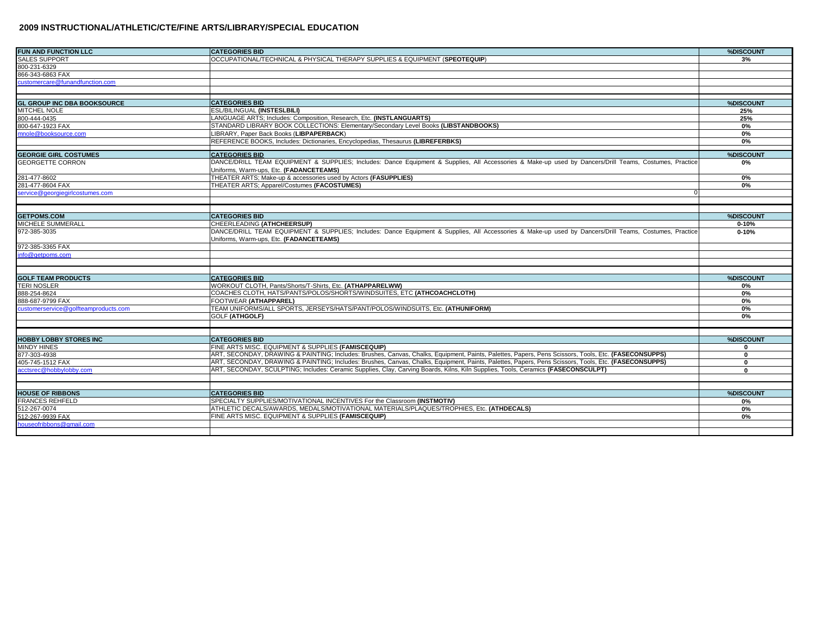| <b>FUN AND FUNCTION LLC</b>          | <b>CATEGORIES BID</b>                                                                                                                                  | %DISCOUNT    |
|--------------------------------------|--------------------------------------------------------------------------------------------------------------------------------------------------------|--------------|
| <b>SALES SUPPORT</b>                 | OCCUPATIONAL/TECHNICAL & PHYSICAL THERAPY SUPPLIES & EQUIPMENT (SPEOTEQUIP)                                                                            | 3%           |
| 800-231-6329                         |                                                                                                                                                        |              |
| 866-343-6863 FAX                     |                                                                                                                                                        |              |
| customercare@funandfunction.com      |                                                                                                                                                        |              |
|                                      |                                                                                                                                                        |              |
| <b>GL GROUP INC DBA BOOKSOURCE</b>   | <b>CATEGORIES BID</b>                                                                                                                                  | %DISCOUNT    |
| MITCHEL NOLE                         | <b>ESL/BILINGUAL (INSTESLBILI)</b>                                                                                                                     | 25%          |
| 800-444-0435                         | LANGUAGE ARTS; Includes: Composition, Research, Etc. (INSTLANGUARTS)                                                                                   | 25%          |
| 800-647-1923 FAX                     | STANDARD LIBRARY BOOK COLLECTIONS: Elementary/Secondary Level Books (LIBSTANDBOOKS)                                                                    | 0%           |
| mnole@booksource.com                 | LIBRARY, Paper Back Books (LIBPAPERBACK)                                                                                                               | 0%           |
|                                      | REFERENCE BOOKS, Includes: Dictionaries, Encyclopedias, Thesaurus (LIBREFERBKS)                                                                        | 0%           |
| <b>GEORGIE GIRL COSTUMES</b>         | <b>CATEGORIES BID</b>                                                                                                                                  | %DISCOUNT    |
| <b>GEORGETTE CORRON</b>              | DANCE/DRILL TEAM EQUIPMENT & SUPPLIES; Includes: Dance Equipment & Supplies, All Accessories & Make-up used by Dancers/Drill Teams, Costumes, Practice | 0%           |
|                                      | Uniforms, Warm-ups, Etc. (FADANCETEAMS)                                                                                                                |              |
| 281-477-8602                         | THEATER ARTS; Make-up & accessories used by Actors (FASUPPLIES)                                                                                        | 0%           |
| 281-477-8604 FAX                     | THEATER ARTS; Apparel/Costumes (FACOSTUMES)                                                                                                            | 0%           |
| service@aeoraieairlcostumes.com      | ŋ                                                                                                                                                      |              |
|                                      |                                                                                                                                                        |              |
| <b>GETPOMS.COM</b>                   | <b>CATEGORIES BID</b>                                                                                                                                  | %DISCOUNT    |
| MICHELE SUMMERALL                    | CHEERLEADING (ATHCHEERSUP)                                                                                                                             | $0 - 10%$    |
| 972-385-3035                         | DANCE/DRILL TEAM EQUIPMENT & SUPPLIES; Includes: Dance Equipment & Supplies, All Accessories & Make-up used by Dancers/Drill Teams, Costumes, Practice | $0 - 10%$    |
|                                      | Uniforms, Warm-ups, Etc. (FADANCETEAMS)                                                                                                                |              |
| 972-385-3365 FAX                     |                                                                                                                                                        |              |
| info@getpoms.com                     |                                                                                                                                                        |              |
|                                      |                                                                                                                                                        |              |
| <b>GOLF TEAM PRODUCTS</b>            | <b>CATEGORIES BID</b>                                                                                                                                  | %DISCOUNT    |
| <b>TERI NOSLER</b>                   | WORKOUT CLOTH, Pants/Shorts/T-Shirts, Etc. (ATHAPPARELWW)                                                                                              | 0%           |
| 888-254-8624                         | COACHES CLOTH, HATS/PANTS/POLOS/SHORTS/WINDSUITES, ETC (ATHCOACHCLOTH)                                                                                 | 0%           |
| 888-687-9799 FAX                     | <b>FOOTWEAR (ATHAPPAREL)</b>                                                                                                                           | 0%           |
| customerservice@golfteamproducts.com | TEAM UNIFORMS/ALL SPORTS, JERSEYS/HATS/PANT/POLOS/WINDSUITS, Etc. (ATHUNIFORM)                                                                         | 0%           |
|                                      | <b>GOLF (ATHGOLF)</b>                                                                                                                                  | 0%           |
|                                      |                                                                                                                                                        |              |
|                                      |                                                                                                                                                        |              |
| <b>HOBBY LOBBY STORES INC</b>        | <b>CATEGORIES BID</b>                                                                                                                                  | %DISCOUNT    |
| <b>MINDY HINES</b>                   | FINE ARTS MISC. EQUIPMENT & SUPPLIES (FAMISCEQUIP)                                                                                                     | $\bf{0}$     |
| 877-303-4938                         | ART, SECONDAY, DRAWING & PAINTING; Includes: Brushes, Canvas, Chalks, Equipment, Paints, Palettes, Papers, Pens Scissors, Tools, Etc. (FASECONSUPPS)   | $\mathbf 0$  |
| 405-745-1512 FAX                     | ART, SECONDAY, DRAWING & PAINTING; Includes: Brushes, Canvas, Chalks, Equipment, Paints, Palettes, Papers, Pens Scissors, Tools, Etc. (FASECONSUPPS)   | $\bf{0}$     |
| acctsrec@hobbylobby.com              | ART, SECONDAY, SCULPTING; Includes: Ceramic Supplies, Clay, Carving Boards, Kilns, Kiln Supplies, Tools, Ceramics (FASECONSCULPT)                      | $\mathbf{0}$ |
|                                      |                                                                                                                                                        |              |
| <b>HOUSE OF RIBBONS</b>              | <b>CATEGORIES BID</b>                                                                                                                                  | %DISCOUNT    |
| <b>FRANCES REHFELD</b>               | SPECIALTY SUPPLIES/MOTIVATIONAL INCENTIVES For the Classroom (INSTMOTIV)                                                                               | 0%           |
| 512-267-0074                         | ATHLETIC DECALS/AWARDS, MEDALS/MOTIVATIONAL MATERIALS/PLAQUES/TROPHIES, Etc. (ATHDECALS)                                                               | 0%           |
| 512-267-9939 FAX                     | FINE ARTS MISC. EQUIPMENT & SUPPLIES (FAMISCEQUIP)                                                                                                     | 0%           |
| houseofribbons@gmail.com             |                                                                                                                                                        |              |
|                                      |                                                                                                                                                        |              |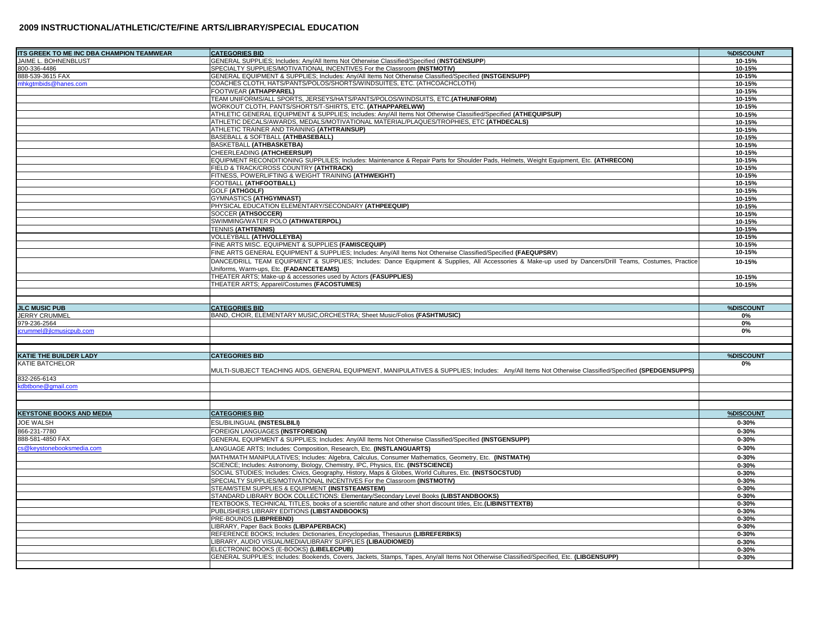| TS GREEK TO ME INC DBA CHAMPION TEAMWEAR | <b>CATEGORIES BID</b>                                                                                                                                  | %DISCOUNT |
|------------------------------------------|--------------------------------------------------------------------------------------------------------------------------------------------------------|-----------|
| JAIME L. BOHNENBLUST                     | GENERAL SUPPLIES; Includes: Any/All Items Not Otherwise Classified/Specified (INSTGENSUPP)                                                             | 10-15%    |
| 800-336-4486                             | SPECIALTY SUPPLIES/MOTIVATIONAL INCENTIVES For the Classroom (INSTMOTIV)                                                                               | 10-15%    |
| 888-539-3615 FAX                         | GENERAL EQUIPMENT & SUPPLIES; Includes: Any/All Items Not Otherwise Classified/Specified (INSTGENSUPP)                                                 | 10-15%    |
| nhkgtmbids@hanes.com                     | COACHES CLOTH, HATS/PANTS/POLOS/SHORTS/WINDSUITES, ETC. (ATHCOACHCLOTH)                                                                                | 10-15%    |
|                                          | <b>FOOTWEAR (ATHAPPAREL)</b>                                                                                                                           | 10-15%    |
|                                          | TEAM UNIFORMS/ALL SPORTS, JERSEYS/HATS/PANTS/POLOS/WINDSUITS, ETC.(ATHUNIFORM)                                                                         | 10-15%    |
|                                          | WORKOUT CLOTH, PANTS/SHORTS/T-SHIRTS, ETC. (ATHAPPARELWW)                                                                                              | 10-15%    |
|                                          | ATHLETIC GENERAL EQUIPMENT & SUPPLIES; Includes: Any/All Items Not Otherwise Classified/Specified (ATHEQUIPSUP)                                        | 10-15%    |
|                                          | ATHLETIC DECALS/AWARDS, MEDALS/MOTIVATIONAL MATERIAL/PLAQUES/TROPHIES, ETC (ATHDECALS)                                                                 | 10-15%    |
|                                          | ATHLETIC TRAINER AND TRAINING (ATHTRAINSUP)                                                                                                            | 10-15%    |
|                                          | BASEBALL & SOFTBALL (ATHBASEBALL)                                                                                                                      | 10-15%    |
|                                          | BASKETBALL (ATHBASKETBA)                                                                                                                               | 10-15%    |
|                                          | CHEERLEADING (ATHCHEERSUP)                                                                                                                             | 10-15%    |
|                                          | EQUIPMENT RECONDITIONING SUPPLILES; Includes: Maintenance & Repair Parts for Shoulder Pads, Helmets, Weight Equipment, Etc. (ATHRECON)                 | 10-15%    |
|                                          | FIELD & TRACK/CROSS COUNTRY (ATHTRACK)                                                                                                                 | 10-15%    |
|                                          | FITNESS, POWERLIFTING & WEIGHT TRAINING (ATHWEIGHT)                                                                                                    | 10-15%    |
|                                          | <b>FOOTBALL (ATHFOOTBALL)</b>                                                                                                                          | 10-15%    |
|                                          | <b>GOLF (ATHGOLF)</b>                                                                                                                                  | 10-15%    |
|                                          | <b>GYMNASTICS (ATHGYMNAST)</b>                                                                                                                         | 10-15%    |
|                                          | PHYSICAL EDUCATION ELEMENTARY/SECONDARY (ATHPEEQUIP)                                                                                                   | 10-15%    |
|                                          | SOCCER (ATHSOCCER)                                                                                                                                     | 10-15%    |
|                                          | SWIMMING/WATER POLO (ATHWATERPOL)                                                                                                                      | 10-15%    |
|                                          | <b>TENNIS (ATHTENNIS)</b>                                                                                                                              | 10-15%    |
|                                          | VOLLEYBALL (ATHVOLLEYBA)                                                                                                                               | 10-15%    |
|                                          | FINE ARTS MISC. EQUIPMENT & SUPPLIES (FAMISCEQUIP)                                                                                                     | 10-15%    |
|                                          | FINE ARTS GENERAL EQUIPMENT & SUPPLIES; Includes: Any/All Items Not Otherwise Classified/Specified (FAEQUPSRV)                                         | 10-15%    |
|                                          | DANCE/DRILL TEAM EQUIPMENT & SUPPLIES; Includes: Dance Equipment & Supplies, All Accessories & Make-up used by Dancers/Drill Teams, Costumes, Practice | 10-15%    |
|                                          | Uniforms, Warm-ups, Etc. (FADANCETEAMS)                                                                                                                |           |
|                                          | THEATER ARTS; Make-up & accessories used by Actors (FASUPPLIES)                                                                                        | 10-15%    |
|                                          | THEATER ARTS; Apparel/Costumes (FACOSTUMES)                                                                                                            | 10-15%    |
|                                          |                                                                                                                                                        |           |
|                                          |                                                                                                                                                        |           |
| <b>JLC MUSIC PUB</b>                     | <b>CATEGORIES BID</b>                                                                                                                                  | %DISCOUNT |
| <b>JERRY CRUMMEL</b>                     | BAND, CHOIR, ELEMENTARY MUSIC, ORCHESTRA; Sheet Music/Folios (FASHTMUSIC)                                                                              | 0%        |
| 379-236-2564                             |                                                                                                                                                        | 0%        |
| crummel@jlcmusicpub.com                  |                                                                                                                                                        | $0\%$     |
|                                          |                                                                                                                                                        |           |
|                                          |                                                                                                                                                        |           |
| KATIE THE BUILDER LADY                   | <b>CATEGORIES BID</b>                                                                                                                                  | %DISCOUNT |
| <b>KATIE BATCHELOR</b>                   |                                                                                                                                                        | 0%        |
|                                          | MULTI-SUBJECT TEACHING AIDS, GENERAL EQUIPMENT, MANIPULATIVES & SUPPLIES; Includes: Any/All Items Not Otherwise Classified/Specified (SPEDGENSUPPS)    |           |
| 332-265-6143                             |                                                                                                                                                        |           |
| dbtbone@gmail.com                        |                                                                                                                                                        |           |
|                                          |                                                                                                                                                        |           |
|                                          |                                                                                                                                                        |           |
| <b>(EYSTONE BOOKS AND MEDIA</b>          | <b>CATEGORIES BID</b>                                                                                                                                  | %DISCOUNT |
| JOE WALSH                                | ESL/BILINGUAL (INSTESLBILI)                                                                                                                            |           |
|                                          |                                                                                                                                                        | $0 - 30%$ |
| 366-231-7780                             | <b>FOREIGN LANGUAGES (INSTFOREIGN)</b>                                                                                                                 | $0 - 30%$ |
| 888-581-4850 FAX                         | GENERAL EQUIPMENT & SUPPLIES; Includes: Any/All Items Not Otherwise Classified/Specified (INSTGENSUPP)                                                 | $0 - 30%$ |
| s@keystonebooksmedia.com                 | LANGUAGE ARTS; Includes: Composition, Research, Etc. (INSTLANGUARTS)                                                                                   | $0 - 30%$ |
|                                          | MATH/MATH MANIPULATIVES; Includes: Algebra, Calculus, Consumer Mathematics, Geometry, Etc. (INSTMATH)                                                  | $0 - 30%$ |
|                                          | SCIENCE; Includes: Astronomy, Biology, Chemistry, IPC, Physics, Etc. (INSTSCIENCE)                                                                     | $0 - 30%$ |
|                                          | SOCIAL STUDIES; Includes: Civics, Geography, History, Maps & Globes, World Cultures, Etc. (INSTSOCSTUD)                                                | $0 - 30%$ |
|                                          | SPECIALTY SUPPLIES/MOTIVATIONAL INCENTIVES For the Classroom (INSTMOTIV)                                                                               | $0 - 30%$ |
|                                          | STEAM/STEM SUPPLIES & EQUIPMENT (INSTSTEAMSTEM)                                                                                                        | $0 - 30%$ |
|                                          | STANDARD LIBRARY BOOK COLLECTIONS: Elementary/Secondary Level Books (LIBSTANDBOOKS)                                                                    | $0 - 30%$ |
|                                          | TEXTBOOKS, TECHNICAL TITLES, books of a scientific nature and other short discount titles, Etc. (LIBINSTTEXTB)                                         | $0 - 30%$ |
|                                          | PUBLISHERS LIBRARY EDITIONS (LIBSTANDBOOKS)                                                                                                            | $0 - 30%$ |
|                                          | <b>PRE-BOUNDS (LIBPREBND)</b>                                                                                                                          | $0 - 30%$ |
|                                          | LIBRARY, Paper Back Books (LIBPAPERBACK)                                                                                                               | $0 - 30%$ |
|                                          | REFERENCE BOOKS; Includes: Dictionaries, Encyclopedias, Thesaurus (LIBREFERBKS)                                                                        | $0 - 30%$ |
|                                          | LIBRARY, AUDIO VISUAL/MEDIA/LIBRARY SUPPLIES (LIBAUDIOMED)                                                                                             | $0 - 30%$ |
|                                          | ELECTRONIC BOOKS (E-BOOKS) (LIBELECPUB)                                                                                                                | $0 - 30%$ |
|                                          | GENERAL SUPPLIES; Includes: Bookends, Covers, Jackets, Stamps, Tapes, Any/all Items Not Otherwise Classified/Specified, Etc. (LIBGENSUPP)              | $0 - 30%$ |
|                                          |                                                                                                                                                        |           |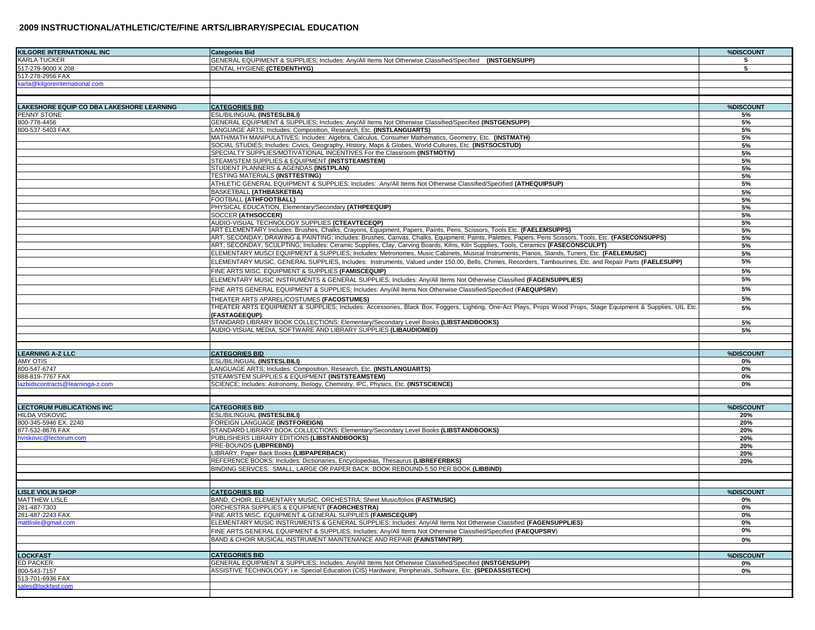| <b>KILGORE INTERNATIONAL INC</b>                                | <b>Categories Bid</b>                                                                                                                                         | %DISCOUNT  |
|-----------------------------------------------------------------|---------------------------------------------------------------------------------------------------------------------------------------------------------------|------------|
| KARLA TUCKER                                                    | GENERAL EQUPIMENT & SUPPLIES; Includes: Any/All Items Not Otherwise Classified/Specified (INSTGENSUPP)                                                        | 5          |
| 517-279-9000 X 208                                              | DENTAL HYGIENE (CTEDENTHYG)                                                                                                                                   | 5          |
| 517-278-2956 FAX                                                |                                                                                                                                                               |            |
| arla@kilgoreinternational.com                                   |                                                                                                                                                               |            |
|                                                                 |                                                                                                                                                               |            |
|                                                                 | <b>CATEGORIES BID</b>                                                                                                                                         | %DISCOUNT  |
| <b>LAKESHORE EQUIP CO DBA LAKESHORE LEARNING</b><br>PENNY STONE | ESL/BILINGUAL (INSTESLBILI)                                                                                                                                   | 5%         |
| 800-778-4456                                                    | GENERAL EQUIPMENT & SUPPLIES; Includes: Any/All Items Not Otherwise Classified/Specified (INSTGENSUPP)                                                        | 5%         |
| 800-537-5403 FAX                                                | LANGUAGE ARTS; Includes: Composition, Research, Etc. (INSTLANGUARTS)                                                                                          | 5%         |
|                                                                 | MATH/MATH MANIPULATIVES; Includes: Algebra, Calculus, Consumer Mathematics, Geometry, Etc. (INSTMATH)                                                         | 5%         |
|                                                                 | SOCIAL STUDIES; Includes: Civics, Geography, History, Maps & Globes, World Cultures, Etc. (INSTSOCSTUD)                                                       | 5%         |
|                                                                 | SPECIALTY SUPPLIES/MOTIVATIONAL INCENTIVES For the Classroom (INSTMOTIV)                                                                                      | 5%         |
|                                                                 | STEAM/STEM SUPPLIES & EQUIPMENT (INSTSTEAMSTEM)                                                                                                               | 5%         |
|                                                                 | STUDENT PLANNERS & AGENDAS (INSTPLAN)                                                                                                                         | 5%         |
|                                                                 | TESTING MATERIALS (INSTTESTING)                                                                                                                               | 5%         |
|                                                                 | ATHLETIC GENERAL EQUIPMENT & SUPPLIES; Includes: Any/All Items Not Otherwise Classified/Specified (ATHEQUIPSUP)                                               | 5%         |
|                                                                 | BASKETBALL (ATHBASKETBA)<br>FOOTBALL (ATHFOOTBALL)                                                                                                            | 5%<br>5%   |
|                                                                 | PHYSICAL EDUCATION, Elementary/Secondary (ATHPEEQUIP)                                                                                                         | 5%         |
|                                                                 | SOCCER (ATHSOCCER)                                                                                                                                            | 5%         |
|                                                                 | AUDIO-VISUAL TECHNOLOGY SUPPLIES (CTEAVTECEQP)                                                                                                                | 5%         |
|                                                                 | ART ELEMENTARY Includes: Brushes, Chalks, Crayons, Equipment, Papers, Paints, Pens, Scissors, Tools Etc. (FAELEMSUPPS)                                        | 5%         |
|                                                                 | ART, SECONDAY, DRAWING & PAINTING; Includes: Brushes, Canvas, Chalks, Equipment, Paints, Palettes, Papers, Pens Scissors, Tools, Etc. (FASECONSUPPS)          | 5%         |
|                                                                 | ART, SECONDAY, SCULPTING; Includes: Ceramic Supplies, Clay, Carving Boards, Kilns, Kiln Supplies, Tools, Ceramics (FASECONSCULPT)                             | 5%         |
|                                                                 | ELEMENTARY MUSCI EQUIPMENT & SUPPLIES; Includes: Metronomes, Music Cabinets, Musical Instruments, Pianos, Stands, Tuners, Etc. (FAELEMUSIC)                   | 5%         |
|                                                                 | ELEMENTARY MUSIC, GENERAL SUPPLIES, Includes: Instruments, Valued under 150.00, Bells, Chimes, Recorders, Tambourines, Etc. and Repair Parts (FAELESUPP)      | 5%         |
|                                                                 | FINE ARTS MISC. EQUIPMENT & SUPPLIES (FAMISCEQUIP)                                                                                                            | 5%         |
|                                                                 | ELEMENTARY MUSIC INSTRUMENTS & GENERAL SUPPLIES; Includes: Any/All Items Not Otherwise Classified (FAGENSUPPLIES)                                             | 5%         |
|                                                                 | FINE ARTS GENERAL EQUIPMENT & SUPPLIES; Includes: Any/All Items Not Otherwise Classified/Specified (FAEQUPSRV)                                                | 5%         |
|                                                                 | THEATER ARTS APAREL/COSTUMES (FACOSTUMES)                                                                                                                     | 5%         |
|                                                                 | THEATER ARTS EQUIPMENT & SUPPLIES; Includes: Accessories, Black Box, Foggers, Lighting, One-Act Plays, Props Wood Props, Stage Equipment & Supplies, UIL Etc. | 5%         |
|                                                                 | (FASTAGEEQUP)                                                                                                                                                 |            |
|                                                                 | STANDARD LIBRARY BOOK COLLECTIONS: Elementary/Secondary Level Books (LIBSTANDBOOKS)                                                                           | 5%         |
|                                                                 | AUDIO-VISUAL MEDIA, SOFTWARE AND LIBRARY SUPPLIES (LIBAUDIOMED)                                                                                               | 5%         |
|                                                                 |                                                                                                                                                               |            |
| <b>LEARNING A-Z LLC</b>                                         | <b>CATEGORIES BID</b>                                                                                                                                         | %DISCOUNT  |
| AMY OTIS                                                        | ESL/BILINGUAL (INSTESLBILI)                                                                                                                                   | 0%         |
| 800-547-6747                                                    | LANGUAGE ARTS; Includes: Composition, Research, Etc. (INSTLANGUARTS)                                                                                          | 0%         |
| 888-819-7767 FAX                                                | STEAM/STEM SUPPLIES & EQUIPMENT (INSTSTEAMSTEM)                                                                                                               | 0%         |
| azbidscontracts@learninga-z.com                                 | SCIENCE; Includes: Astronomy, Biology, Chemistry, IPC, Physics, Etc. (INSTSCIENCE)                                                                            | 0%         |
|                                                                 |                                                                                                                                                               |            |
|                                                                 |                                                                                                                                                               |            |
| <b>LECTORUM PUBLICATIONS INC</b>                                | <b>CATEGORIES BID</b>                                                                                                                                         | %DISCOUNT  |
| <b>HILDA VISKOVIC</b><br>800-345-5946 EX. 2240                  | ESL/BILINGUAL (INSTESLBILI)<br>FOREIGN LANGUAGE (INSTFOREIGN)                                                                                                 | 20%<br>20% |
| 877-532-8676 FAX                                                | STANDARD LIBRARY BOOK COLLECTIONS: Elementary/Secondary Level Books (LIBSTANDBOOKS)                                                                           | 20%        |
| wiskovic@lectorum.com                                           | PUBLISHERS LIBRARY EDITIONS (LIBSTANDBOOKS)                                                                                                                   | 20%        |
|                                                                 | PRE-BOUNDS (LIBPREBND)                                                                                                                                        | 20%        |
|                                                                 | LIBRARY, Paper Back Books (LIBPAPERBACK)                                                                                                                      | 20%        |
|                                                                 | REFERENCE BOOKS; Includes: Dictionaries, Encyclopedias, Thesaurus (LIBREFERBKS)                                                                               | 20%        |
|                                                                 | BINDING SERVCES: SMALL, LARGE OR PAPER BACK BOOK REBOUND-5.50 PER BOOK (LIBBIND)                                                                              |            |
|                                                                 |                                                                                                                                                               |            |
| <b>LISLE VIOLIN SHOP</b>                                        | <b>CATEGORIES BID</b>                                                                                                                                         | %DISCOUNT  |
| <b>MATTHEW LISLE</b>                                            | BAND, CHOIR, ELEMENTARY MUSIC, ORCHESTRA; Sheet Music/folios (FASTMUSIC)                                                                                      | 0%         |
| 281-487-7303                                                    | ORCHESTRA SUPPLIES & EQUIPMENT (FAORCHESTRA)                                                                                                                  | 0%         |
| 281-487-2243 FAX                                                | FINE ARTS MISC. EQUIPMENT & GENERAL SUPPLIES (FAMISCEQUIP)                                                                                                    | 0%         |
| nattlisle@gmail.com                                             | ELEMENTARY MUSIC INSTRUMENTS & GENERAL SUPPLIES; Includes: Any/All Items Not Otherwise Classified (FAGENSUPPLIES)                                             | 0%         |
|                                                                 | FINE ARTS GENERAL EQUIPMENT & SUPPLIES; Includes: Any/All Items Not Otherwise Classified/Specified (FAEQUPSRV)                                                | 0%         |
|                                                                 | BAND & CHOIR MUSICAL INSTRUMENT MAINTENANCE AND REPAIR (FAINSTMNTRP)                                                                                          | 0%         |
|                                                                 |                                                                                                                                                               |            |
| <b>LOCKFAST</b>                                                 | <b>CATEGORIES BID</b>                                                                                                                                         | %DISCOUNT  |
| ED PACKER                                                       | GENERAL EQUIPMENT & SUPPLIES; Includes: Any/All Items Not Otherwise Classified/Specified (INSTGENSUPP)                                                        | 0%         |
| 800-543-7157<br>513-701-6936 FAX                                | ASSISTIVE TECHNOLOGY; i.e. Special Education (CIS) Hardware, Peripherals, Software, Etc. (SPEDASSISTECH)                                                      | 0%         |
| sales@lockfast.com                                              |                                                                                                                                                               |            |
|                                                                 |                                                                                                                                                               |            |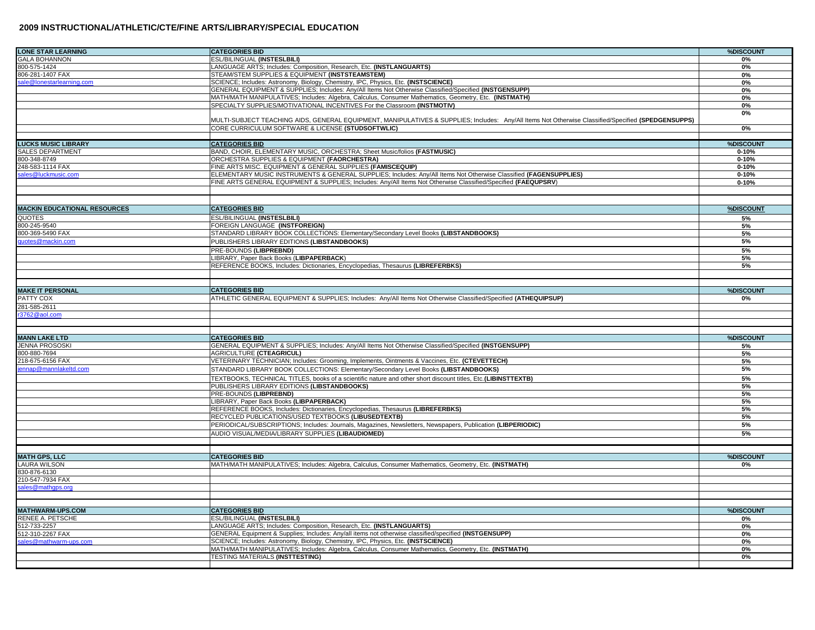| <b>LONE STAR LEARNING</b>           | <b>CATEGORIES BID</b>                                                                                                                               | %DISCOUNT |
|-------------------------------------|-----------------------------------------------------------------------------------------------------------------------------------------------------|-----------|
| <b>GALA BOHANNON</b>                | ESL/BILINGUAL (INSTESLBILI)                                                                                                                         | 0%        |
| 800-575-1424                        | LANGUAGE ARTS; Includes: Composition, Research, Etc. (INSTLANGUARTS)                                                                                | 0%        |
| 806-281-1407 FAX                    | STEAM/STEM SUPPLIES & EQUIPMENT (INSTSTEAMSTEM)                                                                                                     | 0%        |
| sale@lonestarlearning.com           | SCIENCE; Includes: Astronomy, Biology, Chemistry, IPC, Physics, Etc. (INSTSCIENCE)                                                                  | 0%        |
|                                     | GENERAL EQUIPMENT & SUPPLIES; Includes: Any/All Items Not Otherwise Classified/Specified (INSTGENSUPP)                                              | 0%        |
|                                     | MATH/MATH MANIPULATIVES; Includes: Algebra, Calculus, Consumer Mathematics, Geometry, Etc. (INSTMATH)                                               | 0%        |
|                                     | SPECIALTY SUPPLIES/MOTIVATIONAL INCENTIVES For the Classroom (INSTMOTIV)                                                                            | 0%        |
|                                     |                                                                                                                                                     | 0%        |
|                                     | MULTI-SUBJECT TEACHING AIDS, GENERAL EQUIPMENT, MANIPULATIVES & SUPPLIES; Includes: Any/All Items Not Otherwise Classified/Specified (SPEDGENSUPPS) |           |
|                                     | CORE CURRICULUM SOFTWARE & LICENSE (STUDSOFTWLIC)                                                                                                   | 0%        |
|                                     |                                                                                                                                                     |           |
| <b>LUCKS MUSIC LIBRARY</b>          | <b>CATEGORIES BID</b>                                                                                                                               | %DISCOUN1 |
| <b>SALES DEPARTMENT</b>             | BAND, CHOIR, ELEMENTARY MUSIC, ORCHESTRA; Sheet Music/folios (FASTMUSIC)                                                                            | $0 - 10%$ |
| 800-348-8749                        | ORCHESTRA SUPPLIES & EQUIPMENT (FAORCHESTRA)                                                                                                        | $0 - 10%$ |
| 248-583-1114 FAX                    | FINE ARTS MISC. EQUIPMENT & GENERAL SUPPLIES (FAMISCEQUIP)                                                                                          | $0 - 10%$ |
| ales@luckmusic.com                  | ELEMENTARY MUSIC INSTRUMENTS & GENERAL SUPPLIES; Includes: Any/All Items Not Otherwise Classified (FAGENSUPPLIES)                                   | $0 - 10%$ |
|                                     | FINE ARTS GENERAL EQUIPMENT & SUPPLIES; Includes: Any/All Items Not Otherwise Classified/Specified (FAEQUPSRV)                                      | $0 - 10%$ |
|                                     |                                                                                                                                                     |           |
|                                     |                                                                                                                                                     |           |
| <b>MACKIN EDUCATIONAL RESOURCES</b> | <b>CATEGORIES BID</b>                                                                                                                               | %DISCOUNT |
| QUOTES                              | <b>ESL/BILINGUAL (INSTESLBILI)</b>                                                                                                                  | 5%        |
| 800-245-9540                        | FOREIGN LANGUAGE (INSTFOREIGN)                                                                                                                      | 5%        |
| 800-369-5490 FAX                    | STANDARD LIBRARY BOOK COLLECTIONS: Elementary/Secondary Level Books (LIBSTANDBOOKS)                                                                 | 5%        |
| uotes@mackin.com                    | PUBLISHERS LIBRARY EDITIONS (LIBSTANDBOOKS)                                                                                                         | 5%        |
|                                     | PRE-BOUNDS (LIBPREBND)                                                                                                                              | 5%        |
|                                     | LIBRARY, Paper Back Books (LIBPAPERBACK)                                                                                                            | 5%        |
|                                     | REFERENCE BOOKS, Includes: Dictionaries, Encyclopedias, Thesaurus (LIBREFERBKS)                                                                     | $5%$      |
|                                     |                                                                                                                                                     |           |
|                                     |                                                                                                                                                     |           |
| <b>MAKE IT PERSONAL</b>             | <b>CATEGORIES BID</b>                                                                                                                               | %DISCOUNT |
| PATTY COX                           | ATHLETIC GENERAL EQUIPMENT & SUPPLIES; Includes: Any/All Items Not Otherwise Classified/Specified (ATHEQUIPSUP)                                     | 0%        |
| 281-585-2611                        |                                                                                                                                                     |           |
| 3762@aol.com                        |                                                                                                                                                     |           |
|                                     |                                                                                                                                                     |           |
|                                     |                                                                                                                                                     |           |
| <b>MANN LAKE LTD</b>                | <b>CATEGORIES BID</b>                                                                                                                               | %DISCOUNT |
| <b>JENNA PROSOSKI</b>               | GENERAL EQUIPMENT & SUPPLIES; Includes: Any/All Items Not Otherwise Classified/Specified (INSTGENSUPP)                                              | 5%        |
| 300-880-7694                        | AGRICULTURE (CTEAGRICUL)                                                                                                                            | 5%        |
| 218-675-6156 FAX                    | VETERINARY TECHNICIAN; Includes: Grooming, Implements, Ointments & Vaccines, Etc. (CTEVETTECH)                                                      | 5%        |
| ennap@mannlakeltd.com               | STANDARD LIBRARY BOOK COLLECTIONS: Elementary/Secondary Level Books (LIBSTANDBOOKS)                                                                 | 5%        |
|                                     | TEXTBOOKS, TECHNICAL TITLES, books of a scientific nature and other short discount titles, Etc.(LIBINSTTEXTB)                                       | 5%        |
|                                     | PUBLISHERS LIBRARY EDITIONS (LIBSTANDBOOKS)                                                                                                         | $5%$      |
|                                     | PRE-BOUNDS (LIBPREBND)                                                                                                                              | 5%        |
|                                     | LIBRARY, Paper Back Books (LIBPAPERBACK)                                                                                                            | 5%        |
|                                     | REFERENCE BOOKS, Includes: Dictionaries, Encyclopedias, Thesaurus (LIBREFERBKS)                                                                     | 5%        |
|                                     | RECYCLED PUBLICATIONS/USED TEXTBOOKS (LIBUSEDTEXTB)                                                                                                 | 5%        |
|                                     | PERIODICAL/SUBSCRIPTIONS; Includes: Journals, Magazines, Newsletters, Newspapers, Publication (LIBPERIODIC)                                         | 5%        |
|                                     | AUDIO VISUAL/MEDIA/LIBRARY SUPPLIES (LIBAUDIOMED)                                                                                                   | $5%$      |
|                                     |                                                                                                                                                     |           |
|                                     |                                                                                                                                                     |           |
| <b>MATH GPS, LLC</b>                | <b>CATEGORIES BID</b>                                                                                                                               | %DISCOUN' |
| LAURA WILSON                        | MATH/MATH MANIPULATIVES; Includes: Algebra, Calculus, Consumer Mathematics, Geometry, Etc. (INSTMATH)                                               | 0%        |
| 330-876-6130                        |                                                                                                                                                     |           |
| 210-547-7934 FAX                    |                                                                                                                                                     |           |
| ales@mathops.org                    |                                                                                                                                                     |           |
|                                     |                                                                                                                                                     |           |
|                                     | <b>CATEGORIES BID</b>                                                                                                                               |           |
| <b>MATHWARM-UPS.COM</b>             | ESL/BILINGUAL (INSTESLBILI)                                                                                                                         | %DISCOUNT |
| RENEE A. PETSCHE<br>512-733-2257    | LANGUAGE ARTS; Includes: Composition, Research, Etc. (INSTLANGUARTS)                                                                                | 0%<br>0%  |
| 512-310-2267 FAX                    | GENERAL Equipment & Supplies; Includes: Any/all items not otherwise classified/specified (INSTGENSUPP)                                              | 0%        |
| sales@mathwarm-ups.com              | SCIENCE; Includes: Astronomy, Biology, Chemistry, IPC, Physics, Etc. (INSTSCIENCE)                                                                  | 0%        |
|                                     | MATH/MATH MANIPULATIVES; Includes: Algebra, Calculus, Consumer Mathematics, Geometry, Etc. (INSTMATH)                                               | 0%        |
|                                     | <b>TESTING MATERIALS (INSTTESTING)</b>                                                                                                              | 0%        |
|                                     |                                                                                                                                                     |           |
|                                     |                                                                                                                                                     |           |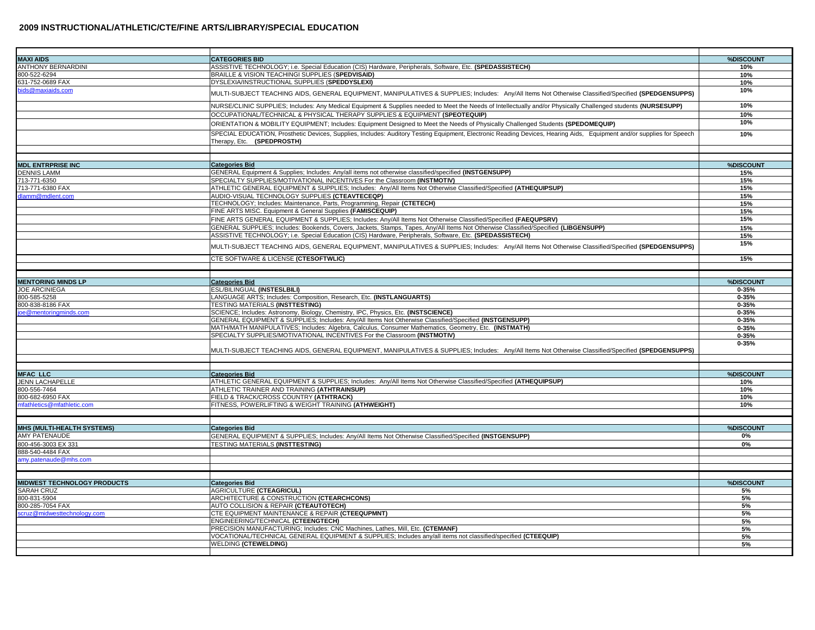| <b>MAXI AIDS</b>                   | <b>CATEGORIES BID</b>                                                                                                                                                 | %DISCOUNT  |
|------------------------------------|-----------------------------------------------------------------------------------------------------------------------------------------------------------------------|------------|
| <b>INTHONY BERNARDINI</b>          | ASSISTIVE TECHNOLOGY; i.e. Special Education (CIS) Hardware, Peripherals, Software, Etc. (SPEDASSISTECH)                                                              | 10%        |
| 300-522-6294                       | BRAILLE & VISION TEACHINGI SUPPLIES (SPEDVISAID)                                                                                                                      | 10%        |
| 631-752-0689 FAX                   | DYSLEXIA/INSTRUCTIONAL SUPPLIES (SPEDDYSLEXI)                                                                                                                         | 10%        |
| oids@maxiaids.com                  | MULTI-SUBJECT TEACHING AIDS, GENERAL EQUIPMENT, MANIPULATIVES & SUPPLIES; Includes: Any/All Items Not Otherwise Classified/Specified (SPEDGENSUPPS)                   | 10%        |
|                                    | NURSE/CLINIC SUPPLIES; Includes: Any Medical Equipment & Supplies needed to Meet the Needs of Intellectually and/or Physically Challenged students (NURSESUPP)        | 10%        |
|                                    | OCCUPATIONAL/TECHNICAL & PHYSICAL THERAPY SUPPLIES & EQUIPMENT (SPEOTEQUIP)                                                                                           | 10%        |
|                                    |                                                                                                                                                                       | 10%        |
|                                    | ORIENTATION & MOBILITY EQUIPMENT; Includes: Equipment Designed to Meet the Needs of Physically Challenged Students (SPEDOMEQUIP)                                      |            |
|                                    | SPECIAL EDUCATION, Prosthetic Devices, Supplies, Includes: Auditory Testing Equipment, Electronic Reading Devices, Hearing Aids, Equipment and/or supplies for Speech | 10%        |
|                                    | Therapy, Etc. (SPEDPROSTH)                                                                                                                                            |            |
|                                    |                                                                                                                                                                       |            |
|                                    |                                                                                                                                                                       |            |
| <b>MDL ENTRPRISE INC</b>           | <b>Categories Bid</b>                                                                                                                                                 | %DISCOUN1  |
| <b>DENNIS LAMM</b>                 | GENERAL Equipment & Supplies; Includes: Any/all items not otherwise classified/specified (INSTGENSUPP)                                                                | 15%        |
| 713-771-6350                       | SPECIALTY SUPPLIES/MOTIVATIONAL INCENTIVES For the Classroom (INSTMOTIV)                                                                                              | 15%        |
| 713-771-6380 FAX                   | ATHLETIC GENERAL EQUIPMENT & SUPPLIES; Includes: Any/All Items Not Otherwise Classified/Specified (ATHEQUIPSUP)                                                       | 15%        |
| dlamm@mdlent.com                   | AUDIO-VISUAL TECHNOLOGY SUPPLIES (CTEAVTECEQP)                                                                                                                        | 15%        |
|                                    | TECHNOLOGY; Includes: Maintenance, Parts, Programming, Repair (CTETECH)                                                                                               | 15%        |
|                                    | FINE ARTS MISC. Equipment & General Supplies (FAMISCEQUIP)                                                                                                            | 15%        |
|                                    | FINE ARTS GENERAL EQUIPMENT & SUPPLIES; Includes: Any/All Items Not Otherwise Classified/Specified (FAEQUPSRV)                                                        | 15%        |
|                                    | GENERAL SUPPLIES; Includes: Bookends, Covers, Jackets, Stamps, Tapes, Any/All Items Not Otherwise Classified/Specified (LIBGENSUPP)                                   | 15%        |
|                                    | ASSISTIVE TECHNOLOGY; i.e. Special Education (CIS) Hardware, Peripherals, Software, Etc. (SPEDASSISTECH)                                                              | 15%        |
|                                    | MULTI-SUBJECT TEACHING AIDS, GENERAL EQUIPMENT, MANIPULATIVES & SUPPLIES; Includes: Any/All Items Not Otherwise Classified/Specified (SPEDGENSUPPS)                   | 15%        |
|                                    | CTE SOFTWARE & LICENSE (CTESOFTWLIC)                                                                                                                                  | 15%        |
|                                    |                                                                                                                                                                       |            |
|                                    |                                                                                                                                                                       |            |
| <b>MENTORING MINDS LP</b>          | <b>Categories Bid</b>                                                                                                                                                 | %DISCOUNT  |
| <b>JOE ARCINIEGA</b>               | ESL/BILINGUAL (INSTESLBILI)                                                                                                                                           | $0 - 35%$  |
| 300-585-5258                       | LANGUAGE ARTS; Includes: Composition, Research, Etc. (INSTLANGUARTS)                                                                                                  | $0 - 35%$  |
| 300-838-8186 FAX                   | TESTING MATERIALS (INSTTESTING)                                                                                                                                       | $0 - 35%$  |
| be@mentorinaminds.com              | SCIENCE; Includes: Astronomy, Biology, Chemistry, IPC, Physics, Etc. (INSTSCIENCE)                                                                                    | $0 - 35%$  |
|                                    | GENERAL EQUIPMENT & SUPPLIES; Includes: Any/All Items Not Otherwise Classified/Specified (INSTGENSUPP)                                                                | $0 - 35%$  |
|                                    | MATH/MATH MANIPULATIVES; Includes: Algebra, Calculus, Consumer Mathematics, Geometry, Etc. (INSTMATH)                                                                 | $0 - 35%$  |
|                                    | SPECIALTY SUPPLIES/MOTIVATIONAL INCENTIVES For the Classroom (INSTMOTIV)                                                                                              | $0 - 35%$  |
|                                    |                                                                                                                                                                       | $0 - 35%$  |
|                                    | MULTI-SUBJECT TEACHING AIDS, GENERAL EQUIPMENT, MANIPULATIVES & SUPPLIES; Includes: Any/All Items Not Otherwise Classified/Specified (SPEDGENSUPPS)                   |            |
|                                    |                                                                                                                                                                       |            |
| <b>MFAC LLC</b>                    |                                                                                                                                                                       | %DISCOUNT  |
| <b>JENN LACHAPELLE</b>             | <b>Categories Bid</b><br>ATHLETIC GENERAL EQUIPMENT & SUPPLIES; Includes: Any/All Items Not Otherwise Classified/Specified (ATHEQUIPSUP)                              |            |
| 300-556-7464                       | ATHLETIC TRAINER AND TRAINING (ATHTRAINSUP)                                                                                                                           | 10%<br>10% |
| 800-682-6950 FAX                   | FIELD & TRACK/CROSS COUNTRY (ATHTRACK)                                                                                                                                | 10%        |
| mfathletics@mfathletic.com         | FITNESS, POWERLIFTING & WEIGHT TRAINING (ATHWEIGHT)                                                                                                                   | 10%        |
|                                    |                                                                                                                                                                       |            |
|                                    |                                                                                                                                                                       |            |
| <b>MHS (MULTI-HEALTH SYSTEMS)</b>  | <b>Categories Bid</b>                                                                                                                                                 | %DISCOUN'  |
| <b>AMY PATENAUDE</b>               | GENERAL EQUIPMENT & SUPPLIES; Includes: Any/All Items Not Otherwise Classified/Specified (INSTGENSUPP)                                                                | 0%         |
| 800-456-3003 EX 331                | <b>TESTING MATERIALS (INSTTESTING)</b>                                                                                                                                | 0%         |
| 888-540-4484 FAX                   |                                                                                                                                                                       |            |
| amy.patenaude@mhs.com              |                                                                                                                                                                       |            |
|                                    |                                                                                                                                                                       |            |
|                                    |                                                                                                                                                                       |            |
| <b>MIDWEST TECHNOLOGY PRODUCTS</b> | <b>Categories Bid</b>                                                                                                                                                 | %DISCOUNT  |
| SARAH CRUZ                         | <b>AGRICULTURE (CTEAGRICUL)</b>                                                                                                                                       | 5%         |
| 300-831-5904                       | ARCHITECTURE & CONSTRUCTION (CTEARCHCONS)                                                                                                                             | 5%         |
| 800-285-7054 FAX                   | AUTO COLLISION & REPAIR (CTEAUTOTECH)                                                                                                                                 | 5%         |
| scruz@midwesttechnology.com        | CTE EQUIPMENT MAINTENANCE & REPAIR (CTEEQUPMNT)                                                                                                                       | 5%         |
|                                    | ENGINEERING/TECHNICAL (CTEENGTECH)                                                                                                                                    | 5%         |
|                                    | PRECISION MANUFACTURING; Includes: CNC Machines, Lathes, Mill, Etc. (CTEMANF)                                                                                         | 5%         |
|                                    | VOCATIONAL/TECHNICAL GENERAL EQUIPMENT & SUPPLIES; Includes any/all items not classified/specified (CTEEQUIP)                                                         | 5%         |
|                                    | <b>WELDING (CTEWELDING)</b>                                                                                                                                           | 5%         |
|                                    |                                                                                                                                                                       |            |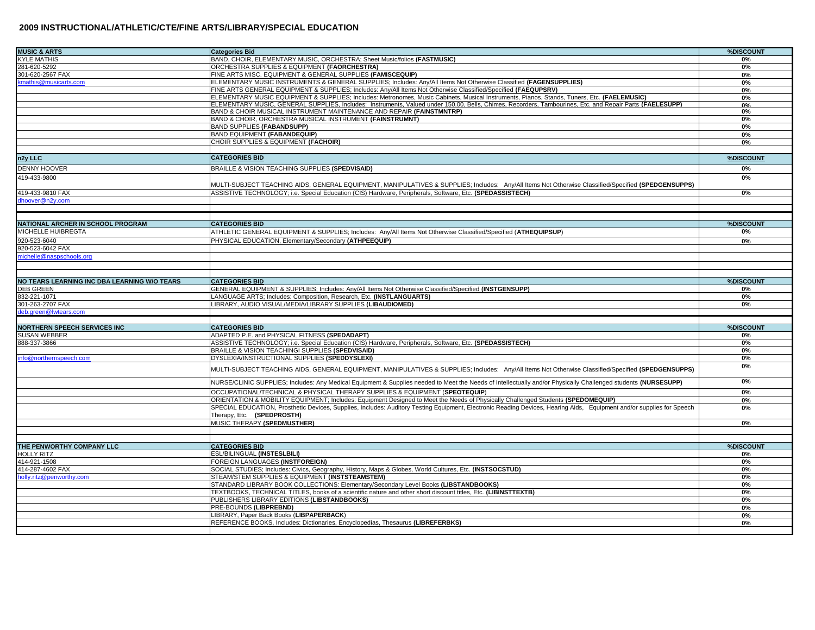| <b>MUSIC &amp; ARTS</b>                      | <b>Categories Bid</b>                                                                                                                                                                                                            | %DISCOUNT       |
|----------------------------------------------|----------------------------------------------------------------------------------------------------------------------------------------------------------------------------------------------------------------------------------|-----------------|
| <b>KYLE MATHIS</b>                           | BAND, CHOIR, ELEMENTARY MUSIC, ORCHESTRA; Sheet Music/folios (FASTMUSIC)                                                                                                                                                         | 0%              |
| 281-620-5292                                 | ORCHESTRA SUPPLIES & EQUIPMENT (FAORCHESTRA)                                                                                                                                                                                     | 0%              |
| 301-620-2567 FAX                             | FINE ARTS MISC. EQUIPMENT & GENERAL SUPPLIES (FAMISCEQUIP)                                                                                                                                                                       | 0%              |
| kmathis@musicarts.com                        | ELEMENTARY MUSIC INSTRUMENTS & GENERAL SUPPLIES; Includes: Any/All Items Not Otherwise Classified (FAGENSUPPLIES)                                                                                                                | 0%              |
|                                              | FINE ARTS GENERAL EQUIPMENT & SUPPLIES; Includes: Any/All Items Not Otherwise Classified/Specified (FAEQUPSRV)                                                                                                                   | 0%              |
|                                              | ELEMENTARY MUSIC EQUIPMENT & SUPPLIES; Includes: Metronomes, Music Cabinets, Musical Instruments, Pianos, Stands, Tuners, Etc. (FAELEMUSIC)                                                                                      | 0%              |
|                                              | ELEMENTARY MUSIC, GENERAL SUPPLIES, Includes: Instruments, Valued under 150.00, Bells, Chimes, Recorders, Tambourines, Etc. and Repair Parts (FAELESUPP)<br>BAND & CHOIR MUSICAL INSTRUMENT MAINTENANCE AND REPAIR (FAINSTMNTRP) | 0%<br>0%        |
|                                              | BAND & CHOIR, ORCHESTRA MUSICAL INSTRUMENT (FAINSTRUMNT)                                                                                                                                                                         | 0%              |
|                                              | <b>BAND SUPPLIES (FABANDSUPP)</b>                                                                                                                                                                                                | 0%              |
|                                              | <b>BAND EQUIPMENT (FABANDEQUIP)</b>                                                                                                                                                                                              | 0%              |
|                                              | CHOIR SUPPLIES & EQUIPMENT (FACHOIR)                                                                                                                                                                                             | 0%              |
|                                              |                                                                                                                                                                                                                                  |                 |
| n2y LLC                                      | <b>CATEGORIES BID</b>                                                                                                                                                                                                            | %DISCOUNT       |
| <b>DENNY HOOVER</b>                          | BRAILLE & VISION TEACHING SUPPLIES (SPEDVISAID)                                                                                                                                                                                  | 0%              |
| 419-433-9800                                 | MULTI-SUBJECT TEACHING AIDS, GENERAL EQUIPMENT, MANIPULATIVES & SUPPLIES; Includes: Any/All Items Not Otherwise Classified/Specified (SPEDGENSUPPS)                                                                              | 0%              |
| 419-433-9810 FAX                             | ASSISTIVE TECHNOLOGY; i.e. Special Education (CIS) Hardware, Peripherals, Software, Etc. (SPEDASSISTECH)                                                                                                                         | 0%              |
| dhoover@n2y.com                              |                                                                                                                                                                                                                                  |                 |
|                                              |                                                                                                                                                                                                                                  |                 |
| NATIONAL ARCHER IN SCHOOL PROGRAM            | <b>CATEGORIES BID</b>                                                                                                                                                                                                            | %DISCOUNT       |
| MICHELLE HUIBREGTA                           | ATHLETIC GENERAL EQUIPMENT & SUPPLIES; Includes: Any/All Items Not Otherwise Classified/Specified (ATHEQUIPSUP)                                                                                                                  | 0%              |
| 920-523-6040                                 | PHYSICAL EDUCATION, Elementary/Secondary (ATHPEEQUIP)                                                                                                                                                                            | 0%              |
| 920-523-6042 FAX                             |                                                                                                                                                                                                                                  |                 |
| nichelle@naspschools.org                     |                                                                                                                                                                                                                                  |                 |
|                                              |                                                                                                                                                                                                                                  |                 |
|                                              |                                                                                                                                                                                                                                  |                 |
| NO TEARS LEARNING INC DBA LEARNING W/O TEARS | <b>CATEGORIES BID</b>                                                                                                                                                                                                            | %DISCOUNT<br>0% |
| <b>DEB GREEN</b><br>832-221-1071             | GENERAL EQUIPMENT & SUPPLIES; Includes: Any/All Items Not Otherwise Classified/Specified (INSTGENSUPP)<br>LANGUAGE ARTS; Includes: Composition, Research, Etc. (INSTLANGUARTS)                                                   | 0%              |
| 301-263-2707 FAX                             | LIBRARY, AUDIO VISUAL/MEDIA/LIBRARY SUPPLIES (LIBAUDIOMED)                                                                                                                                                                       | 0%              |
| deb.green@lwtears.com                        |                                                                                                                                                                                                                                  |                 |
|                                              |                                                                                                                                                                                                                                  |                 |
| <b>NORTHERN SPEECH SERVICES INC</b>          | <b>CATEGORIES BID</b>                                                                                                                                                                                                            | %DISCOUNT       |
| <b>SUSAN WEBBER</b>                          | ADAPTED P.E. and PHYSICAL FITNESS (SPEDADAPT)                                                                                                                                                                                    | 0%              |
| 888-337-3866                                 | ASSISTIVE TECHNOLOGY; i.e. Special Education (CIS) Hardware, Peripherals, Software, Etc. (SPEDASSISTECH)                                                                                                                         | 0%              |
|                                              | BRAILLE & VISION TEACHINGI SUPPLIES (SPEDVISAID)<br>DYSLEXIA/INSTRUCTIONAL SUPPLIES (SPEDDYSLEXI)                                                                                                                                | 0%              |
| nfo@northernspeech.com                       |                                                                                                                                                                                                                                  | 0%<br>0%        |
|                                              | MULTI-SUBJECT TEACHING AIDS, GENERAL EQUIPMENT, MANIPULATIVES & SUPPLIES; Includes: Any/All Items Not Otherwise Classified/Specified (SPEDGENSUPPS)                                                                              |                 |
|                                              | NURSE/CLINIC SUPPLIES; Includes: Any Medical Equipment & Supplies needed to Meet the Needs of Intellectually and/or Physically Challenged students (NURSESUPP)                                                                   | $0\%$           |
|                                              | OCCUPATIONAL/TECHNICAL & PHYSICAL THERAPY SUPPLIES & EQUIPMENT (SPEOTEQUIP)                                                                                                                                                      | 0%              |
|                                              | ORIENTATION & MOBILITY EQUIPMENT; Includes: Equipment Designed to Meet the Needs of Physically Challenged Students (SPEDOMEQUIP)                                                                                                 | 0%              |
|                                              | SPECIAL EDUCATION, Prosthetic Devices, Supplies, Includes: Auditory Testing Equipment, Electronic Reading Devices, Hearing Aids, Equipment and/or supplies for Speech<br>Therapy, Etc. (SPEDPROSTH)                              | 0%              |
|                                              | MUSIC THERAPY (SPEDMUSTHER)                                                                                                                                                                                                      | 0%              |
|                                              |                                                                                                                                                                                                                                  |                 |
| THE PENWORTHY COMPANY LLC                    | <b>CATEGORIES BID</b>                                                                                                                                                                                                            | %DISCOUNT       |
| <b>HOLLY RITZ</b>                            | ESL/BILINGUAL (INSTESLBILI)                                                                                                                                                                                                      | 0%              |
| 414-921-1508                                 | FOREIGN LANGUAGES (INSTFOREIGN)                                                                                                                                                                                                  | 0%              |
| 414-287-4602 FAX                             | SOCIAL STUDIES; Includes: Civics, Geography, History, Maps & Globes, World Cultures, Etc. (INSTSOCSTUD)                                                                                                                          | 0%              |
| holly.ritz@penworthy.com                     | STEAM/STEM SUPPLIES & EQUIPMENT (INSTSTEAMSTEM)                                                                                                                                                                                  | 0%              |
|                                              | STANDARD LIBRARY BOOK COLLECTIONS: Elementary/Secondary Level Books (LIBSTANDBOOKS)                                                                                                                                              | 0%              |
|                                              | TEXTBOOKS, TECHNICAL TITLES, books of a scientific nature and other short discount titles, Etc. (LIBINSTTEXTB)                                                                                                                   | 0%              |
|                                              | PUBLISHERS LIBRARY EDITIONS (LIBSTANDBOOKS)                                                                                                                                                                                      | 0%              |
|                                              | PRE-BOUNDS (LIBPREBND)                                                                                                                                                                                                           | 0%              |
|                                              | LIBRARY, Paper Back Books (LIBPAPERBACK)                                                                                                                                                                                         | 0%              |
|                                              | REFERENCE BOOKS, Includes: Dictionaries, Encyclopedias, Thesaurus (LIBREFERBKS)                                                                                                                                                  | 0%              |
|                                              |                                                                                                                                                                                                                                  |                 |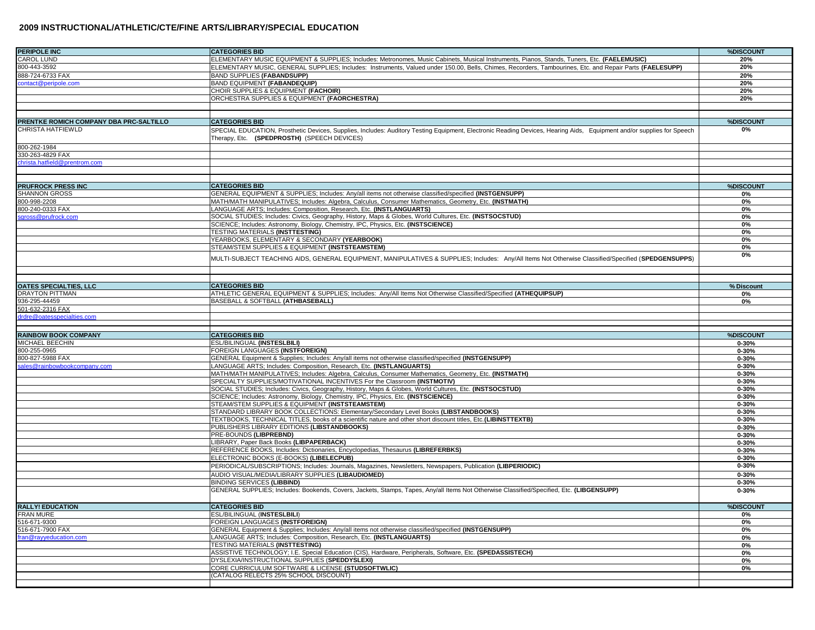| <b>PERIPOLE INC</b>                     | <b>CATEGORIES BID</b>                                                                                                                                                           | %DISCOUNT              |
|-----------------------------------------|---------------------------------------------------------------------------------------------------------------------------------------------------------------------------------|------------------------|
| <b>CAROL LUND</b>                       | ELEMENTARY MUSIC EQUIPMENT & SUPPLIES; Includes: Metronomes, Music Cabinets, Musical Instruments, Pianos, Stands, Tuners, Etc. (FAELEMUSIC)                                     | 20%                    |
| 800-443-3592                            | ELEMENTARY MUSIC, GENERAL SUPPLIES; Includes: Instruments, Valued under 150.00, Bells, Chimes, Recorders, Tambourines, Etc. and Repair Parts (FAELESUPP)                        | 20%                    |
| 888-724-6733 FAX                        | <b>BAND SUPPLIES (FABANDSUPP)</b>                                                                                                                                               | 20%                    |
| contact@peripole.com                    | <b>BAND EQUIPMENT (FABANDEQUIP)</b>                                                                                                                                             | 20%                    |
|                                         | CHOIR SUPPLIES & EQUIPMENT (FACHOIR)                                                                                                                                            | 20%                    |
|                                         | ORCHESTRA SUPPLIES & EQUIPMENT (FAORCHESTRA)                                                                                                                                    | 20%                    |
|                                         |                                                                                                                                                                                 |                        |
| PRENTKE ROMICH COMPANY DBA PRC-SALTILLO | <b>CATEGORIES BID</b>                                                                                                                                                           | %DISCOUNT              |
| <b>CHRISTA HATFIEWLD</b>                | SPECIAL EDUCATION, Prosthetic Devices, Supplies, Includes: Auditory Testing Equipment, Electronic Reading Devices, Hearing Aids, Equipment and/or supplies for Speech           | 0%                     |
|                                         | Therapy, Etc. (SPEDPROSTH) (SPEECH DEVICES)                                                                                                                                     |                        |
| 800-262-1984                            |                                                                                                                                                                                 |                        |
| 330-263-4829 FAX                        |                                                                                                                                                                                 |                        |
| christa.hatfield@prentrom.com           |                                                                                                                                                                                 |                        |
|                                         |                                                                                                                                                                                 |                        |
|                                         |                                                                                                                                                                                 |                        |
| <b>PRUFROCK PRESS INC</b>               | <b>CATEGORIES BID</b>                                                                                                                                                           | %DISCOUNT              |
| <b>SHANNON GROSS</b>                    | GENERAL EQUIPMENT & SUPPLIES; Includes: Any/all items not otherwise classified/specified (INSTGENSUPP)                                                                          | 0%                     |
| 800-998-2208                            | MATH/MATH MANIPULATIVES; Includes: Algebra, Calculus, Consumer Mathematics, Geometry, Etc. (INSTMATH)                                                                           | 0%                     |
| 800-240-0333 FAX<br>sgross@prufrock.com | LANGUAGE ARTS; Includes: Composition, Research, Etc. (INSTLANGUARTS)<br>SOCIAL STUDIES; Includes: Civics, Geography, History, Maps & Globes, World Cultures, Etc. (INSTSOCSTUD) | 0%<br>0%               |
|                                         | SCIENCE; Includes: Astronomy, Biology, Chemistry, IPC, Physics, Etc. (INSTSCIENCE)                                                                                              | 0%                     |
|                                         | TESTING MATERIALS (INSTTESTING)                                                                                                                                                 | 0%                     |
|                                         | YEARBOOKS, ELEMENTARY & SECONDARY (YEARBOOK)                                                                                                                                    | 0%                     |
|                                         | STEAM/STEM SUPPLIES & EQUIPMENT (INSTSTEAMSTEM)                                                                                                                                 | 0%                     |
|                                         |                                                                                                                                                                                 | 0%                     |
|                                         | MULTI-SUBJECT TEACHING AIDS, GENERAL EQUIPMENT, MANIPULATIVES & SUPPLIES; Includes: Any/All Items Not Otherwise Classified/Specified (SPEDGENSUPPS)                             |                        |
|                                         |                                                                                                                                                                                 |                        |
| OATES SPECIALTIES, LLC                  | <b>CATEGORIES BID</b>                                                                                                                                                           | % Discount             |
| <b>DRAYTON PITTMAN</b>                  | ATHLETIC GENERAL EQUIPMENT & SUPPLIES; Includes: Any/All Items Not Otherwise Classified/Specified (ATHEQUIPSUP)                                                                 | 0%                     |
| 936-295-44459                           | BASEBALL & SOFTBALL (ATHBASEBALL)                                                                                                                                               | 0%                     |
| 501-632-2316 FAX                        |                                                                                                                                                                                 |                        |
| drdre@oatesspecialties.com              |                                                                                                                                                                                 |                        |
|                                         |                                                                                                                                                                                 |                        |
|                                         |                                                                                                                                                                                 |                        |
| <b>RAINBOW BOOK COMPANY</b>             | <b>CATEGORIES BID</b>                                                                                                                                                           | %DISCOUNT              |
| <b>MICHAEL BEECHIN</b>                  | ESL/BILINGUAL (INSTESLBILI)                                                                                                                                                     | $0 - 30%$              |
| 800-255-0965                            | FOREIGN LANGUAGES (INSTFOREIGN)                                                                                                                                                 | $0 - 30%$              |
| 800-827-5988 FAX                        | GENERAL Equipment & Supplies; Includes: Any/all items not otherwise classified/specified (INSTGENSUPP)                                                                          | $0 - 30%$              |
| ales@rainbowbookcompany.com             | LANGUAGE ARTS; Includes: Composition, Research, Etc. (INSTLANGUARTS)                                                                                                            | $0 - 30%$              |
|                                         | MATH/MATH MANIPULATIVES; Includes: Algebra, Calculus, Consumer Mathematics, Geometry, Etc. (INSTMATH)                                                                           | $0 - 30%$              |
|                                         | SPECIALTY SUPPLIES/MOTIVATIONAL INCENTIVES For the Classroom (INSTMOTIV)                                                                                                        | $0 - 30%$              |
|                                         | SOCIAL STUDIES; Includes: Civics, Geography, History, Maps & Globes, World Cultures, Etc. (INSTSOCSTUD)                                                                         | $0 - 30%$              |
|                                         | SCIENCE; Includes: Astronomy, Biology, Chemistry, IPC, Physics, Etc. (INSTSCIENCE)                                                                                              | $0 - 30%$              |
|                                         | STEAM/STEM SUPPLIES & EQUIPMENT (INSTSTEAMSTEM)                                                                                                                                 | $0 - 30%$              |
|                                         | STANDARD LIBRARY BOOK COLLECTIONS: Elementary/Secondary Level Books (LIBSTANDBOOKS)                                                                                             | $0 - 30%$              |
|                                         | TEXTBOOKS, TECHNICAL TITLES, books of a scientific nature and other short discount titles, Etc.(LIBINSTTEXTB)                                                                   | $0 - 30%$              |
|                                         | PUBLISHERS LIBRARY EDITIONS (LIBSTANDBOOKS)                                                                                                                                     | $0 - 30%$              |
|                                         | PRE-BOUNDS (LIBPREBND)                                                                                                                                                          | $0 - 30%$              |
|                                         | LIBRARY, Paper Back Books (LIBPAPERBACK)                                                                                                                                        | $0 - 30%$              |
|                                         | REFERENCE BOOKS, Includes: Dictionaries, Encyclopedias, Thesaurus (LIBREFERBKS)                                                                                                 | $0 - 30%$              |
|                                         | ELECTRONIC BOOKS (E-BOOKS) (LIBELECPUB)                                                                                                                                         | $0 - 30%$              |
|                                         | PERIODICAL/SUBSCRIPTIONS; Includes: Journals, Magazines, Newsletters, Newspapers, Publication (LIBPERIODIC)                                                                     | $0 - 30%$              |
|                                         | AUDIO VISUAL/MEDIA/LIBRARY SUPPLIES (LIBAUDIOMED)                                                                                                                               | $0 - 30%$              |
|                                         | <b>BINDING SERVICES (LIBBIND)</b><br>GENERAL SUPPLIES; Includes: Bookends, Covers, Jackets, Stamps, Tapes, Any/all Items Not Otherwise Classified/Specified, Etc. (LIBGENSUPP)  | $0 - 30%$<br>$0 - 30%$ |
|                                         |                                                                                                                                                                                 |                        |
| <b>RALLY! EDUCATION</b>                 | <b>CATEGORIES BID</b>                                                                                                                                                           | %DISCOUNT              |
| <b>FRAN MURE</b><br>516-671-9300        | <b>ESL/BILINGUAL (INSTESLBILI)</b><br><b>FOREIGN LANGUAGES (INSTFOREIGN)</b>                                                                                                    | 0%<br>0%               |
| 516-671-7900 FAX                        | GENERAL Equipment & Supplies: Includes: Any/all items not otherwise classified/specified (INSTGENSUPP)                                                                          |                        |
| ran@rayyeducation.com                   | LANGUAGE ARTS: Includes: Composition. Research. Etc. (INSTLANGUARTS)                                                                                                            | 0%<br>0%               |
|                                         | TESTING MATERIALS (INSTTESTING)                                                                                                                                                 | 0%                     |
|                                         | ASSISTIVE TECHNOLOGY: I.E. Special Education (CIS). Hardware. Peripherals. Software. Etc. (SPEDASSISTECH)                                                                       | 0%                     |
|                                         | DYSLEXIA/INSTRUCTIONAL SUPPLIES (SPEDDYSLEXI)                                                                                                                                   | 0%                     |
|                                         | CORE CURRICULUM SOFTWARE & LICENSE (STUDSOFTWLIC)                                                                                                                               | 0%                     |
|                                         | (CATALOG RELECTS 25% SCHOOL DISCOUNT)                                                                                                                                           |                        |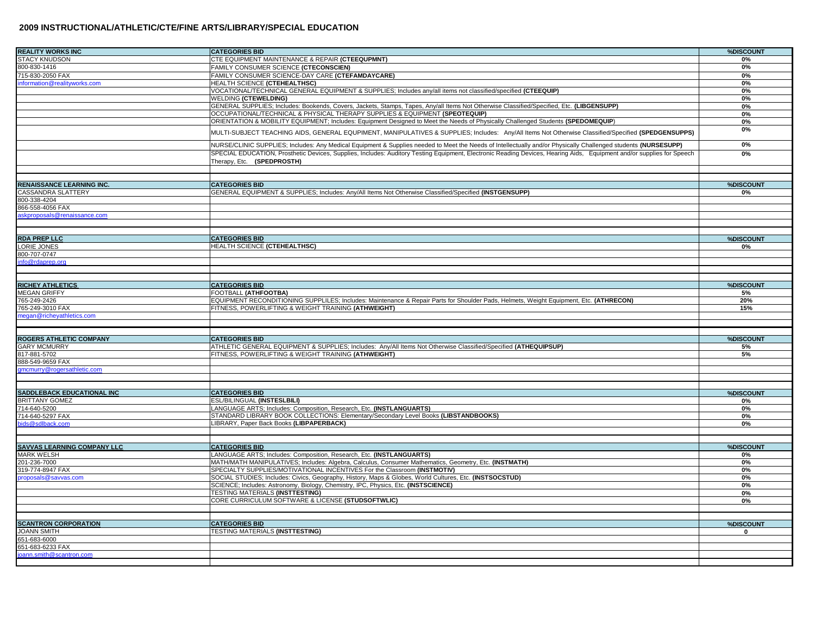| <b>REALITY WORKS INC</b>                        | <b>CATEGORIES BID</b>                                                                                                                                                                               | %DISCOUNT |
|-------------------------------------------------|-----------------------------------------------------------------------------------------------------------------------------------------------------------------------------------------------------|-----------|
| <b>STACY KNUDSON</b>                            | CTE EQUIPMENT MAINTENANCE & REPAIR (CTEEQUPMNT)                                                                                                                                                     | 0%        |
| 800-830-1416                                    | FAMILY CONSUMER SCIENCE (CTECONSCIEN)                                                                                                                                                               | 0%        |
|                                                 |                                                                                                                                                                                                     |           |
| 715-830-2050 FAX                                | FAMILY CONSUMER SCIENCE-DAY CARE (CTEFAMDAYCARE)                                                                                                                                                    | 0%        |
| nformation@realityworks.com                     | HEALTH SCIENCE (CTEHEALTHSC)                                                                                                                                                                        | 0%        |
|                                                 | VOCATIONAL/TECHNICAL GENERAL EQUIPMENT & SUPPLIES; Includes any/all items not classified/specified (CTEEQUIP)                                                                                       | 0%        |
|                                                 | <b>WELDING (CTEWELDING)</b>                                                                                                                                                                         | 0%        |
|                                                 | GENERAL SUPPLIES; Includes: Bookends, Covers, Jackets, Stamps, Tapes, Any/all Items Not Otherwise Classified/Specified, Etc. (LIBGENSUPP)                                                           | 0%        |
|                                                 | OCCUPATIONAL/TECHNICAL & PHYSICAL THERAPY SUPPLIES & EQUIPMENT (SPEOTEQUIP)                                                                                                                         | 0%        |
|                                                 | ORIENTATION & MOBILITY EQUIPMENT; Includes: Equipment Designed to Meet the Needs of Physically Challenged Students (SPEDOMEQUIP)                                                                    | 0%        |
|                                                 | MULTI-SUBJECT TEACHING AIDS, GENERAL EQUPIMENT, MANIPULATIVES & SUPPLIES; Includes: Any/All Items Not Otherwise Classified/Specified (SPEDGENSUPPS)                                                 | 0%        |
|                                                 | NURSE/CLINIC SUPPLIES; Includes: Any Medical Equipment & Supplies needed to Meet the Needs of Intellectually and/or Physically Challenged students (NURSESUPP)                                      | 0%        |
|                                                 | SPECIAL EDUCATION, Prosthetic Devices, Supplies, Includes: Auditory Testing Equipment, Electronic Reading Devices, Hearing Aids, Equipment and/or supplies for Speech<br>Therapy, Etc. (SPEDPROSTH) | 0%        |
|                                                 |                                                                                                                                                                                                     |           |
| <b>RENAISSANCE LEARNING INC.</b>                | <b>CATEGORIES BID</b>                                                                                                                                                                               | %DISCOUNT |
| CASSANDRA SLATTERY                              | GENERAL EQUIPMENT & SUPPLIES; Includes: Any/All Items Not Otherwise Classified/Specified (INSTGENSUPP)                                                                                              | 0%        |
| 800-338-4204                                    |                                                                                                                                                                                                     |           |
|                                                 |                                                                                                                                                                                                     |           |
| 866-558-4056 FAX<br>skproposals@renaissance.com |                                                                                                                                                                                                     |           |
|                                                 |                                                                                                                                                                                                     |           |
|                                                 |                                                                                                                                                                                                     | %DISCOUNT |
| <b>RDA PREP LLC</b>                             | <b>CATEGORIES BID</b>                                                                                                                                                                               |           |
| ORIE JONES                                      | HEALTH SCIENCE (CTEHEALTHSC)                                                                                                                                                                        | 0%        |
| 800-707-0747                                    |                                                                                                                                                                                                     |           |
| nfo@rdaprep.org                                 |                                                                                                                                                                                                     |           |
|                                                 |                                                                                                                                                                                                     |           |
|                                                 |                                                                                                                                                                                                     | %DISCOUNT |
| <b>RICHEY ATHLETICS</b>                         | <b>CATEGORIES BID</b>                                                                                                                                                                               |           |
| <b>MEGAN GRIFFY</b>                             | FOOTBALL (ATHFOOTBA)                                                                                                                                                                                | 5%        |
| 765-249-2426                                    | EQUIPMENT RECONDITIONING SUPPLILES; Includes: Maintenance & Repair Parts for Shoulder Pads, Helmets, Weight Equipment, Etc. (ATHRECON)                                                              | 20%       |
| 765-249-3010 FAX                                | FITNESS, POWERLIFTING & WEIGHT TRAINING (ATHWEIGHT)                                                                                                                                                 | 15%       |
| negan@richeyathletics.com                       |                                                                                                                                                                                                     |           |
|                                                 |                                                                                                                                                                                                     |           |
| <b>ROGERS ATHLETIC COMPANY</b>                  | <b>CATEGORIES BID</b>                                                                                                                                                                               | %DISCOUNT |
| <b>GARY MCMURRY</b>                             | ATHLETIC GENERAL EQUIPMENT & SUPPLIES; Includes: Any/All Items Not Otherwise Classified/Specified (ATHEQUIPSUP)                                                                                     | 5%        |
| 817-881-5702                                    | FITNESS, POWERLIFTING & WEIGHT TRAINING (ATHWEIGHT)                                                                                                                                                 | 5%        |
| 888-549-9659 FAX                                |                                                                                                                                                                                                     |           |
| imcmurry@rogersathletic.com                     |                                                                                                                                                                                                     |           |
|                                                 |                                                                                                                                                                                                     |           |
|                                                 |                                                                                                                                                                                                     |           |
| <b>SADDLEBACK EDUCATIONAL INC</b>               | <b>CATEGORIES BID</b>                                                                                                                                                                               | %DISCOUNT |
| <b>BRITTANY GOMEZ</b>                           | ESL/BILINGUAL (INSTESLBILI)                                                                                                                                                                         | 0%        |
| 714-640-5200                                    | LANGUAGE ARTS; Includes: Composition, Research, Etc. (INSTLANGUARTS)                                                                                                                                | 0%        |
| 714-640-5297 FAX                                | STANDARD LIBRARY BOOK COLLECTIONS: Elementary/Secondary Level Books (LIBSTANDBOOKS)                                                                                                                 | 0%        |
| ids@sdlback.com                                 | LIBRARY, Paper Back Books (LIBPAPERBACK)                                                                                                                                                            | 0%        |
|                                                 |                                                                                                                                                                                                     |           |
| <b>SAVVAS LEARNING COMPANY LLC</b>              | <b>CATEGORIES BID</b>                                                                                                                                                                               | %DISCOUNT |
| <b>MARK WELSH</b>                               | LANGUAGE ARTS; Includes: Composition, Research, Etc. (INSTLANGUARTS)                                                                                                                                | 0%        |
| 201-236-7000                                    | MATH/MATH MANIPULATIVES; Includes: Algebra, Calculus, Consumer Mathematics, Geometry, Etc. (INSTMATH)                                                                                               | 0%        |
| 319-774-8947 FAX                                | SPECIALTY SUPPLIES/MOTIVATIONAL INCENTIVES For the Classroom (INSTMOTIV)                                                                                                                            | 0%        |
| oroposals@savvas.com                            | SOCIAL STUDIES; Includes: Civics, Geography, History, Maps & Globes, World Cultures, Etc. (INSTSOCSTUD)                                                                                             | 0%        |
|                                                 | SCIENCE; Includes: Astronomy, Biology, Chemistry, IPC, Physics, Etc. (INSTSCIENCE)                                                                                                                  | 0%        |
|                                                 | TESTING MATERIALS (INSTTESTING)                                                                                                                                                                     | 0%        |
|                                                 | CORE CURRICULUM SOFTWARE & LICENSE (STUDSOFTWLIC)                                                                                                                                                   | 0%        |
|                                                 |                                                                                                                                                                                                     |           |
| <b>SCANTRON CORPORATION</b>                     | <b>CATEGORIES BID</b>                                                                                                                                                                               | %DISCOUNT |
| <b>JOANN SMITH</b>                              | TESTING MATERIALS (INSTTESTING)                                                                                                                                                                     | 0         |
| 651-683-6000                                    |                                                                                                                                                                                                     |           |
| 651-683-6233 FAX                                |                                                                                                                                                                                                     |           |
| oann.smith@scantron.com                         |                                                                                                                                                                                                     |           |
|                                                 |                                                                                                                                                                                                     |           |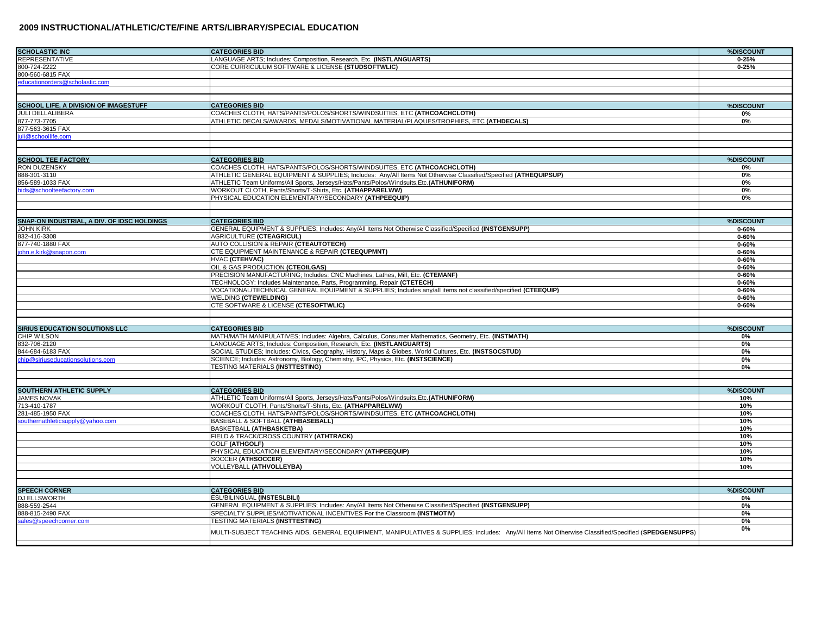| <b>SCHOLASTIC INC</b>                          | <b>CATEGORIES BID</b>                                                                                                                                | %DISCOUNT  |
|------------------------------------------------|------------------------------------------------------------------------------------------------------------------------------------------------------|------------|
| <b>REPRESENTATIVE</b>                          | LANGUAGE ARTS; Includes: Composition, Research, Etc. (INSTLANGUARTS)                                                                                 | $0 - 25%$  |
| 800-724-2222                                   | CORE CURRICULUM SOFTWARE & LICENSE (STUDSOFTWLIC)                                                                                                    | $0 - 25%$  |
| 800-560-6815 FAX                               |                                                                                                                                                      |            |
| educationorders@scholastic.com                 |                                                                                                                                                      |            |
|                                                |                                                                                                                                                      |            |
|                                                |                                                                                                                                                      |            |
| <b>SCHOOL LIFE, A DIVISION OF IMAGESTUFF</b>   | <b>CATEGORIES BID</b>                                                                                                                                | %DISCOUNT  |
| JULI DELLALIBERA                               | COACHES CLOTH, HATS/PANTS/POLOS/SHORTS/WINDSUITES, ETC (ATHCOACHCLOTH)                                                                               | 0%         |
| 877-773-7705                                   | ATHLETIC DECALS/AWARDS, MEDALS/MOTIVATIONAL MATERIAL/PLAQUES/TROPHIES, ETC (ATHDECALS)                                                               | 0%         |
| 877-563-3615 FAX                               |                                                                                                                                                      |            |
| juli@schoollife.com                            |                                                                                                                                                      |            |
|                                                |                                                                                                                                                      |            |
| <b>SCHOOL TEE FACTORY</b>                      | <b>CATEGORIES BID</b>                                                                                                                                | %DISCOUNT  |
| RON DUZENSKY                                   | COACHES CLOTH, HATS/PANTS/POLOS/SHORTS/WINDSUITES, ETC (ATHCOACHCLOTH)                                                                               | 0%         |
| 888-301-3110                                   | ATHLETIC GENERAL EQUIPMENT & SUPPLIES; Includes: Any/All Items Not Otherwise Classified/Specified (ATHEQUIPSUP)                                      | 0%         |
| 856-589-1033 FAX                               | ATHLETIC Team Uniforms/All Sports, Jerseys/Hats/Pants/Polos/Windsuits, Etc. (ATHUNIFORM)                                                             |            |
| bids@schoolteefactory.com                      | WORKOUT CLOTH, Pants/Shorts/T-Shirts, Etc. (ATHAPPARELWW)                                                                                            | 0%<br>0%   |
|                                                | PHYSICAL EDUCATION ELEMENTARY/SECONDARY (ATHPEEQUIP)                                                                                                 | 0%         |
|                                                |                                                                                                                                                      |            |
|                                                |                                                                                                                                                      |            |
| SNAP-ON INDUSTRIAL, A DIV. OF IDSC HOLDINGS    | <b>CATEGORIES BID</b>                                                                                                                                | %DISCOUNT  |
| <b>JOHN KIRK</b>                               | GENERAL EQUIPMENT & SUPPLIES; Includes: Any/All Items Not Otherwise Classified/Specified (INSTGENSUPP)                                               | $0 - 60%$  |
| 832-416-3308                                   | <b>AGRICULTURE (CTEAGRICUL)</b>                                                                                                                      | $0 - 60%$  |
| 877-740-1880 FAX                               | AUTO COLLISION & REPAIR (CTEAUTOTECH)                                                                                                                | $0 - 60%$  |
| ohn.e.kirk@snapon.com                          | CTE EQUIPMENT MAINTENANCE & REPAIR (CTEEQUPMNT)                                                                                                      | $0 - 60%$  |
|                                                | HVAC (CTEHVAC)                                                                                                                                       | $0 - 60%$  |
|                                                | OIL & GAS PRODUCTION (CTEOILGAS)                                                                                                                     | $0 - 60%$  |
|                                                | PRECISION MANUFACTURING; Includes: CNC Machines, Lathes, Mill, Etc. (CTEMANF)                                                                        | $0 - 60%$  |
|                                                | TECHNOLOGY: Includes Maintenance, Parts, Programming, Repair (CTETECH)                                                                               | $0 - 60%$  |
|                                                | VOCATIONAL/TECHNICAL GENERAL EQUIPMENT & SUPPLIES; Includes any/all items not classified/specified (CTEEQUIP)                                        | $0 - 60%$  |
|                                                | <b>WELDING (CTEWELDING)</b>                                                                                                                          | $0 - 60%$  |
|                                                | CTE SOFTWARE & LICENSE (CTESOFTWLIC)                                                                                                                 | $0 - 60%$  |
|                                                |                                                                                                                                                      |            |
| SIRIUS EDUCATION SOLUTIONS LLC                 | <b>CATEGORIES BID</b>                                                                                                                                | %DISCOUNT  |
| CHIP WILSON                                    | MATH/MATH MANIPULATIVES; Includes: Algebra, Calculus, Consumer Mathematics, Geometry, Etc. (INSTMATH)                                                | 0%         |
| 832-706-2120                                   | LANGUAGE ARTS; Includes: Composition, Research, Etc. (INSTLANGUARTS)                                                                                 | 0%         |
| 844-684-6183 FAX                               | SOCIAL STUDIES; Includes: Civics, Geography, History, Maps & Globes, World Cultures, Etc. (INSTSOCSTUD)                                              | 0%         |
| hip@siriuseducationsolutions.com               | SCIENCE; Includes: Astronomy, Biology, Chemistry, IPC, Physics, Etc. (INSTSCIENCE)                                                                   | 0%         |
|                                                | TESTING MATERIALS (INSTTESTING)                                                                                                                      | 0%         |
|                                                |                                                                                                                                                      |            |
|                                                |                                                                                                                                                      |            |
| SOUTHERN ATHLETIC SUPPLY<br><b>JAMES NOVAK</b> | <b>CATEGORIES BID</b>                                                                                                                                | %DISCOUNT  |
| 713-410-1787                                   | ATHLETIC Team Uniforms/All Sports, Jerseys/Hats/Pants/Polos/Windsuits,Etc.(ATHUNIFORM)<br>WORKOUT CLOTH, Pants/Shorts/T-Shirts, Etc. (ATHAPPARELWW)  | 10%<br>10% |
| 281-485-1950 FAX                               | COACHES CLOTH, HATS/PANTS/POLOS/SHORTS/WINDSUITES, ETC (ATHCOACHCLOTH)                                                                               | 10%        |
| southernathleticsupply@yahoo.com               | BASEBALL & SOFTBALL (ATHBASEBALL)                                                                                                                    | 10%        |
|                                                | BASKETBALL (ATHBASKETBA)                                                                                                                             | 10%        |
|                                                | FIELD & TRACK/CROSS COUNTRY (ATHTRACK)                                                                                                               | 10%        |
|                                                | <b>GOLF (ATHGOLF)</b>                                                                                                                                | 10%        |
|                                                | PHYSICAL EDUCATION ELEMENTARY/SECONDARY (ATHPEEQUIP)                                                                                                 | 10%        |
|                                                | SOCCER (ATHSOCCER)                                                                                                                                   | 10%        |
|                                                | VOLLEYBALL (ATHVOLLEYBA)                                                                                                                             | 10%        |
|                                                |                                                                                                                                                      |            |
|                                                |                                                                                                                                                      |            |
| <b>SPEECH CORNER</b>                           | <b>CATEGORIES BID</b>                                                                                                                                | %DISCOUNT  |
| DJ ELLSWORTH                                   | ESL/BILINGUAL (INSTESLBILI)                                                                                                                          | 0%         |
| 888-559-2544                                   | GENERAL EQUIPMENT & SUPPLIES; Includes: Any/All Items Not Otherwise Classified/Specified (INSTGENSUPP)                                               | 0%         |
| 888-815-2490 FAX                               | SPECIALTY SUPPLIES/MOTIVATIONAL INCENTIVES For the Classroom (INSTMOTIV)                                                                             | 0%         |
| ales@speechcorner.com                          | TESTING MATERIALS (INSTTESTING)                                                                                                                      | 0%         |
|                                                | MULTI-SUBJECT TEACHING AIDS, GENERAL EQUIPIMENT, MANIPULATIVES & SUPPLIES; Includes: Any/All Items Not Otherwise Classified/Specified (SPEDGENSUPPS) | 0%         |
|                                                |                                                                                                                                                      |            |
|                                                |                                                                                                                                                      |            |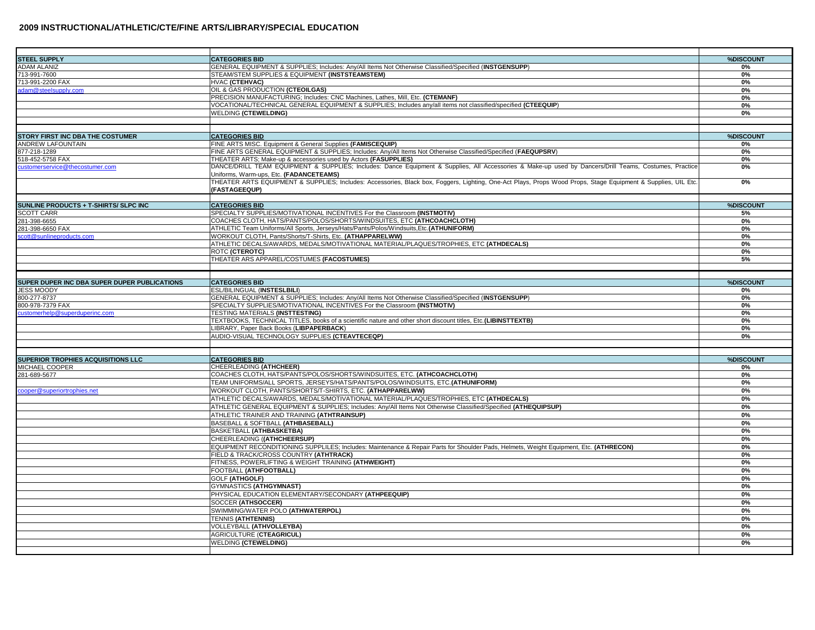| <b>STEEL SUPPLY</b>                          | <b>CATEGORIES BID</b>                                                                                                                                                                             | %DISCOUNT |
|----------------------------------------------|---------------------------------------------------------------------------------------------------------------------------------------------------------------------------------------------------|-----------|
| <b>NDAM ALANIZ</b>                           | GENERAL EQUIPMENT & SUPPLIES; Includes: Any/All Items Not Otherwise Classified/Specified (INSTGENSUPP)                                                                                            | 0%        |
| 713-991-7600                                 | STEAM/STEM SUPPLIES & EQUIPMENT (INSTSTEAMSTEM)                                                                                                                                                   | 0%        |
| 713-991-2200 FAX                             | HVAC (CTEHVAC)                                                                                                                                                                                    | 0%        |
| dam@steelsupply.com                          | OIL & GAS PRODUCTION (CTEOILGAS)<br>PRECISION MANUFACTURING; Includes: CNC Machines, Lathes, Mill, Etc. (CTEMANF)                                                                                 | 0%<br>0%  |
|                                              | VOCATIONAL/TECHNICAL GENERAL EQUIPMENT & SUPPLIES; Includes any/all items not classified/specified (CTEEQUIP)                                                                                     | 0%        |
|                                              | <b>WELDING (CTEWELDING)</b>                                                                                                                                                                       | 0%        |
|                                              |                                                                                                                                                                                                   |           |
|                                              |                                                                                                                                                                                                   |           |
| STORY FIRST INC DBA THE COSTUMER             | <b>CATEGORIES BID</b>                                                                                                                                                                             | %DISCOUNT |
| ANDREW LAFOUNTAIN                            | FINE ARTS MISC. Equipment & General Supplies (FAMISCEQUIP)                                                                                                                                        | 0%        |
| 877-218-1289                                 | FINE ARTS GENERAL EQUIPMENT & SUPPLIES; Includes: Any/All Items Not Otherwise Classified/Specified (FAEQUPSRV)                                                                                    | 0%        |
| 518-452-5758 FAX                             | THEATER ARTS; Make-up & accessories used by Actors (FASUPPLIES)                                                                                                                                   | 0%        |
| customerservice@thecostumer.com              | DANCE/DRILL TEAM EQUIPMENT & SUPPLIES; Includes: Dance Equipment & Supplies, All Accessories & Make-up used by Dancers/Drill Teams, Costumes, Practice<br>Uniforms, Warm-ups, Etc. (FADANCETEAMS) | 0%        |
|                                              | THEATER ARTS EQUIPMENT & SUPPLIES; Includes: Accessories, Black box, Foggers, Lighting, One-Act Plays, Props Wood Props, Stage Equipment & Supplies, UIL Etc.<br>(FASTAGEEQUP)                    | 0%        |
|                                              |                                                                                                                                                                                                   |           |
| SUNLINE PRODUCTS + T-SHIRTS/ SLPC INC        | <b>CATEGORIES BID</b>                                                                                                                                                                             | %DISCOUNT |
| <b>SCOTT CARR</b>                            | SPECIALTY SUPPLIES/MOTIVATIONAL INCENTIVES For the Classroom (INSTMOTIV)                                                                                                                          | 5%        |
| 281-398-6655                                 | COACHES CLOTH, HATS/PANTS/POLOS/SHORTS/WINDSUITES, ETC (ATHCOACHCLOTH)                                                                                                                            | 0%        |
| 281-398-6650 FAX                             | ATHLETIC Team Uniforms/All Sports, Jerseys/Hats/Pants/Polos/Windsuits, Etc. (ATHUNIFORM)                                                                                                          | 0%        |
| cott@sunlineproducts.com                     | WORKOUT CLOTH, Pants/Shorts/T-Shirts, Etc. (ATHAPPARELWW)                                                                                                                                         | 0%        |
|                                              | ATHLETIC DECALS/AWARDS, MEDALS/MOTIVATIONAL MATERIAL/PLAQUES/TROPHIES, ETC (ATHDECALS)                                                                                                            | 0%        |
|                                              | ROTC (CTEROTC)                                                                                                                                                                                    | 0%        |
|                                              | THEATER ARS APPAREL/COSTUMES (FACOSTUMES)                                                                                                                                                         | 5%        |
|                                              |                                                                                                                                                                                                   |           |
|                                              |                                                                                                                                                                                                   |           |
| SUPER DUPER INC DBA SUPER DUPER PUBLICATIONS | <b>CATEGORIES BID</b><br>ESL/BILINGUAL (INSTESLBILI)                                                                                                                                              | %DISCOUNT |
| <b>JESS MOODY</b><br>300-277-8737            | GENERAL EQUIPMENT & SUPPLIES; Includes: Any/All Items Not Otherwise Classified/Specified (INSTGENSUPP)                                                                                            | 0%<br>0%  |
| 800-978-7379 FAX                             | SPECIALTY SUPPLIES/MOTIVATIONAL INCENTIVES For the Classroom (INSTMOTIV)                                                                                                                          | 0%        |
| customerhelp@superduperinc.com               | <b>TESTING MATERIALS (INSTTESTING)</b>                                                                                                                                                            | 0%        |
|                                              | TEXTBOOKS, TECHNICAL TITLES, books of a scientific nature and other short discount titles, Etc. (LIBINSTTEXTB)                                                                                    | 0%        |
|                                              | LIBRARY, Paper Back Books (LIBPAPERBACK)                                                                                                                                                          | 0%        |
|                                              | AUDIO-VISUAL TECHNOLOGY SUPPLIES (CTEAVTECEQP)                                                                                                                                                    | 0%        |
|                                              |                                                                                                                                                                                                   |           |
|                                              |                                                                                                                                                                                                   |           |
| SUPERIOR TROPHIES ACQUISITIONS LLC           | <b>CATEGORIES BID</b>                                                                                                                                                                             | %DISCOUNT |
| MICHAEL COOPER                               | <b>CHEERLEADING (ATHCHEER)</b>                                                                                                                                                                    | 0%        |
| 281-689-5677                                 | COACHES CLOTH, HATS/PANTS/POLOS/SHORTS/WINDSUITES, ETC. (ATHCOACHCLOTH)                                                                                                                           | 0%        |
|                                              | TEAM UNIFORMS/ALL SPORTS, JERSEYS/HATS/PANTS/POLOS/WINDSUITS, ETC.(ATHUNIFORM)                                                                                                                    | 0%        |
| cooper@superiortrophies.net                  | WORKOUT CLOTH, PANTS/SHORTS/T-SHIRTS, ETC. (ATHAPPARELWW)                                                                                                                                         | 0%        |
|                                              | ATHLETIC DECALS/AWARDS, MEDALS/MOTIVATIONAL MATERIAL/PLAQUES/TROPHIES, ETC (ATHDECALS)                                                                                                            | 0%        |
|                                              | ATHLETIC GENERAL EQUIPMENT & SUPPLIES; Includes: Any/All Items Not Otherwise Classified/Specified (ATHEQUIPSUP)                                                                                   | 0%        |
|                                              | ATHLETIC TRAINER AND TRAINING (ATHTRAINSUP)                                                                                                                                                       | 0%        |
|                                              | BASEBALL & SOFTBALL (ATHBASEBALL)                                                                                                                                                                 | 0%        |
|                                              | BASKETBALL (ATHBASKETBA)                                                                                                                                                                          | 0%        |
|                                              | CHEERLEADING ((ATHCHEERSUP)                                                                                                                                                                       | 0%        |
|                                              | EQUIPMENT RECONDITIONING SUPPLILES; Includes: Maintenance & Repair Parts for Shoulder Pads, Helmets, Weight Equipment, Etc. (ATHRECON)                                                            | 0%        |
|                                              | FIELD & TRACK/CROSS COUNTRY (ATHTRACK)                                                                                                                                                            | 0%        |
|                                              | FITNESS, POWERLIFTING & WEIGHT TRAINING (ATHWEIGHT)                                                                                                                                               | 0%        |
|                                              | FOOTBALL (ATHFOOTBALL)<br><b>GOLF (ATHGOLF)</b>                                                                                                                                                   | 0%<br>0%  |
|                                              | <b>GYMNASTICS (ATHGYMNAST)</b>                                                                                                                                                                    | 0%        |
|                                              | PHYSICAL EDUCATION ELEMENTARY/SECONDARY (ATHPEEQUIP)                                                                                                                                              | 0%        |
|                                              | <b>SOCCER (ATHSOCCER)</b>                                                                                                                                                                         | 0%        |
|                                              | SWIMMING/WATER POLO (ATHWATERPOL)                                                                                                                                                                 | 0%        |
|                                              | <b>TENNIS (ATHTENNIS)</b>                                                                                                                                                                         | 0%        |
|                                              | VOLLEYBALL (ATHVOLLEYBA)                                                                                                                                                                          | 0%        |
|                                              | <b>AGRICULTURE (CTEAGRICUL)</b>                                                                                                                                                                   | 0%        |
|                                              | <b>WELDING (CTEWELDING)</b>                                                                                                                                                                       | 0%        |
|                                              |                                                                                                                                                                                                   |           |
|                                              |                                                                                                                                                                                                   |           |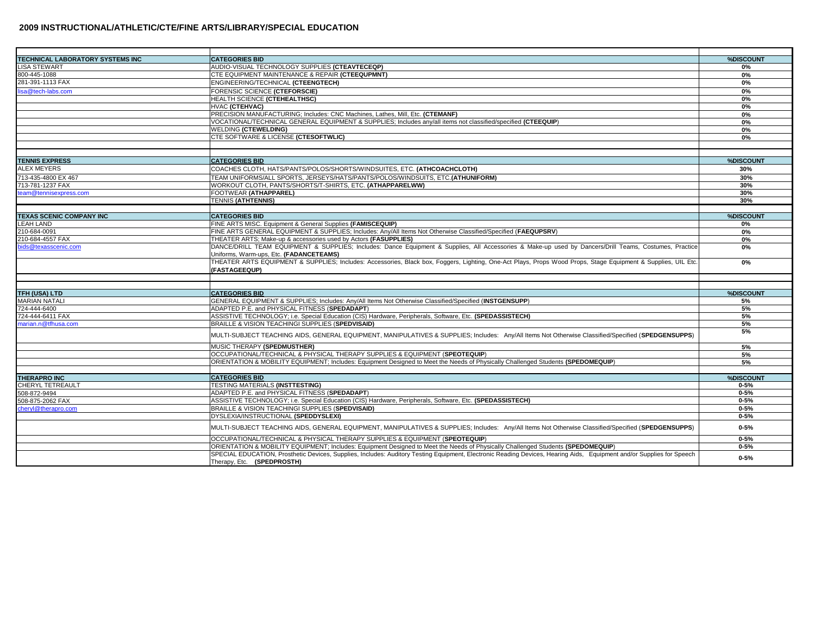| <b>TECHNICAL LABORATORY SYSTEMS INC</b> | <b>CATEGORIES BID</b>                                                                                                                                                                               | %DISCOUNT |
|-----------------------------------------|-----------------------------------------------------------------------------------------------------------------------------------------------------------------------------------------------------|-----------|
| <b>LISA STEWART</b>                     | AUDIO-VISUAL TECHNOLOGY SUPPLIES (CTEAVTECEQP)                                                                                                                                                      | 0%        |
| 800-445-1088                            | CTE EQUIPMENT MAINTENANCE & REPAIR (CTEEQUPMNT)                                                                                                                                                     | 0%        |
| 281-391-1113 FAX                        | ENGINEERING/TECHNICAL (CTEENGTECH)                                                                                                                                                                  | 0%        |
| lisa@tech-labs.com                      | FORENSIC SCIENCE (CTEFORSCIE)                                                                                                                                                                       | 0%        |
|                                         | <b>HEALTH SCIENCE (CTEHEALTHSC)</b>                                                                                                                                                                 | 0%        |
|                                         | HVAC (CTEHVAC)                                                                                                                                                                                      | 0%        |
|                                         | PRECISION MANUFACTURING; Includes: CNC Machines, Lathes, Mill, Etc. (CTEMANF)                                                                                                                       | 0%        |
|                                         | VOCATIONAL/TECHNICAL GENERAL EQUIPMENT & SUPPLIES; Includes any/all items not classified/specified (CTEEQUIP)                                                                                       | 0%        |
|                                         | <b>WELDING (CTEWELDING)</b>                                                                                                                                                                         | 0%        |
|                                         | CTE SOFTWARE & LICENSE (CTESOFTWLIC)                                                                                                                                                                | 0%        |
|                                         |                                                                                                                                                                                                     |           |
|                                         |                                                                                                                                                                                                     |           |
| <b>TENNIS EXPRESS</b>                   | <b>CATEGORIES BID</b>                                                                                                                                                                               | %DISCOUNT |
| <b>ALEX MEYERS</b>                      | COACHES CLOTH, HATS/PANTS/POLOS/SHORTS/WINDSUITES, ETC. (ATHCOACHCLOTH)                                                                                                                             | 30%       |
| 713-435-4800 EX 467                     | TEAM UNIFORMS/ALL SPORTS, JERSEYS/HATS/PANTS/POLOS/WINDSUITS, ETC.(ATHUNIFORM)                                                                                                                      | 30%       |
| 713-781-1237 FAX                        | WORKOUT CLOTH, PANTS/SHORTS/T-SHIRTS, ETC. (ATHAPPARELWW)                                                                                                                                           | 30%       |
| team@tennisexpress.com                  | FOOTWEAR (ATHAPPAREL)                                                                                                                                                                               | 30%       |
|                                         | <b>TENNIS (ATHTENNIS)</b>                                                                                                                                                                           | 30%       |
|                                         |                                                                                                                                                                                                     |           |
| <b>TEXAS SCENIC COMPANY INC</b>         | <b>CATEGORIES BID</b>                                                                                                                                                                               | %DISCOUNT |
| <b>LEAH LAND</b>                        | FINE ARTS MISC. Equipment & General Supplies (FAMISCEQUIP)                                                                                                                                          | 0%        |
| 210-684-0091                            | FINE ARTS GENERAL EQUIPMENT & SUPPLIES; Includes: Any/All Items Not Otherwise Classified/Specified (FAEQUPSRV)                                                                                      | 0%        |
| 210-684-4557 FAX                        | THEATER ARTS; Make-up & accessories used by Actors (FASUPPLIES)                                                                                                                                     | 0%        |
| bids@texasscenic.com                    | DANCE/DRILL TEAM EQUIPMENT & SUPPLIES; Includes: Dance Equipment & Supplies, All Accessories & Make-up used by Dancers/Drill Teams, Costumes, Practice                                              | 0%        |
|                                         | Uniforms, Warm-ups, Etc. (FADANCETEAMS)                                                                                                                                                             |           |
|                                         | THEATER ARTS EQUIPMENT & SUPPLIES; Includes: Accessories, Black box, Foggers, Lighting, One-Act Plays, Props Wood Props, Stage Equipment & Supplies, UIL Etc.                                       | 0%        |
|                                         | (FASTAGEEQUP)                                                                                                                                                                                       |           |
|                                         |                                                                                                                                                                                                     |           |
| TFH (USA) LTD                           | <b>CATEGORIES BID</b>                                                                                                                                                                               | %DISCOUNT |
| <b>MARIAN NATALI</b>                    | GENERAL EQUIPMENT & SUPPLIES; Includes: Any/All Items Not Otherwise Classified/Specified (INSTGENSUPP)                                                                                              | 5%        |
| 724-444-6400                            | ADAPTED P.E. and PHYSICAL FITNESS (SPEDADAPT)                                                                                                                                                       | 5%        |
| 724-444-6411 FAX                        | ASSISTIVE TECHNOLOGY; i.e. Special Education (CIS) Hardware, Peripherals, Software, Etc. (SPEDASSISTECH)                                                                                            | 5%        |
| marian.n@tfhusa.com                     | BRAILLE & VISION TEACHINGI SUPPLIES (SPEDVISAID)                                                                                                                                                    | 5%        |
|                                         | MULTI-SUBJECT TEACHING AIDS, GENERAL EQUIPMENT, MANIPULATIVES & SUPPLIES; Includes: Any/All Items Not Otherwise Classified/Specified (SPEDGENSUPPS)                                                 | 5%        |
|                                         | MUSIC THERAPY (SPEDMUSTHER)                                                                                                                                                                         | 5%        |
|                                         | OCCUPATIONAL/TECHNICAL & PHYSICAL THERAPY SUPPLIES & EQUIPMENT (SPEOTEQUIP)                                                                                                                         | 5%        |
|                                         | ORIENTATION & MOBILITY EQUIPMENT: Includes: Equipment Designed to Meet the Needs of Physically Challenged Students (SPEDOMEQUIP)                                                                    | 5%        |
|                                         |                                                                                                                                                                                                     |           |
| <b>THERAPRO INC</b>                     | <b>CATEGORIES BID</b>                                                                                                                                                                               | %DISCOUNT |
| <b>CHERYL TETREAULT</b>                 | TESTING MATERIALS (INSTTESTING)                                                                                                                                                                     | $0 - 5%$  |
| 508-872-9494                            | ADAPTED P.E. and PHYSICAL FITNESS (SPEDADAPT)                                                                                                                                                       | $0 - 5%$  |
| 508-875-2062 FAX                        | ASSISTIVE TECHNOLOGY; i.e. Special Education (CIS) Hardware, Peripherals, Software, Etc. (SPEDASSISTECH)                                                                                            | $0 - 5%$  |
| chervl@therapro.com                     | BRAILLE & VISION TEACHINGI SUPPLIES (SPEDVISAID)                                                                                                                                                    | $0 - 5%$  |
|                                         | DYSLEXIA/INSTRUCTIONAL (SPEDDYSLEXI)                                                                                                                                                                | $0 - 5%$  |
|                                         |                                                                                                                                                                                                     |           |
|                                         | MULTI-SUBJECT TEACHING AIDS, GENERAL EQUIPMENT, MANIPULATIVES & SUPPLIES; Includes: Any/All Items Not Otherwise Classified/Specified (SPEDGENSUPPS)                                                 | $0 - 5%$  |
|                                         | OCCUPATIONAL/TECHNICAL & PHYSICAL THERAPY SUPPLIES & EQUIPMENT (SPEOTEQUIP)                                                                                                                         | $0 - 5%$  |
|                                         | ORIENTATION & MOBILITY EQUIPMENT; Includes: Equipment Designed to Meet the Needs of Physically Challenged Students (SPEDOMEQUIP)                                                                    | $0 - 5%$  |
|                                         | SPECIAL EDUCATION, Prosthetic Devices, Supplies, Includes: Auditory Testing Equipment, Electronic Reading Devices, Hearing Aids, Equipment and/or Supplies for Speech<br>Therapy, Etc. (SPEDPROSTH) | $0 - 5%$  |
|                                         |                                                                                                                                                                                                     |           |